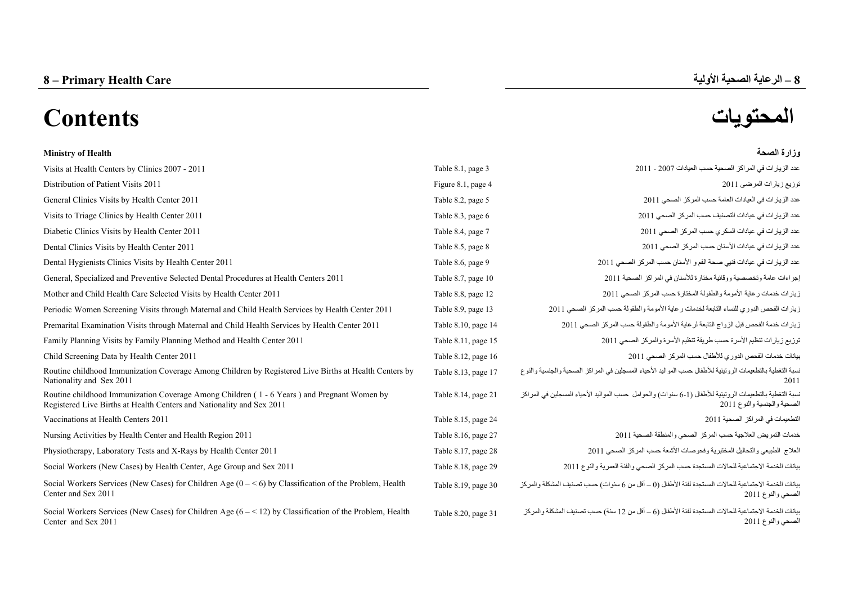# **المحتويات Contents**

#### **Ministry of Health الصحة وزارة**

| Visits at Health Centers by Clinics 2007 - 2011                                                                                                                     | Table 8.1, page 3   | عدد الزيار ات في المراكز الصحية حسب العيادات 2007 - 2011                                                                               |
|---------------------------------------------------------------------------------------------------------------------------------------------------------------------|---------------------|----------------------------------------------------------------------------------------------------------------------------------------|
| Distribution of Patient Visits 2011                                                                                                                                 | Figure 8.1, page 4  | توزيع زيارات المرضى 2011                                                                                                               |
| General Clinics Visits by Health Center 2011                                                                                                                        | Table 8.2, page 5   | عدد الزيار ات في العيادات العامة حسب المركز الصحي 2011                                                                                 |
| Visits to Triage Clinics by Health Center 2011                                                                                                                      | Table 8.3, page 6   | عدد الزيار ات في عيادات التصنيف حسب المركز الصحي 2011                                                                                  |
| Diabetic Clinics Visits by Health Center 2011                                                                                                                       | Table 8.4, page 7   | عدد الزيارات في عيادات السكري حسب المركز الصحى 2011                                                                                    |
| Dental Clinics Visits by Health Center 2011                                                                                                                         | Table 8.5, page 8   | عدد الزيار ات في عيادات الأسنان حسب المركز الصحى 2011                                                                                  |
| Dental Hygienists Clinics Visits by Health Center 2011                                                                                                              | Table 8.6, page 9   | عدد الزيارات في عيادات فنيي صحة الفم و الأسنان حسب المركز الصحى 2011                                                                   |
| General, Specialized and Preventive Selected Dental Procedures at Health Centers 2011                                                                               | Table 8.7, page 10  | إجراءات عامة وتخصصية ووقائية مختارة للأسنان في المراكز الصحية 2011                                                                     |
| Mother and Child Health Care Selected Visits by Health Center 2011                                                                                                  | Table 8.8, page 12  | زيارات خدمات رعاية الأمومة والطفولة المختارة حسب المركز الصحى 2011                                                                     |
| Periodic Women Screening Visits through Maternal and Child Health Services by Health Center 2011                                                                    | Table 8.9, page 13  | زيارات الفحص الدوري للنساء التابعة لخدمات رعاية الأمومة والطفولة حسب المركز الصحى 2011                                                 |
| Premarital Examination Visits through Maternal and Child Health Services by Health Center 2011                                                                      | Table 8.10, page 14 | زيارات خدمة الفحص قبل الزواج التابعة لرعاية الأمومة والطفولة حسب المركز الصحى 2011                                                     |
| Family Planning Visits by Family Planning Method and Health Center 2011                                                                                             | Table 8.11, page 15 | توزيع زيارات تنظيم الأسرة حسب طريقة تنظيم الأسرة والمركز الصحى 2011                                                                    |
| Child Screening Data by Health Center 2011                                                                                                                          | Table 8.12, page 16 | بيانات خدمات الفحص الدوري للأطفال حسب المركز الصحى 2011                                                                                |
| Routine childhood Immunization Coverage Among Children by Registered Live Births at Health Centers by<br>Nationality and Sex 2011                                   | Table 8.13, page 17 | نسبة التغطية بالتطعيمات الروتينية للأطفال حسب المواليد الأحياء المسجلين في المراكز الصحية والجنسية والنوع                              |
| Routine childhood Immunization Coverage Among Children (1 - 6 Years) and Pregnant Women by<br>Registered Live Births at Health Centers and Nationality and Sex 2011 | Table 8.14, page 21 | نسبة التغطية بالتطعيمات الروتينية للأطفال (1-6 سنوات) والحوامل حسب المواليد الأحياء المسجلين في المراكز<br>الصحية والجنسية والنوع 2011 |
| Vaccinations at Health Centers 2011                                                                                                                                 | Table 8.15, page 24 | التطعيمات في المر اكز الصحية 2011                                                                                                      |
| Nursing Activities by Health Center and Health Region 2011                                                                                                          | Table 8.16, page 27 | خدمات التمريض العلاجية حسب المركز الصحى والمنطقة الصحية 2011                                                                           |
| Physiotherapy, Laboratory Tests and X-Rays by Health Center 2011                                                                                                    | Table 8.17, page 28 | العلاج الطبيعي والتحاليل المختبرية وفحوصات الأشعة حسب المركز الصحى 2011                                                                |
| Social Workers (New Cases) by Health Center, Age Group and Sex 2011                                                                                                 | Table 8.18, page 29 | بيانات الخدمة الاجتماعية للحالات المستجدة حسب المركز الصمعي والفئة العمرية والنوع 2011                                                 |
| Social Workers Services (New Cases) for Children Age $(0 - \le 6)$ by Classification of the Problem, Health<br>Center and Sex 2011                                  | Table 8.19, page 30 | بيانات الخدمة الاجتماعية للحالات المستجدة لفئة الأطفال (() – أقل من 6 سنوات) حسب تصنيف المشكلة والمركز<br>الصحي والنوع 2011            |
| Social Workers Services (New Cases) for Children Age $(6 - 12)$ by Classification of the Problem, Health<br>Center and Sex 2011                                     | Table 8.20, page 31 | بيانات الخدمة الاجتماعية للحالات المستجدة لفئة الأطفال (6 – أقل من 12 سنة) حسب تصنيف المشكلة والمركز<br>الصحي والنوع 2011              |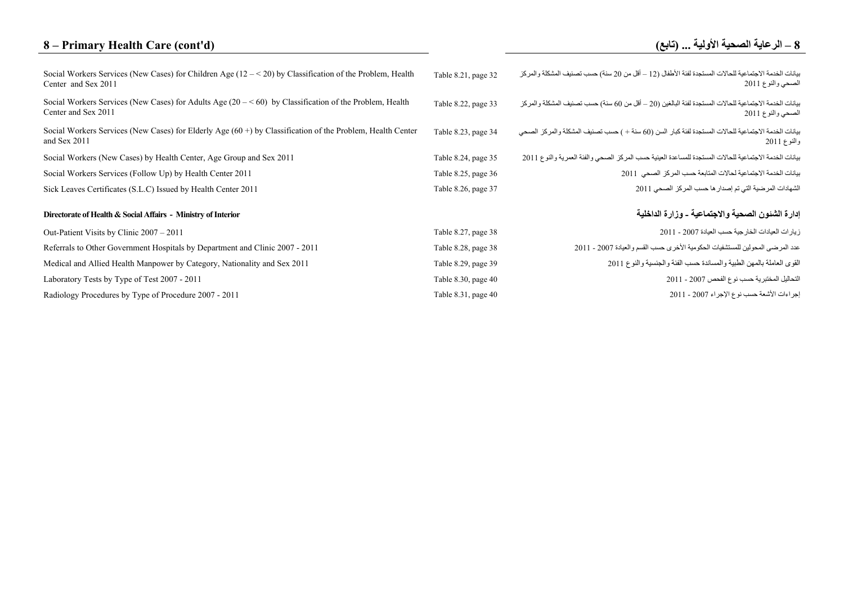# **8 – Primary Health Care (cont'd)**

| Social Workers Services (New Cases) for Children Age $(12 - 520)$ by Classification of the Problem, Health<br>Center and Sex 2011 | Table 8.21, page 32 | بيانات الخدمة الاجتماعية للحالات المستجدة لفئة الأطفال (12 ــ أقل من 20 سنة) حسب تصنيف المشكلة والمركز<br>الصحي والنوع 2011   |
|-----------------------------------------------------------------------------------------------------------------------------------|---------------------|-------------------------------------------------------------------------------------------------------------------------------|
| Social Workers Services (New Cases) for Adults Age $(20 - 60)$ by Classification of the Problem, Health<br>Center and Sex 2011    | Table 8.22, page 33 | بيانات الخدمة الاجتماعية للحالات المستجدة لفئة البالغين (20 – أقل من 60 سنة) حسب تصنيف المشكلة و المر كز<br>الصحي والنوع 2011 |
| Social Workers Services (New Cases) for Elderly Age $(60+)$ by Classification of the Problem, Health Center<br>and Sex 2011       | Table 8.23, page 34 | بيانات الخدمة الاجتماعية للحالات المستجدة لفئة كبار السن (60 سنة + ) حسب تصنيف المشكلة والمركز الصحي<br>والنوع 2011           |
| Social Workers (New Cases) by Health Center, Age Group and Sex 2011                                                               | Table 8.24, page 35 | بيانات الخدمة الاجتماعية للحالات المستجدة للمساعدة العينية حسب المركز الصحى والفئة العمرية والنوع 2011                        |
| Social Workers Services (Follow Up) by Health Center 2011                                                                         | Table 8.25, page 36 | بيانات الخدمة الاجتماعية لحالات المتابعة حسب المركز الصحى 2011                                                                |
| Sick Leaves Certificates (S.L.C) Issued by Health Center 2011                                                                     | Table 8.26, page 37 | الشهادات المرضية التي تم إصدار ها حسب المركز الصحي 2011                                                                       |
| Directorate of Health & Social Affairs - Ministry of Interior                                                                     |                     | إدارة الشئون الصحية والاجتماعية ـ وزارة الداخلية                                                                              |
| Out-Patient Visits by Clinic 2007 – 2011                                                                                          | Table 8.27, page 38 | زيار ات العيادات الخار جية حسب العيادة 2007 - 2011                                                                            |
| Referrals to Other Government Hospitals by Department and Clinic 2007 - 2011                                                      | Table 8.28, page 38 | عدد المرضى المحولين للمستشفيات الحكومية الأخرى حسب القسم والعيادة 2007 - 2011                                                 |
| Medical and Allied Health Manpower by Category, Nationality and Sex 2011                                                          | Table 8.29, page 39 | القوى العاملة بالمهن الطبية والمساندة حسب الفئة والجنسية والنوع 2011                                                          |
| Laboratory Tests by Type of Test 2007 - 2011                                                                                      | Table 8.30, page 40 | التحاليل المختبرية حسب نوع الفحص 2007 - 2011                                                                                  |
| Radiology Procedures by Type of Procedure 2007 - 2011                                                                             | Table 8.31, page 40 | إجراءات الأشعة حسب نوع الإجراء 2007 - 2011                                                                                    |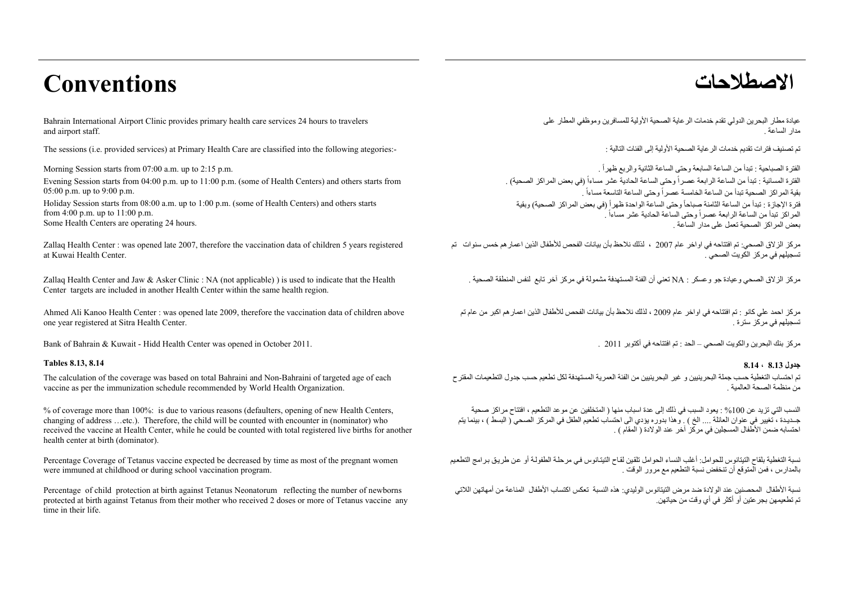# **االصطالحات Conventions**

Bahrain International Airport Clinic provides primary health care services 24 hours to travelers and airport staff.

The sessions (i.e. provided services) at Primary Health Care are classified into the following ategories:-

Morning Session starts from 07:00 a.m. up to 2:15 p.m.

Evening Session starts from 04:00 p.m. up to 11:00 p.m. (some of Health Centers) and others starts from 05:00 p.m. up to 9:00 p.m.

Holiday Session starts from 08:00 a.m. up to 1:00 p.m. (some of Health Centers) and others starts from  $4:00 \text{ p.m.}$  up to  $11:00 \text{ p.m.}$ Some Health Centers are operating 24 hours.

Zallaq Health Center : was opened late 2007, therefore the vaccination data of children 5 years registered at Kuwai Health Center.

Zallaq Health Center and Jaw & Asker Clinic : NA (not applicable) ) is used to indicate that the Health Center targets are included in another Health Center within the same health region.

Ahmed Ali Kanoo Health Center : was opened late 2009, therefore the vaccination data of children above one year registered at Sitra Health Center.

Bank of Bahrain & Kuwait - Hidd Health Center was opened in October 2011. . <sup>2011</sup> أكتوبر في افتتاحه تم : الحد – الصحي والكويت البحرين بنك مركز

#### **جدول 8.13 ، 8.14 8.14 8.13, Tables**

The calculation of the coverage was based on total Bahraini and Non-Bahraini of targeted age of each vaccine as per the immunization schedule recommended by World Health Organization.

% of coverage more than 100%: is due to various reasons (defaulters, opening of new Health Centers, changing of address …etc.). Therefore, the child will be counted with encounter in (nominator) who received the vaccine at Health Center, while he could be counted with total registered live births for another health center at birth (dominator).

Percentage Coverage of Tetanus vaccine expected be decreased by time as most of the pregnant women were immuned at childhood or during school vaccination program.

Percentage of child protection at birth against Tetanus Neonatorum reflecting the number of newborns protected at birth against Tetanus from their mother who received 2 doses or more of Tetanus vaccine any time in their life.

عيادة مطار البحر بن الدولي تقدم خدمات الر عاية الصحية الأولية للمسافر بن وموظفي المطار على . مدار الساعة

تم تصنيف فتر ات تقديم خدمات الر عاية الصحية الأولية الى الفئات التالية ·

الفترة الصباحية : تبدأ من الساعة السابعة وحتى الساعة الثانية والربع ظهراً . الفترة المسائية : تبدأ من الساعة الرابعة عصراً وحتى الساعة الحادية عشر مساءاً (في بعض المراكز الصحية) . بب سرسر مسمسم بب من سب على سبب من الساعة السرس وصلى الساعة الساعة : من الساعة :<br>فترة الإجازة : تبدأ من الساعة الثامنة صباحاً وحتى الساعة الواحدة ظهراً (في بعض المراكز الصحية) وبقية ً بقية المراكز الصحية تبدأ من الساعة الخامسة عصراً وحتى الساعة التاسعة مساءا المراكز تبدأ من الساعة الرابعة عصراً وحتى الساعة الحادية عشر مساءاً . . بعض المراكز الصحية تعمل على مدار الساعة

مركز الزالق الصحي: تم افتتاحه في اواخر عام <sup>2007</sup> ، لذلك نالحظ بأن بيانات الفحص لألطفال الذين اعمارھم خمس سنوات تم تسجيلھم في مركز الكويت الصحي .

مركز الزالق الصحي وعيادة جو وعسكر : NA تعني أن الفئة المستھدفة مشمولة في مركز آخر تابع لنفس المنطقة الصحية .

مركز احمد علي كانو : تم افتتاحه في اواخر عام <sup>2009</sup> ، لذلك نالحظ بأن بيانات الفحص لألطفال الذين اعمارھم اكبر من عام تم تسجيلھم في مركز سترة .

تم احتساب التغطية حسب جملة البحرينيين <sup>و</sup> غير البحرينيين من الفئة العمرية المستھدفة لكل تطعيم حسب جدول التطعيمات المقترح من منظمة الصحة العالمية .

النسب التي تزيد عن %100 : يعود السبب في ذلك إلى عدة اسباب منھا ( المتخلفين عن موعد التطعيم ، افتتاح مراكز صحية جــديـدة ، تغيير في عنوان العائلة .... الخ ) . وھذا بدوره يؤدي الى احتساب تطعيم الطفل في المركز الصحي ( البسط ) ، بينما يتم احتسابه ضمن الأطفال المسجلين في مركز آخر عند الولادة ( المقام ) .

نسبة التغطية بلقاح التيتانوس للحوامل: أغلب النساء الحوامل تلقين لقاح التيتانوس في مرحلـة الطفولـة أو عن طريق برامج التطعيم بالمدارس ، فمن المتوقع أن تنخفض نسبة التطعيم مع مرور الوقت .

نسبة األطفال المحصنين عند الوالدة ضد مرض التيتانوس الوليدي: ھذه النسبة تعكس اكتساب األطفال المناعة من أمھاتھن الالتي تم تطعيمھن بجرعتين أو أكثر في أي وقت من حياتھن.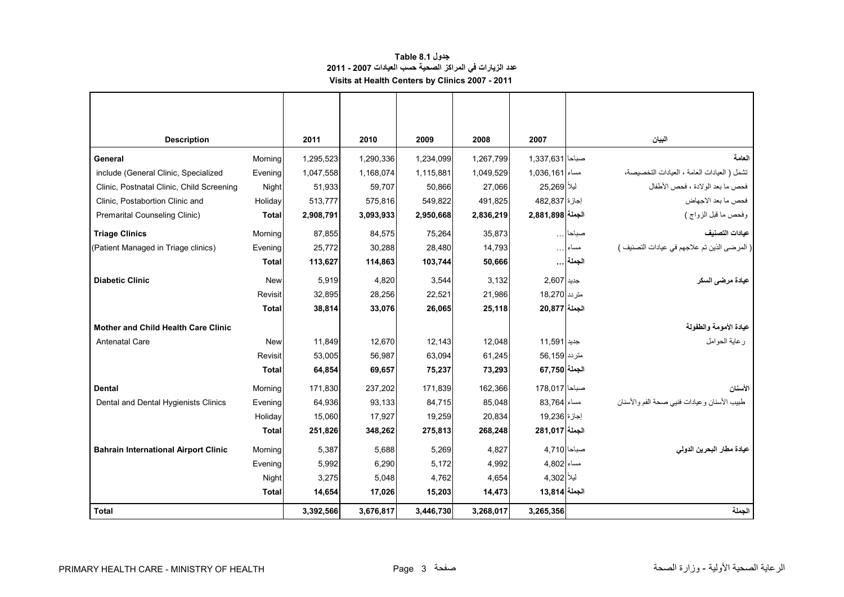## **جدول 8.1 Table عدد الزيارات في المراكز الصحية حسب العيادات 2007 - 2011 Visits at Health Centers by Clinics 2007 - 2011**

<span id="page-3-0"></span>

| <b>Description</b>                          |              | 2011      | 2010      | 2009      | 2008      | 2007             |        | البيان                                        |
|---------------------------------------------|--------------|-----------|-----------|-----------|-----------|------------------|--------|-----------------------------------------------|
| General                                     | Morning      | 1,295,523 | 1,290,336 | 1,234,099 | 1,267,799 | صباحا 1,337,631  |        | العامة                                        |
| include (General Clinic, Specialized        | Evening      | 1,047,558 | 1,168,074 | 1,115,881 | 1,049,529 | مساء 1,036,161   |        | تشمل ( العيادات العامة ، العيادات التخصيصة،   |
| Clinic, Postnatal Clinic, Child Screening   | Night        | 51,933    | 59.707    | 50.866    | 27.066    | ليلأ 25.269      |        | فحص ما بعد الولادة ، فحص الأطفال              |
| Clinic, Postabortion Clinic and             | Holiday      | 513,777   | 575,816   | 549,822   | 491,825   | اجاز ۃ 482,837   |        | فحص ما بعد الاجهاض                            |
| Premarital Counseling Clinic)               | <b>Total</b> | 2,908,791 | 3,093,933 | 2,950,668 | 2,836,219 | الجملة 2,881,898 |        | وفحص ما قبل الزواج )                          |
| <b>Triage Clinics</b>                       | Mornina      | 87.855    | 84.575    | 75.264    | 35.873    |                  | صباحا  | عبادات التصنيف                                |
| (Patient Managed in Triage clinics)         | Evening      | 25,772    | 30,288    | 28,480    | 14,793    |                  | مساء   | ( المرضى الذين تم علاجهم في عيادات التصنيف )  |
|                                             | Total        | 113,627   | 114,863   | 103,744   | 50,666    |                  | الجملة |                                               |
| <b>Diabetic Clinic</b>                      | <b>New</b>   | 5.919     | 4.820     | 3.544     | 3.132     | جديد 2.607       |        | عيادة مرضى السكر                              |
|                                             | Revisit      | 32,895    | 28,256    | 22,521    | 21,986    | متر دد   18,270  |        |                                               |
|                                             | <b>Total</b> | 38,814    | 33,076    | 26,065    | 25,118    | الجملة 20,877    |        |                                               |
| <b>Mother and Child Health Care Clinic</b>  |              |           |           |           |           |                  |        | عيادة الأمومة والطفولة                        |
| <b>Antenatal Care</b>                       | <b>New</b>   | 11,849    | 12,670    | 12,143    | 12,048    | جديد   11,591    |        | ر عاية الحوامل                                |
|                                             | Revisit      | 53,005    | 56,987    | 63,094    | 61,245    | متر دد 56,159    |        |                                               |
|                                             | <b>Total</b> | 64,854    | 69,657    | 75,237    | 73,293    | الجملة 67.750    |        |                                               |
| <b>Dental</b>                               | Morning      | 171,830   | 237,202   | 171,839   | 162,366   | صباحا 178,017    |        | الأسنان                                       |
| Dental and Dental Hygienists Clinics        | Evening      | 64,936    | 93,133    | 84,715    | 85.048    | مساء 83,764      |        | طبيب الأسنان و عيادات فنيي صحة الفم و الأسنان |
|                                             | Holiday      | 15,060    | 17,927    | 19,259    | 20.834    | اجاز ۃ 19.236    |        |                                               |
|                                             | <b>Total</b> | 251,826   | 348,262   | 275,813   | 268,248   | الجملة 281,017   |        |                                               |
| <b>Bahrain International Airport Clinic</b> | Morning      | 5.387     | 5.688     | 5.269     | 4,827     | صباحا 4.710      |        | عيادة مطار البحرين الدولي                     |
|                                             | Evening      | 5,992     | 6,290     | 5,172     | 4,992     | مساء 4,802       |        |                                               |
|                                             | Night        | 3,275     | 5,048     | 4,762     | 4,654     | ليلاً   4,302    |        |                                               |
|                                             | Total        | 14,654    | 17,026    | 15,203    | 14,473    | الجملة 13,814    |        |                                               |
| <b>Total</b>                                |              | 3,392,566 | 3,676,817 | 3,446,730 | 3,268,017 | 3,265,356        |        | الجملة                                        |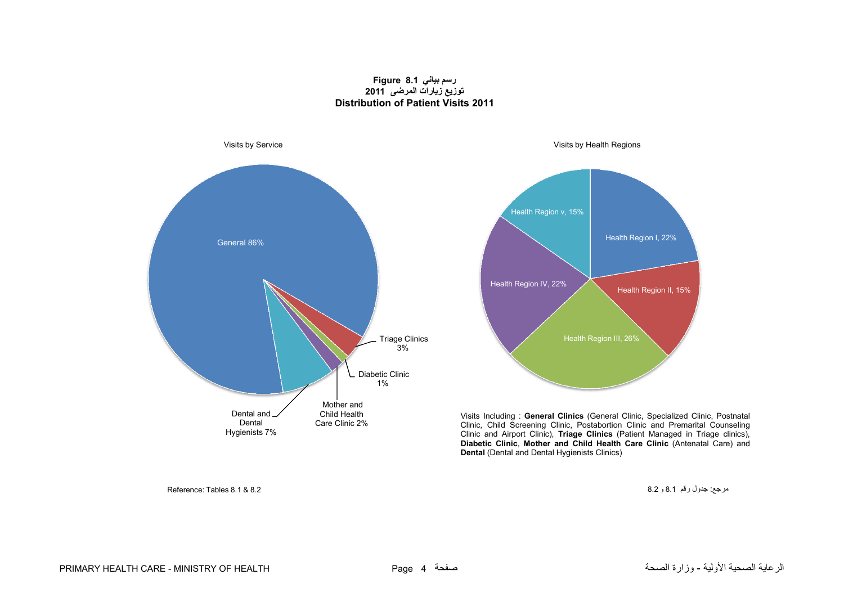### **رسم بياني 8.1 Figure توزيع زيارات المرضى <sup>2011</sup> Distribution of Patient Visits 2011**

<span id="page-4-0"></span>

مرجع: جدول رقم 8.1 و 8.2  $\,$ 8.2  $\,$ 8.2  $\,$ 8.2  $\,$ 8.1  $\,$ 8.2  $\,$ 8.1  $\,$ 8.2  $\,$ 8.1  $\,$ 8.2  $\,$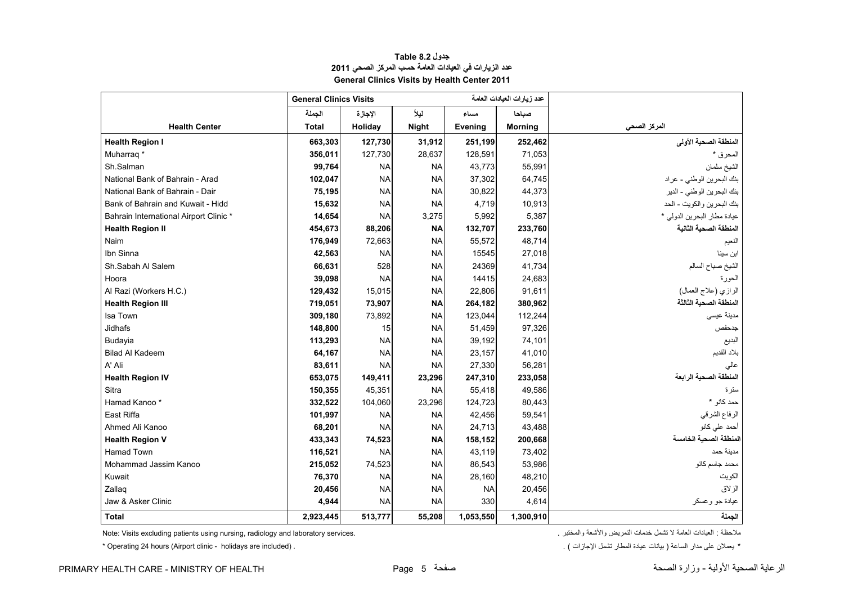<span id="page-5-0"></span>

|                                        | <b>General Clinics Visits</b> |           |              |           | عدد زيار ات العيادات العامة |                             |
|----------------------------------------|-------------------------------|-----------|--------------|-----------|-----------------------------|-----------------------------|
|                                        | الجملة                        | الإجازة   | ليلأ         | مساء      | صباحا                       |                             |
| <b>Health Center</b>                   | <b>Total</b>                  | Holiday   | <b>Night</b> | Evening   | <b>Morning</b>              | المركز الصحى                |
| <b>Health Region I</b>                 | 663,303                       | 127,730   | 31,912       | 251,199   | 252,462                     | المنطقة الصحية الأولى       |
| Muharrag <sup>*</sup>                  | 356,011                       | 127,730   | 28,637       | 128,591   | 71,053                      | المحرق *                    |
| Sh.Salman                              | 99,764                        | <b>NA</b> | <b>NA</b>    | 43,773    | 55,991                      | الشيخ سلمان                 |
| National Bank of Bahrain - Arad        | 102,047                       | <b>NA</b> | <b>NA</b>    | 37,302    | 64,745                      | بنك البحرين الوطني - عراد   |
| National Bank of Bahrain - Dair        | 75,195                        | <b>NA</b> | <b>NA</b>    | 30,822    | 44,373                      | بنك البحرين الوطني - الدير  |
| Bank of Bahrain and Kuwait - Hidd      | 15,632                        | <b>NA</b> | <b>NA</b>    | 4,719     | 10,913                      | بنك البحرين والكويت - الحد  |
| Bahrain International Airport Clinic * | 14,654                        | <b>NA</b> | 3,275        | 5,992     | 5,387                       | عيادة مطار البحرين الدولي * |
| <b>Health Region II</b>                | 454,673                       | 88,206    | <b>NA</b>    | 132,707   | 233,760                     | المنطقة الصحية الثانية      |
| Naim                                   | 176,949                       | 72,663    | <b>NA</b>    | 55,572    | 48,714                      | النعيم                      |
| Ibn Sinna                              | 42,563                        | <b>NA</b> | <b>NA</b>    | 15545     | 27,018                      | ابن سينا                    |
| Sh.Sabah Al Salem                      | 66,631                        | 528       | <b>NA</b>    | 24369     | 41,734                      | الشيخ صباح السالم           |
| Hoora                                  | 39,098                        | <b>NA</b> | <b>NA</b>    | 14415     | 24,683                      | الحورة                      |
| Al Razi (Workers H.C.)                 | 129,432                       | 15,015    | <b>NA</b>    | 22,806    | 91,611                      | الرازي (علاج العمال)        |
| <b>Health Region III</b>               | 719,051                       | 73,907    | <b>NA</b>    | 264,182   | 380,962                     | المنطقة الصحية الثالثة      |
| Isa Town                               | 309,180                       | 73,892    | <b>NA</b>    | 123,044   | 112,244                     | مدينة عيسى                  |
| Jidhafs                                | 148,800                       | 15        | <b>NA</b>    | 51,459    | 97,326                      | جدحفص                       |
| Budayia                                | 113,293                       | <b>NA</b> | <b>NA</b>    | 39,192    | 74,101                      | البديع                      |
| <b>Bilad Al Kadeem</b>                 | 64,167                        | <b>NA</b> | <b>NA</b>    | 23,157    | 41,010                      | بلاد القديم                 |
| A' Ali                                 | 83,611                        | <b>NA</b> | <b>NA</b>    | 27,330    | 56,281                      | عالى                        |
| <b>Health Region IV</b>                | 653,075                       | 149,411   | 23,296       | 247,310   | 233,058                     | المنطقة الصحية الرابعة      |
| Sitra                                  | 150,355                       | 45,351    | <b>NA</b>    | 55,418    | 49,586                      | سترة                        |
| Hamad Kanoo*                           | 332,522                       | 104,060   | 23,296       | 124,723   | 80,443                      | حمد كانو *                  |
| East Riffa                             | 101,997                       | <b>NA</b> | <b>NA</b>    | 42,456    | 59,541                      | الرفاع الشرقي               |
| Ahmed Ali Kanoo                        | 68,201                        | <b>NA</b> | <b>NA</b>    | 24,713    | 43,488                      | أحمد على كانو               |
| <b>Health Region V</b>                 | 433,343                       | 74,523    | <b>NA</b>    | 158,152   | 200,668                     | المنطقة الصحية الخامسة      |
| Hamad Town                             | 116,521                       | <b>NA</b> | <b>NA</b>    | 43,119    | 73,402                      | مدبنة حمد                   |
| Mohammad Jassim Kanoo                  | 215,052                       | 74,523    | <b>NA</b>    | 86,543    | 53,986                      | محمد جاسم كانو              |
| Kuwait                                 | 76,370                        | <b>NA</b> | <b>NA</b>    | 28,160    | 48,210                      | الكويت                      |
| Zallaq                                 | 20,456                        | <b>NA</b> | <b>NA</b>    | <b>NA</b> | 20,456                      | الزلاق                      |
| Jaw & Asker Clinic                     | 4,944                         | <b>NA</b> | <b>NA</b>    | 330       | 4,614                       | عيادة جو وعسكر              |
| <b>Total</b>                           | 2,923,445                     | 513,777   | 55,208       | 1,053,550 | 1,300,910                   | الجملة                      |

# **جدول 8.2 Table عدد الزيارات في العيادات العامة حسب المركز الصحي <sup>2011</sup> General Clinics Visits by Health Center 2011**

Note: Visits excluding patients using nursing, radiology and laboratory services. . والمختبر واألشعة التمريض خدمات تشمل ال العامة العيادات : مالحظة

 $*$  Operating 24 hours (Airport clinic - holidays are included) .

\* يعملان على مدار الساعة ( بيانات عيادة المطار تشمل الإجازات ) .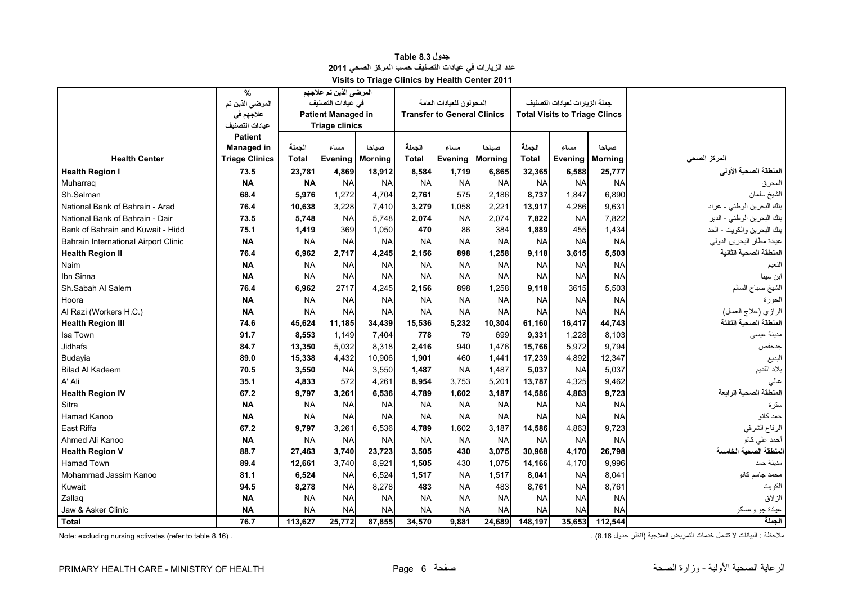<span id="page-6-0"></span>

|                                      | $\%$                  |              | المرضى الذين تم علاجهم    |                |              |                                    |                |           |                                      |                |                            |
|--------------------------------------|-----------------------|--------------|---------------------------|----------------|--------------|------------------------------------|----------------|-----------|--------------------------------------|----------------|----------------------------|
|                                      | المرضى الذين تم       |              | فى عيادات التصنيف         |                |              | المحو لون للعبادات العامة          |                |           | جملة الزيارات لعيادات التصنيف        |                |                            |
|                                      | علاجهم في             |              | <b>Patient Managed in</b> |                |              | <b>Transfer to General Clinics</b> |                |           | <b>Total Visits to Triage Clincs</b> |                |                            |
|                                      | عيادات التصنيف        |              | <b>Triage clinics</b>     |                |              |                                    |                |           |                                      |                |                            |
|                                      | <b>Patient</b>        |              |                           |                |              |                                    |                |           |                                      |                |                            |
|                                      | <b>Managed in</b>     | الجملة       | مساء                      | صناحا          | الجملة       | مساء                               | صناحا          | الجملة    | مساء                                 | صباحا          |                            |
| <b>Health Center</b>                 | <b>Triage Clinics</b> | <b>Total</b> | Evening                   | <b>Morning</b> | <b>Total</b> | Evening                            | <b>Morning</b> | Total     | Evening                              | <b>Morning</b> | المركز الصحى               |
| <b>Health Region I</b>               | 73.5                  | 23,781       | 4,869                     | 18,912         | 8,584        | 1,719                              | 6,865          | 32,365    | 6,588                                | 25,777         | المنطقة الصحية الأولى      |
| Muharrag                             | <b>NA</b>             | <b>NA</b>    | <b>NA</b>                 | <b>NA</b>      | <b>NA</b>    | <b>NA</b>                          | <b>NA</b>      | <b>NA</b> | <b>NA</b>                            | <b>NA</b>      | المحرق                     |
| Sh.Salman                            | 68.4                  | 5,976        | 1.272                     | 4.704          | 2,761        | 575                                | 2,186          | 8.737     | 1.847                                | 6,890          | الشيخ سلمان                |
| National Bank of Bahrain - Arad      | 76.4                  | 10,638       | 3,228                     | 7,410          | 3,279        | 1,058                              | 2,221          | 13,917    | 4,286                                | 9,631          | بنك البحرين الوطني - عراد  |
| National Bank of Bahrain - Dair      | 73.5                  | 5,748        | <b>NA</b>                 | 5.748          | 2,074        | <b>NA</b>                          | 2.074          | 7,822     | <b>NA</b>                            | 7,822          | بنك البحرين الوطني - الدير |
| Bank of Bahrain and Kuwait - Hidd    | 75.1                  | 1,419        | 369                       | 1.050          | 470          | 86                                 | 384            | 1,889     | 455                                  | 1,434          | بنك البحرين والكويت - الحد |
| Bahrain International Airport Clinic | <b>NA</b>             | <b>NA</b>    | <b>NA</b>                 | <b>NA</b>      | <b>NA</b>    | <b>NA</b>                          | <b>NA</b>      | <b>NA</b> | <b>NA</b>                            | <b>NA</b>      | عيادة مطار البحرين الدولي  |
| <b>Health Region II</b>              | 76.4                  | 6,962        | 2,717                     | 4,245          | 2,156        | 898                                | 1,258          | 9,118     | 3,615                                | 5,503          | المنطقة الصحية الثانية     |
| <b>Naim</b>                          | <b>NA</b>             | <b>NA</b>    | <b>NA</b>                 | <b>NA</b>      | <b>NA</b>    | <b>NA</b>                          | <b>NA</b>      | <b>NA</b> | <b>NA</b>                            | <b>NA</b>      | النعيم                     |
| Ibn Sinna                            | <b>NA</b>             | <b>NA</b>    | <b>NA</b>                 | <b>NA</b>      | <b>NA</b>    | <b>NA</b>                          | <b>NA</b>      | <b>NA</b> | <b>NA</b>                            | <b>NA</b>      | ابن سينا                   |
| Sh.Sabah Al Salem                    | 76.4                  | 6,962        | 2717                      | 4.245          | 2.156        | 898                                | 1.258          | 9.118     | 3615                                 | 5.503          | الشيخ صباح السالم          |
| Hoora                                | <b>NA</b>             | <b>NA</b>    | <b>NA</b>                 | <b>NA</b>      | <b>NA</b>    | <b>NA</b>                          | <b>NA</b>      | <b>NA</b> | <b>NA</b>                            | <b>NA</b>      | الحورة                     |
| Al Razi (Workers H.C.)               | <b>NA</b>             | <b>NA</b>    | <b>NA</b>                 | <b>NA</b>      | <b>NA</b>    | <b>NA</b>                          | <b>NA</b>      | <b>NA</b> | <b>NA</b>                            | <b>NA</b>      | الرازي (علاج العمال)       |
| <b>Health Region III</b>             | 74.6                  | 45,624       | 11,185                    | 34,439         | 15,536       | 5.232                              | 10,304         | 61,160    | 16,417                               | 44.743         | المنطقة الصحية الثالثة     |
| Isa Town                             | 91.7                  | 8,553        | 1.149                     | 7.404          | 778          | 79                                 | 699            | 9.331     | 1,228                                | 8.103          | مدبنة عبسى                 |
| Jidhafs                              | 84.7                  | 13,350       | 5,032                     | 8,318          | 2,416        | 940                                | 1,476          | 15,766    | 5,972                                | 9,794          | جدحفص                      |
| Budayia                              | 89.0                  | 15,338       | 4,432                     | 10,906         | 1,901        | 460                                | 1.441          | 17,239    | 4,892                                | 12,347         | البديع                     |
| <b>Bilad Al Kadeem</b>               | 70.5                  | 3,550        | <b>NA</b>                 | 3,550          | 1.487        | <b>NA</b>                          | 1.487          | 5,037     | <b>NA</b>                            | 5,037          | بلاد القديم                |
| A' Ali                               | 35.1                  | 4,833        | 572                       | 4,261          | 8,954        | 3,753                              | 5,201          | 13,787    | 4,325                                | 9,462          | عالى                       |
| <b>Health Region IV</b>              | 67.2                  | 9,797        | 3,261                     | 6,536          | 4,789        | 1,602                              | 3,187          | 14,586    | 4,863                                | 9,723          | المنطقة الصحية الرابعة     |
| Sitra                                | <b>NA</b>             | <b>NA</b>    | <b>NA</b>                 | <b>NA</b>      | <b>NA</b>    | <b>NA</b>                          | <b>NA</b>      | <b>NA</b> | <b>NA</b>                            | <b>NA</b>      | سترة                       |
| Hamad Kanoo                          | <b>NA</b>             | <b>NA</b>    | <b>NA</b>                 | <b>NA</b>      | <b>NA</b>    | <b>NA</b>                          | <b>NA</b>      | <b>NA</b> | <b>NA</b>                            | <b>NA</b>      | حمد كانو                   |
| East Riffa                           | 67.2                  | 9,797        | 3,261                     | 6,536          | 4,789        | 1,602                              | 3,187          | 14,586    | 4,863                                | 9,723          | الرفاع الشرقي              |
| Ahmed Ali Kanoo                      | <b>NA</b>             | <b>NA</b>    | <b>NA</b>                 | <b>NA</b>      | <b>NA</b>    | <b>NA</b>                          | <b>NA</b>      | <b>NA</b> | <b>NA</b>                            | <b>NA</b>      | أحمد على كانو              |
| <b>Health Region V</b>               | 88.7                  | 27,463       | 3,740                     | 23,723         | 3,505        | 430                                | 3.075          | 30,968    | 4.170                                | 26,798         | المنطقة الصحبة الخامسة     |
| <b>Hamad Town</b>                    | 89.4                  | 12,661       | 3.740                     | 8,921          | 1.505        | 430                                | 1.075          | 14.166    | 4.170                                | 9,996          | مدبنة حمد                  |
| Mohammad Jassim Kanoo                | 81.1                  | 6,524        | <b>NA</b>                 | 6,524          | 1,517        | <b>NA</b>                          | 1,517          | 8,041     | <b>NA</b>                            | 8,041          | محمد جاسم كانو             |
| Kuwait                               | 94.5                  | 8,278        | <b>NA</b>                 | 8,278          | 483          | <b>NA</b>                          | 483            | 8,761     | <b>NA</b>                            | 8,761          | الكويت                     |
| Zallag                               | <b>NA</b>             | <b>NA</b>    | <b>NA</b>                 | <b>NA</b>      | <b>NA</b>    | <b>NA</b>                          | <b>NA</b>      | <b>NA</b> | <b>NA</b>                            | <b>NA</b>      | الزلاق                     |
| Jaw & Asker Clinic                   | <b>NA</b>             | <b>NA</b>    | <b>NA</b>                 | <b>NA</b>      | <b>NA</b>    | <b>NA</b>                          | <b>NA</b>      | <b>NA</b> | <b>NA</b>                            | <b>NA</b>      | عيادة جو وعسكر             |
| <b>Total</b>                         | 76.7                  | 113,627      | 25,772                    | 87,855         | 34,570       | 9.881                              | 24,689         | 148,197   | 35.653                               | 112.544        | الحملة                     |

**جدول 8.3 Table عدد الزيارات في عيادات التصنيف حسب المركز الصحي <sup>2011</sup> Visits to Triage Clinics by Health Center 2011**

ملاحظة : البيانات لا تشمل خدمات التمريض العلاجية (انظر جدول 8.16) . . . . . (8.16 . . (8.16 . . . . . . . . . (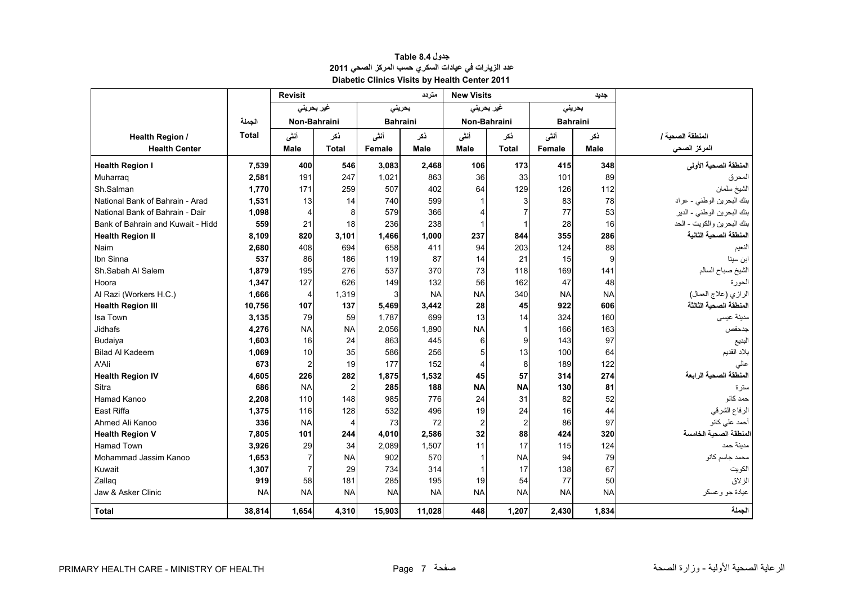<span id="page-7-0"></span>

|                                   |              | <b>Revisit</b>         |                |           | متر دد          | <b>New Visits</b>       |                |                 | جديد      |                            |
|-----------------------------------|--------------|------------------------|----------------|-----------|-----------------|-------------------------|----------------|-----------------|-----------|----------------------------|
|                                   |              |                        | غیر بحرینی     |           | بحرينى          | غیر بحرینی              |                | بحرينى          |           |                            |
|                                   | الجملة       |                        | Non-Bahraini   |           | <b>Bahraini</b> |                         | Non-Bahraini   | <b>Bahraini</b> |           |                            |
| <b>Health Region /</b>            | <b>Total</b> | أنشى                   | ذكر            | أنشى      | نكر             |                         | ڏکر            | أننى            | ذكر       | المنطقة الصحبة ا           |
| <b>Health Center</b>              |              | <b>Male</b>            | <b>Total</b>   | Female    | Male            | Male                    | <b>Total</b>   | Female          | Male      | المركز الصحى               |
| <b>Health Region I</b>            | 7,539        | 400                    | 546            | 3,083     | 2,468           | 106                     | 173            | 415             | 348       | المنطقة الصحية الأولى      |
| Muharrag                          | 2,581        | 191                    | 247            | 1,021     | 863             | 36                      | 33             | 101             | 89        | المحرق                     |
| Sh.Salman                         | 1.770        | 171                    | 259            | 507       | 402             | 64                      | 129            | 126             | 112       | الشيخ سلمان                |
| National Bank of Bahrain - Arad   | 1,531        | 13                     | 14             | 740       | 599             | $\mathbf 1$             | 3              | 83              | 78        | بنك البحرين الوطني - عراد  |
| National Bank of Bahrain - Dair   | 1,098        | $\overline{4}$         | 8              | 579       | 366             | $\overline{\mathbf{4}}$ | $\overline{7}$ | 77              | 53        | بنك البحرين الوطني - الدير |
| Bank of Bahrain and Kuwait - Hidd | 559          | 21                     | 18             | 236       | 238             | $\mathbf 1$             | 1              | 28              | 16        | بنك البحرين والكويت - الحد |
| <b>Health Region II</b>           | 8,109        | 820                    | 3,101          | 1,466     | 1,000           | 237                     | 844            | 355             | 286       | المنطقة الصحية الثانية     |
| Naim                              | 2,680        | 408                    | 694            | 658       | 411             | 94                      | 203            | 124             | 88        | النعيم                     |
| Ibn Sinna                         | 537          | 86                     | 186            | 119       | 87              | 14                      | 21             | 15              | 9         | ابن سينا                   |
| Sh.Sabah Al Salem                 | 1,879        | 195                    | 276            | 537       | 370             | 73                      | 118            | 169             | 141       | الشيخ صباح السالم          |
| Hoora                             | 1,347        | 127                    | 626            | 149       | 132             | 56                      | 162            | 47              | 48        | الحورة                     |
| Al Razi (Workers H.C.)            | 1,666        | $\overline{4}$         | 1,319          | 3         | <b>NA</b>       | <b>NA</b>               | 340            | <b>NA</b>       | <b>NA</b> | الرازي (علاج العمال)       |
| <b>Health Region III</b>          | 10,756       | 107                    | 137            | 5,469     | 3,442           | 28                      | 45             | 922             | 606       | المنطقة الصحية الثالثة     |
| Isa Town                          | 3,135        | 79                     | 59             | 1.787     | 699             | 13                      | 14             | 324             | 160       | مدينة عيسى                 |
| <b>Jidhafs</b>                    | 4,276        | <b>NA</b>              | <b>NA</b>      | 2,056     | 1,890           | <b>NA</b>               | $\mathbf 1$    | 166             | 163       | جدحفص                      |
| Budaiya                           | 1,603        | 16                     | 24             | 863       | 445             | 6                       | 9              | 143             | 97        | البديع                     |
| <b>Bilad Al Kadeem</b>            | 1,069        | 10                     | 35             | 586       | 256             | 5                       | 13             | 100             | 64        | بلاد القديم                |
| A'Ali                             | 673          | $\overline{2}$         | 19             | 177       | 152             | $\overline{4}$          | 8              | 189             | 122       | عالى                       |
| <b>Health Region IV</b>           | 4,605        | 226                    | 282            | 1,875     | 1,532           | 45                      | 57             | 314             | 274       | المنطقة الصحية الرابعة     |
| Sitra                             | 686          | <b>NA</b>              | $\overline{c}$ | 285       | 188             | <b>NA</b>               | <b>NA</b>      | 130             | 81        | ستر ۃ                      |
| Hamad Kanoo                       | 2,208        | 110                    | 148            | 985       | 776             | 24                      | 31             | 82              | 52        | حمد كانو                   |
| East Riffa                        | 1,375        | 116                    | 128            | 532       | 496             | 19                      | 24             | 16              | 44        | الرفاع الشرقي              |
| Ahmed Ali Kanoo                   | 336          | <b>NA</b>              | 4              | 73        | 72              | $\overline{c}$          | $\overline{2}$ | 86              | 97        | أحمد على كانو              |
| <b>Health Region V</b>            | 7,805        | 101                    | 244            | 4,010     | 2,586           | 32                      | 88             | 424             | 320       | المنطقة الصحية الخامسة     |
| <b>Hamad Town</b>                 | 3,926        | 29                     | 34             | 2,089     | 1,507           | 11                      | 17             | 115             | 124       | مدبنة حمد                  |
| Mohammad Jassim Kanoo             | 1,653        | $\overline{7}$         | <b>NA</b>      | 902       | 570             | 1                       | <b>NA</b>      | 94              | 79        | محمد جاسم كانو             |
| Kuwait                            | 1,307        | $\overline{7}$         | 29             | 734       | 314             | 1                       | 17             | 138             | 67        | الكويت                     |
| Zallag                            | 919          | 58                     | 181            | 285       | 195             | 19                      | 54             | 77              | 50        | الز لاق                    |
| Jaw & Asker Clinic                | <b>NA</b>    | <b>NA</b><br><b>NA</b> |                | <b>NA</b> | <b>NA</b>       | <b>NA</b>               | <b>NA</b>      | <b>NA</b>       | <b>NA</b> | عيادة جو وعسكر             |
| <b>Total</b>                      | 38,814       | 1.654                  | 4,310          | 15,903    | 11,028          | 448                     | 1,207          | 2,430           | 1,834     | الجملة                     |

| جدول Table 8.4                                       |
|------------------------------------------------------|
| عدد الزيارات في عيادات السكري حسب المركز الصحي 2011  |
| <b>Diabetic Clinics Visits by Health Center 2011</b> |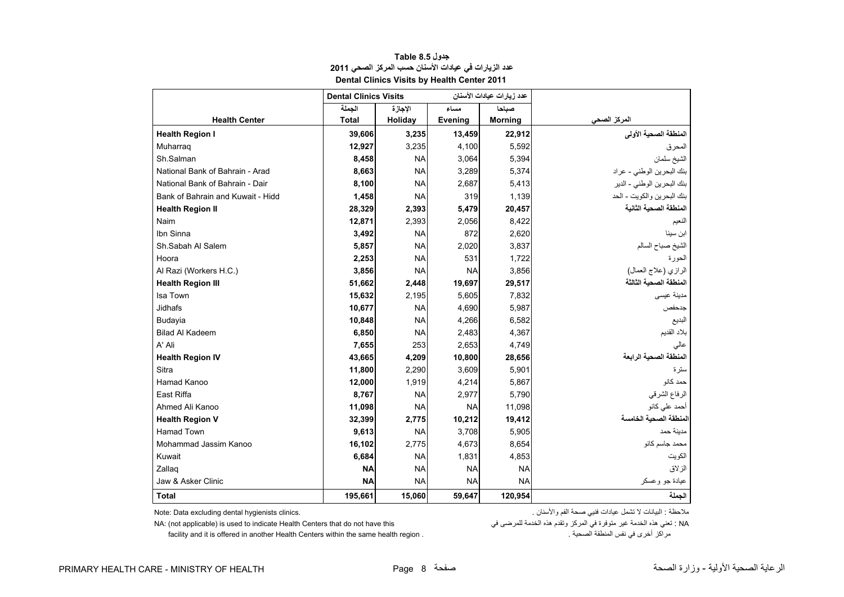<span id="page-8-0"></span>

|                                   | <b>Dental Clinics Visits</b> |           | عدد زيارات عيادات الأسنان |                |                             |
|-----------------------------------|------------------------------|-----------|---------------------------|----------------|-----------------------------|
|                                   | الجملة                       | الإجازة   | مساء                      | صباحا          |                             |
| <b>Health Center</b>              | <b>Total</b>                 | Holiday   | <b>Evening</b>            | <b>Morning</b> | المركز الص <mark>ح</mark> ى |
| <b>Health Region I</b>            | 39,606                       | 3,235     | 13,459                    | 22,912         | المنطقة الصحية الأولى       |
| Muharrag                          | 12,927                       | 3,235     | 4,100                     | 5,592          | المحرق                      |
| Sh.Salman                         | 8,458                        | <b>NA</b> | 3,064                     | 5,394          | الشيخ سلمان                 |
| National Bank of Bahrain - Arad   | 8,663                        | <b>NA</b> | 3,289                     | 5,374          | بنك البحرين الوطني - عراد   |
| National Bank of Bahrain - Dair   | 8,100                        | <b>NA</b> | 2,687                     | 5,413          | بنك البحرين الوطني - الدير  |
| Bank of Bahrain and Kuwait - Hidd | 1,458                        | <b>NA</b> | 319                       | 1,139          | بنك البحرين والكويت - الحد  |
| <b>Health Region II</b>           | 28,329                       | 2,393     | 5,479                     | 20,457         | المنطقة الصحية الثانية      |
| Naim                              | 12,871                       | 2,393     | 2,056                     | 8,422          | الفعيم                      |
| Ibn Sinna                         | 3,492                        | <b>NA</b> | 872                       | 2,620          | ابن سينا                    |
| Sh.Sabah Al Salem                 | 5,857                        | <b>NA</b> | 2,020                     | 3,837          | الشيخ صباح السالم           |
| Hoora                             | 2,253                        | <b>NA</b> | 531                       | 1,722          | لحورة                       |
| Al Razi (Workers H.C.)            | 3,856                        | <b>NA</b> | <b>NA</b>                 | 3,856          | الرازي (علاج العمال)        |
| <b>Health Region III</b>          | 51,662                       | 2,448     | 19,697                    | 29,517         | المنطقة الصحية الثالثة      |
| Isa Town                          | 15,632                       | 2,195     | 5,605                     | 7,832          | مدينة عيسى                  |
| <b>Jidhafs</b>                    | 10,677                       | <b>NA</b> | 4,690                     | 5,987          | جدحفص                       |
| Budayia                           | 10,848                       | <b>NA</b> | 4,266                     | 6,582          | البديع                      |
| <b>Bilad Al Kadeem</b>            | 6,850                        | <b>NA</b> | 2,483                     | 4,367          | بلاد القديم                 |
| A' Ali                            | 7,655                        | 253       | 2,653                     | 4,749          | عالي                        |
| <b>Health Region IV</b>           | 43,665                       | 4,209     | 10,800                    | 28,656         | لمنطقة الصحية الرابعة       |
| Sitra                             | 11,800                       | 2,290     | 3,609                     | 5,901          | ستر ۃ                       |
| Hamad Kanoo                       | 12,000                       | 1,919     | 4,214                     | 5,867          | حمد كانو                    |
| East Riffa                        | 8,767                        | <b>NA</b> | 2,977                     | 5,790          | الرفاع الشرقي               |
| Ahmed Ali Kanoo                   | 11,098                       | <b>NA</b> | <b>NA</b>                 | 11,098         | أحمد على كانو               |
| <b>Health Region V</b>            | 32,399                       | 2,775     | 10,212                    | 19,412         | لمنطقة الصحية الخامسة       |
| <b>Hamad Town</b>                 | 9,613                        | <b>NA</b> | 3,708                     | 5,905          | مدينة حمد                   |
| Mohammad Jassim Kanoo             | 16,102                       | 2,775     | 4,673                     | 8,654          | محمد جاسم كانو              |
| Kuwait                            | 6,684                        | <b>NA</b> | 1,831                     | 4,853          | الكويت                      |
| Zallag                            | <b>NA</b>                    | <b>NA</b> | <b>NA</b>                 | <b>NA</b>      | الزلاق                      |
| Jaw & Asker Clinic                | <b>NA</b>                    | <b>NA</b> | <b>NA</b>                 | <b>NA</b>      | عيادة جو وعسكر              |
| <b>Total</b>                      | 195,661                      | 15,060    | 59,647                    | 120,954        | الحملة                      |

**جدول 8.5 Table عدد الزيارات في عيادات األسنان حسب المركز الصحي <sup>2011</sup> Dental Clinics Visits by Health Center 2011** 

مالحظة : البيانات ال تشمل عيادات فنيي صحة الفم واألسنان . .clinics hygienists dental excluding Data :Note

NA: (not applicable) is used to indicate Health Centers that do not have this فتغي هذه الخدمة في المركز وتقدم هذه الخدمة للمرضى في "NA: (not applicable) is used to indicate Health Centers that do not have this

facility and it is offered in another Health Centers within the same health region . . الصحية المنطقة نفس في أخرى مراكز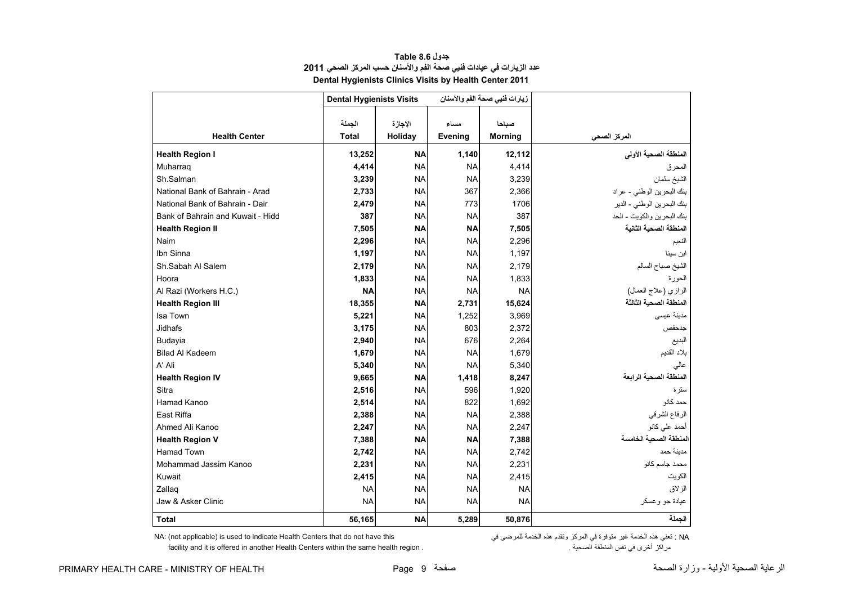<span id="page-9-0"></span>

|                                   | <b>Dental Hygienists Visits</b> |                    | زيارات فنيي صحة الفم والأسنان |                         |                            |
|-----------------------------------|---------------------------------|--------------------|-------------------------------|-------------------------|----------------------------|
| <b>Health Center</b>              | الجملة<br><b>Total</b>          | الاجازة<br>Holiday | مساء<br>Evening               | صباحا<br><b>Morning</b> | المركز الصحى               |
| <b>Health Region I</b>            | 13,252                          | <b>NA</b>          | 1,140                         | 12,112                  | المنطقة الصحية الأولى      |
| Muharraq                          | 4,414                           | <b>NA</b>          | <b>NA</b>                     | 4,414                   | المحرق                     |
| Sh.Salman                         | 3,239                           | <b>NA</b>          | <b>NA</b>                     | 3,239                   | الشيخ سلمان                |
| National Bank of Bahrain - Arad   | 2,733                           | <b>NA</b>          | 367                           | 2,366                   | بنك البحرين الوطني - عراد  |
| National Bank of Bahrain - Dair   | 2,479                           | <b>NA</b>          | 773                           | 1706                    | بنك البحرين الوطني - الدير |
| Bank of Bahrain and Kuwait - Hidd | 387                             | <b>NA</b>          | <b>NA</b>                     | 387                     | بنك البحرين والكويت - الحد |
| <b>Health Region II</b>           | 7,505                           | <b>NA</b>          | <b>NA</b>                     | 7,505                   | المنطقة الصحية الثانية     |
| Naim                              | 2,296                           | <b>NA</b>          | <b>NA</b>                     | 2,296                   | النعيم                     |
| Ibn Sinna                         | 1,197                           | <b>NA</b>          | <b>NA</b>                     | 1,197                   | ابن سينا                   |
| Sh.Sabah Al Salem                 | 2,179                           | <b>NA</b>          | <b>NA</b>                     | 2,179                   | الشيخ صباح السالم          |
| Hoora                             | 1,833                           | <b>NA</b>          | <b>NA</b>                     | 1,833                   | الحورة                     |
| Al Razi (Workers H.C.)            | <b>NA</b>                       | <b>NA</b>          | <b>NA</b>                     | <b>NA</b>               | الرازي (علاج العمال)       |
| <b>Health Region III</b>          | 18,355                          | <b>NA</b>          | 2,731                         | 15,624                  | المنطقة الصحية الثالثة     |
| Isa Town                          | 5,221                           | <b>NA</b>          | 1,252                         | 3,969                   | مدينة عيسى                 |
| Jidhafs                           | 3,175                           | <b>NA</b>          | 803                           | 2,372                   | جدحفص                      |
| Budayia                           | 2,940                           | <b>NA</b>          | 676                           | 2,264                   | البديع                     |
| <b>Bilad Al Kadeem</b>            | 1,679                           | <b>NA</b>          | <b>NA</b>                     | 1,679                   | بلاد القديم                |
| A' Ali                            | 5,340                           | <b>NA</b>          | <b>NA</b>                     | 5,340                   | عالى                       |
| <b>Health Region IV</b>           | 9,665                           | <b>NA</b>          | 1,418                         | 8,247                   | المنطقة الصحية الرابعة     |
| Sitra                             | 2,516                           | <b>NA</b>          | 596                           | 1,920                   | ستر ۃ                      |
| Hamad Kanoo                       | 2,514                           | <b>NA</b>          | 822                           | 1,692                   | حمد كانو                   |
| East Riffa                        | 2,388                           | <b>NA</b>          | <b>NA</b>                     | 2,388                   | الرفاع الشرقي              |
| Ahmed Ali Kanoo                   | 2,247                           | <b>NA</b>          | <b>NA</b>                     | 2,247                   | أحمد على كانو              |
| <b>Health Region V</b>            | 7,388                           | <b>NA</b>          | <b>NA</b>                     | 7,388                   | المنطقة الصحية الخامسة     |
| <b>Hamad Town</b>                 | 2,742                           | <b>NA</b>          | <b>NA</b>                     | 2,742                   | مدينة حمد                  |
| Mohammad Jassim Kanoo             | 2,231                           | <b>NA</b>          | <b>NA</b>                     | 2,231                   | محمد جاسم كانو             |
| Kuwait                            | 2,415                           | <b>NA</b>          | <b>NA</b>                     | 2,415                   | الكويت                     |
| Zallaq                            | <b>NA</b>                       | <b>NA</b>          | <b>NA</b>                     | <b>NA</b>               | الزلاق                     |
| Jaw & Asker Clinic                | <b>NA</b>                       | <b>NA</b>          | <b>NA</b>                     | <b>NA</b>               | عيادة جو وعسكر             |
| <b>Total</b>                      | 56,165                          | <b>NA</b>          | 5,289                         | 50,876                  | الجملة                     |

## **جدول 8.6 Table عدد الزيارات في عيادات فنيي صحة الفم واألسنان حسب المركز الصحي<sup>2011</sup> Dental Hygienists Clinics Visits by Health Center 2011**

facility and it is offered in another Health Centers within the same health region .

NA: (not applicable) is used to indicate Health Centers that do not have this في المركز وتقدم هذه الخدمة للمرضى في المركز في المركز في الحدمة للمرضى في الخدمة للمرضى في الخدمة للمرضى في<br>مراكز أخرى في نفس المنطقة الصحية .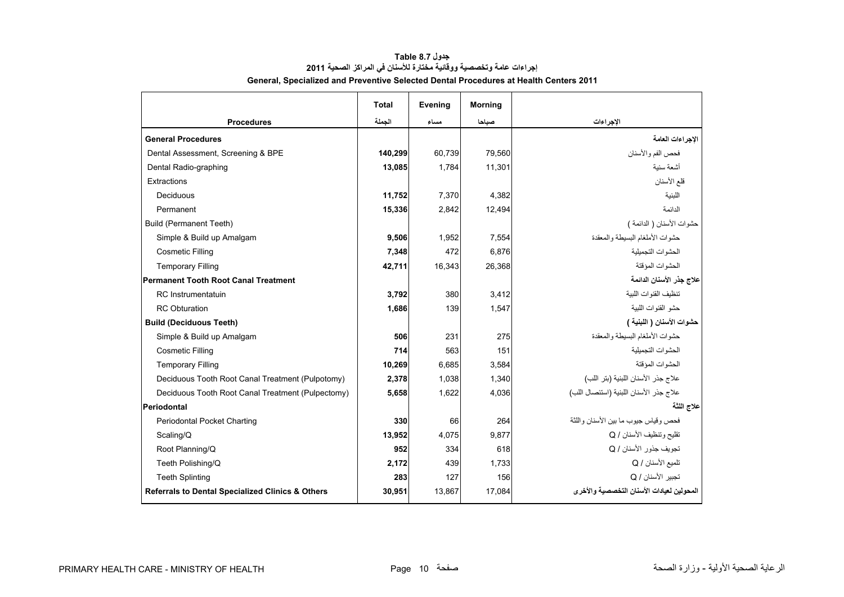<span id="page-10-0"></span>

|                                                   | <b>Total</b> | Evening | <b>Morning</b> |                                            |
|---------------------------------------------------|--------------|---------|----------------|--------------------------------------------|
| <b>Procedures</b>                                 | الجملة       | مساء    | صباحا          | الإجراءات                                  |
| <b>General Procedures</b>                         |              |         |                | الإجراءات العامة                           |
| Dental Assessment, Screening & BPE                | 140,299      | 60,739  | 79,560         | فحص الفم والأسنان                          |
| Dental Radio-graphing                             | 13,085       | 1.784   | 11.301         | أشعة سنبة                                  |
| Extractions                                       |              |         |                | قلع الأسنان                                |
| Deciduous                                         | 11,752       | 7,370   | 4,382          | اللينية                                    |
| Permanent                                         | 15,336       | 2.842   | 12.494         | الدائمة                                    |
| Build (Permanent Teeth)                           |              |         |                | حشوات الأسنان ( الدائمة )                  |
| Simple & Build up Amalgam                         | 9,506        | 1,952   | 7,554          | حشوات الأملغام البسيطة والمعقدة            |
| <b>Cosmetic Filling</b>                           | 7,348        | 472     | 6.876          | الحشوات التجمبلبة                          |
| <b>Temporary Filling</b>                          | 42,711       | 16.343  | 26.368         | الحشوات المؤقتة                            |
| Permanent Tooth Root Canal Treatment              |              |         |                | علاج جذر الأسنان الدائمة                   |
| <b>RC</b> Instrumentatuin                         | 3,792        | 380     | 3.412          | تنظيف القنوات اللببة                       |
| <b>RC</b> Obturation                              | 1,686        | 139     | 1,547          | حشو القنوات اللبية                         |
| <b>Build (Deciduous Teeth)</b>                    |              |         |                | حشوات الأسنان ( اللبنية )                  |
| Simple & Build up Amalgam                         | 506          | 231     | 275            | حشوات الأملغام البسيطة والمعقدة            |
| <b>Cosmetic Filling</b>                           | 714          | 563     | 151            | الحشوات التجميلية                          |
| <b>Temporary Filling</b>                          | 10,269       | 6.685   | 3,584          | الحشوات المؤقتة                            |
| Deciduous Tooth Root Canal Treatment (Pulpotomy)  | 2,378        | 1,038   | 1.340          | علاج جذر الأسنان اللبنية (بتر اللب)        |
| Deciduous Tooth Root Canal Treatment (Pulpectomy) | 5,658        | 1,622   | 4,036          | علاج جذر الأسنان اللبنية (استئصال اللب)    |
| Periodontal                                       |              |         |                | علاج اللثة                                 |
| <b>Periodontal Pocket Charting</b>                | 330          | 66      | 264            | فحص وقباس جبوب ما بين الأسنان واللثة       |
| Scaling/Q                                         | 13,952       | 4,075   | 9,877          | تقليح وتنظيف الأسنان / Q                   |
| Root Planning/Q                                   | 952          | 334     | 618            | تجويف جذور الأسنا <i>ن  </i> Q             |
| Teeth Polishing/Q                                 | 2,172        | 439     | 1.733          | تلميع الأسنان / Q                          |
| <b>Teeth Splinting</b>                            | 283          | 127     | 156            | تجبير الأسنان / Q                          |
| Referrals to Dental Specialized Clinics & Others  | 30,951       | 13,867  | 17,084         | المحولين لعيادات الأسنان التخصصية والأخر ي |

# **جدول 8.7 Table إجراءات عامة وتخصصية ووقائية مختارة لألسنان في المراكز الصحية <sup>2011</sup> General, Specialized and Preventive Selected Dental Procedures at Health Centers 2011**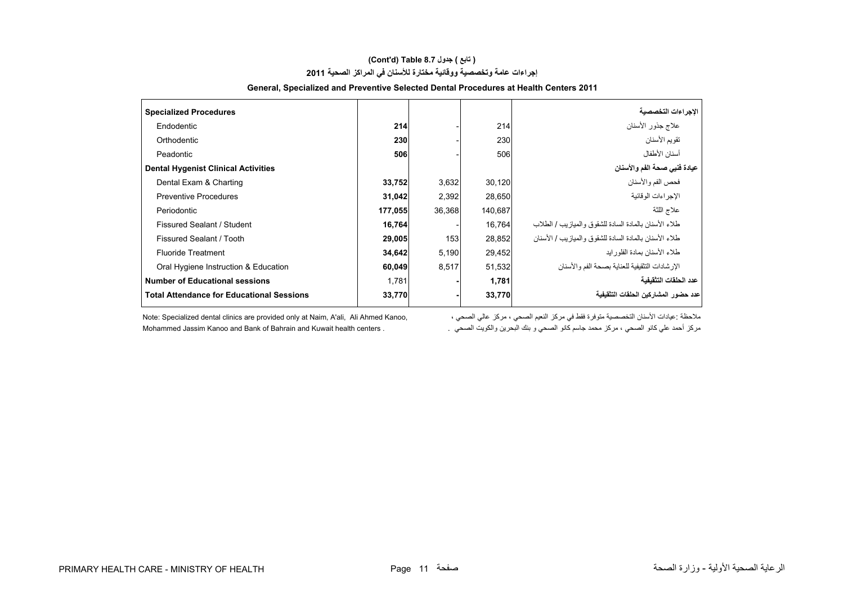# **(Cont'd) Table 8.7 جدول ) تابع( إجراءات عامة وتخصصية ووقائية مختارة لألسنان في المراكز الصحية <sup>2011</sup>**

| <b>Specialized Procedures</b>                    |         |        |         | الاجراءات التخصصية                                      |
|--------------------------------------------------|---------|--------|---------|---------------------------------------------------------|
| Endodentic                                       | 214     |        | 214     | علاج جذور الأسنان                                       |
| Orthodentic                                      | 230     |        | 230     | تقويم الأسنان                                           |
| Peadontic                                        | 506     |        | 506     | أسنان الأطفال                                           |
| <b>Dental Hygenist Clinical Activities</b>       |         |        |         | عيادة فنيي صحة الفم والأسنان                            |
| Dental Exam & Charting                           | 33,752  | 3,632  | 30,120  | فحص الفم والأسنان                                       |
| <b>Preventive Procedures</b>                     | 31,042  | 2,392  | 28,650  | الاجر اءات الو قائبة                                    |
| Periodontic                                      | 177,055 | 36,368 | 140,687 | علاج اللثة                                              |
| Fissured Sealant / Student                       | 16,764  |        | 16.764  | طلاء الأسنان بالمادة السادة للشقوق والمياز بب / الطلاب  |
| Fissured Sealant / Tooth                         | 29,005  | 153    | 28,852  | طلاء الأسنان بالمادة السادة للشقوق والمباز بب / الأسنان |
| <b>Fluoride Treatment</b>                        | 34,642  | 5,190  | 29,452  | طلاء الأسنان بمادة الفلور ابد                           |
| Oral Hygiene Instruction & Education             | 60,049  | 8,517  | 51,532  | الإر شادات التثقيفية للعناية بصحة الفم و الأسنان        |
| <b>Number of Educational sessions</b>            | 1,781   |        | 1,781   | عدد الحلقات التثقيفية                                   |
| <b>Total Attendance for Educational Sessions</b> | 33,770  |        | 33,770  | عدد حضور المشاركين الحلقات التثقيفية                    |

#### **General, Specialized and Preventive Selected Dental Procedures at Health Centers 2011**

.<br>ملاحظة :عيادات الأسنان التخصصية متوفرة فقط في مركز النعيم الصحي ، مركز عالي الصحي ، مركز معالي الصحي مركز الل مركز أحمد علي كانو الصحي ، مركز محمد جاسم كانو الصحي و بنك البحرين والكويت الصحي . . Mohammed Jassim Kanoo and Bank of Bahrain and Kuwait health centers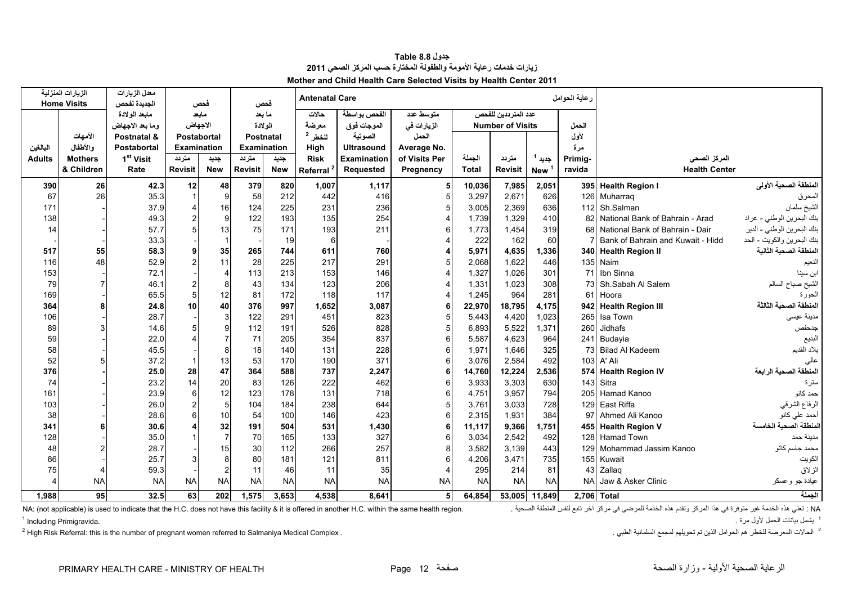<span id="page-12-0"></span>

|               | الزيارات المنزلية<br><b>Home Visits</b> | <mark>معدل الزيارات</mark><br>الجديدة لفحص |                    | فحص            | فحص              |            | عاية الحوامل<br><b>Antenatal Care</b> |                   |               |                         |                     |            |             |                                   |                            |
|---------------|-----------------------------------------|--------------------------------------------|--------------------|----------------|------------------|------------|---------------------------------------|-------------------|---------------|-------------------------|---------------------|------------|-------------|-----------------------------------|----------------------------|
|               |                                         | مابعد الو لادة                             |                    | مابعد          | ما بعد           |            | حالات                                 | الفحص بواسطة      | متوسط عدد     |                         | عدد المترددين للفحص |            |             |                                   |                            |
|               |                                         | وما بعد الاجهاض                            | الاجهاض            |                | الولادة          |            | معرضة                                 | الموجات فوق       | الزيارات في   | <b>Number of Visits</b> |                     | الحمل      |             |                                   |                            |
|               | الأمهات                                 | Postnatal &                                | <b>Postabortal</b> |                | <b>Postnatal</b> |            | للخطر 2                               | الصوتية           | الحمل         |                         |                     |            | لأول        |                                   |                            |
| البالغين      | والأطفال                                | Postabortal                                | Examination        |                | Examination      |            | High                                  | <b>Ultrasound</b> | Average No.   |                         |                     |            | مرة         |                                   |                            |
| <b>Adults</b> | <b>Mothers</b>                          | 1 <sup>st</sup> Visit                      | متردد              | جديد           | متردد            | جديد       | <b>Risk</b>                           | Examination       | of Visits Per | الجملة                  | متردد               | جديد 1     | Primig-     | المركز الصحى                      |                            |
|               | & Children                              | Rate                                       | <b>Revisit</b>     | <b>New</b>     | <b>Revisit</b>   | <b>New</b> | Referral <sup>2</sup>                 | Requested         | Pregnency     | <b>Total</b>            | <b>Revisit</b>      | <b>New</b> | ravida      | <b>Health Center</b>              |                            |
| 390           | 26                                      | 42.3                                       | 12                 | 48             | 379              | 820        | 1,007                                 | 1,117             |               | 10,036                  | 7,985               | 2,051      |             | 395 Health Region I               | المنطقة الصحية الأولى      |
| 67            | 26                                      | 35.3                                       |                    | 9              | 58               | 212        | 442                                   | 416               |               | 3,297                   | 2,671               | 626        | 126         | Muharraq                          | المحرق                     |
| 171           |                                         | 37.9                                       |                    | 16             | 124              | 225        | 231                                   | 236               |               | 3,005                   | 2,369               | 636        |             | 112 Sh.Salman                     | الشيخ سلمان                |
| 138           |                                         | 49.3                                       |                    | 9              | 122              | 193        | 135                                   | 254               |               | 1,739                   | 1,329               | 410        | 82          | National Bank of Bahrain - Arad   | بنك البحرين الوطني - عراد  |
| 14            |                                         | 57.7                                       |                    | 13             | 75               | 171        | 193                                   | 211               |               | 1,773                   | 1,454               | 319        | 68          | National Bank of Bahrain - Dair   | بنك البحرين الوطني - الدير |
|               |                                         | 33.3                                       |                    |                |                  | 19         | 6                                     |                   |               | 222                     | 162                 | 60         |             | Bank of Bahrain and Kuwait - Hidd | بنك البحرين والكويت - الحد |
| 517           | 55                                      | 58.3                                       | $\alpha$           | 35             | 265              | 744        | 611                                   | 760               |               | 5,971                   | 4,635               | 1,336      |             | 340 Health Region II              | لمنطقة الصحية الثانية      |
| 116           | 48                                      | 52.9                                       |                    | 11             | 28               | 225        | 217                                   | 291               |               | 2,068                   | 1,622               | 446        |             | 135 Naim                          | النعيم                     |
| 153           |                                         | 72.1                                       |                    | $\overline{4}$ | 113              | 213        | 153                                   | 146               |               | 1,327                   | 1,026               | 301        | 71          | Ibn Sinna                         | ابن سينا                   |
| 79            | $\overline{7}$                          | 46.1                                       | $\overline{2}$     | 8              | 43               | 134        | 123                                   | 206               |               | 1,331                   | 1,023               | 308        | 73          | Sh.Sabah Al Salem                 | الشيخ صباح السالم          |
| 169           |                                         | 65.5                                       | 5                  | 12             | 81               | 172        | 118                                   | 117               |               | 1,245                   | 964                 | 281        | 61          | Hoora                             | الحورة                     |
| 364           | 8                                       | 24.8                                       | 10                 | 40             | 376              | 997        | 1,652                                 | 3,087             |               | 22,970                  | 18,795              | 4,175      |             | 942 Health Region III             | المنطقة الصحية الثالثة     |
| 106           |                                         | 28.7                                       |                    | 3              | 122              | 291        | 451                                   | 823               |               | 5,443                   | 4,420               | 1,023      | 265         | Isa Town                          | ىدينة عيسى                 |
| 89            | 3                                       | 14.6                                       |                    | 9              | 112              | 191        | 526                                   | 828               |               | 6,893                   | 5,522               | 1,371      | 260         | Jidhafs                           | جدحفص                      |
| 59            |                                         | 22.0                                       |                    | 7              | 71               | 205        | 354                                   | 837               |               | 5,587                   | 4,623               | 964        | 241         | Budayia                           | لبديع                      |
| 58            |                                         | 45.5                                       |                    | 8              | 18               | 140        | 131                                   | 228               |               | 1.971                   | 1.646               | 325        | 73          | <b>Bilad Al Kadeem</b>            | بلاد القديم                |
| 52            |                                         | 37.2                                       |                    | 13             | 53               | 170        | 190                                   | 371               |               | 3,076                   | 2,584               | 492        | 103         | A' Ali                            | عالى                       |
| 376           |                                         | 25.0                                       | 28                 | 47             | 364              | 588        | 737                                   | 2,247             |               | 14,760                  | 12,224              | 2,536      | 574         | <b>Health Region IV</b>           | المنطقة الصحية الرابعة     |
| 74            |                                         | 23.2                                       | 14                 | 20             | 83               | 126        | 222                                   | 462               |               | 3,933                   | 3,303               | 630        | 143         | Sitra                             | سترة                       |
| 161           |                                         | 23.9                                       | 6                  | 12             | 123              | 178        | 131                                   | 718               |               | 4,751                   | 3,957               | 794        | 205         | Hamad Kanoo                       | حمد كانو                   |
| 103           |                                         | 26.0                                       | $\overline{2}$     | 5              | 104              | 184        | 238                                   | 644               |               | 3,761                   | 3,033               | 728        | 129         | East Riffa                        | الرفاع الشرقي              |
| 38            |                                         | 28.6                                       |                    | 10             | 54               | 100        | 146                                   | 423               |               | 2,315                   | 1,931               | 384        | 97          | Ahmed Ali Kanoo                   | أحمد على كانو              |
| 341           |                                         | 30.6                                       |                    | 32             | 191              | 504        | 531                                   | 1,430             |               | 11,117                  | 9,366               | 1,751      |             | 455 Health Region V               | المنطقة الصحبة الخامسة     |
| 128           |                                         | 35.0                                       |                    | $\overline{7}$ | 70               | 165        | 133                                   | 327               |               | 3,034                   | 2,542               | 492        | 128         | <b>Hamad Town</b>                 | مدينة حمد                  |
| 48            |                                         | 28.7                                       |                    | 15             | 30               | 112        | 266                                   | 257               |               | 3,582                   | 3,139               | 443        | 129         | Mohammad Jassim Kanoo             | محمد جاسم كانو             |
| 86            |                                         | 25.7                                       |                    | $\mathbf{8}$   | 80               | 181        | 121                                   | 811               |               | 4,206                   | 3,471               | 735        | 155         | Kuwait                            | الكويت                     |
| 75            | 4                                       | 59.3                                       |                    | $\mathcal{P}$  | 11               | 46         | 11                                    | 35                |               | 295                     | 214                 | 81         | 43          | Zallaq                            | الزلاق                     |
|               | <b>NA</b>                               | <b>NA</b>                                  | <b>NA</b>          | <b>NA</b>      | <b>NA</b>        | <b>NA</b>  | <b>NA</b>                             | <b>NA</b>         | <b>NA</b>     | <b>NA</b>               | <b>NA</b>           | <b>NA</b>  | <b>NA</b>   | Jaw & Asker Clinic                | عيادة جو وعسكر             |
| 1.988         | 95                                      | 32.5                                       | 63                 | 202            | 1.575            | 3.653      | 4.538                                 | 8.641             | 5             | 64,854                  | 53,005              | 11.849     | 2.706 Total |                                   | الحملة                     |

**جدول 8.8 Table زيارات خدمات رعاية األمومة والطفولة المختارة حسب المركز الصحي <sup>2011</sup> Mother and Child Health Care Selected Visits by Health Center 2011**

.<br>NA: (not applicable) is used to indicate that the H.C. does not have this facility & it is offered in another H.C. within the same health region. كغني هذه الخدمة فالمركز وتقدم هذه الخدمة للعرضي في مركز آخر تابع لنفس الم

2 High Risk Referral: this is the number of pregnant women referred to Salmaniya Medical Complex . . الطبي السلمانية لمجمع تحويلھم تم الذين الحوامل ھم للخطر المعرضة الحاالت <sup>2</sup>

<sup>1</sup> يشمل بيانات الحمل لأول مرة <sub>.</sub> يشمل بيانات الحمل ألول مرة . .Primigravida Including 1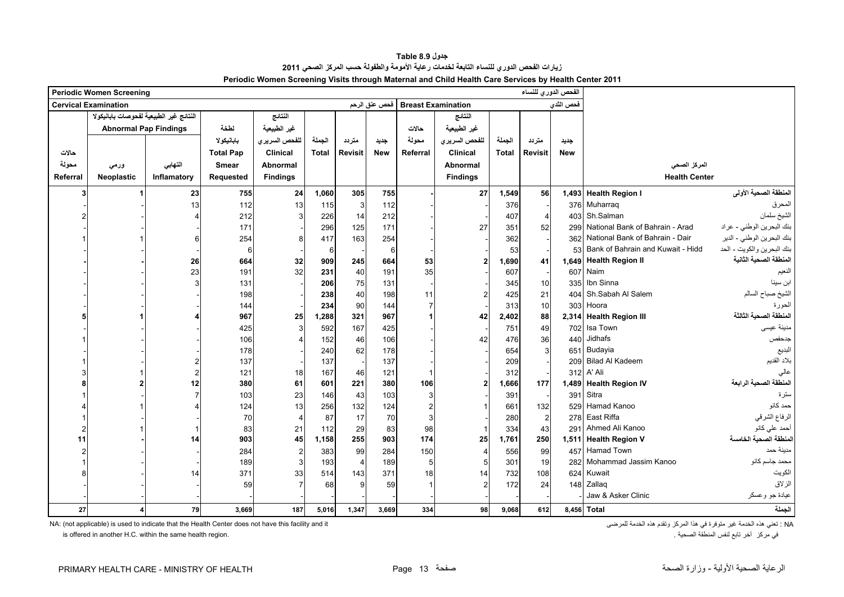<span id="page-13-0"></span>

|          | <b>Periodic Women Screening</b>         |             |                  |                 |              |                |            |                                    |                 | الفحص الدوري للنساء |                |            |                                     |                            |
|----------|-----------------------------------------|-------------|------------------|-----------------|--------------|----------------|------------|------------------------------------|-----------------|---------------------|----------------|------------|-------------------------------------|----------------------------|
|          | <b>Cervical Examination</b>             |             |                  |                 |              |                |            | Breast Examination   فحص عنق الرحم |                 |                     |                | فحص الثدى  |                                     |                            |
|          | النتائج غير الطبيعية لفحوصات بابانيكولا |             |                  | النتائج         |              |                |            |                                    | النتائج         |                     |                |            |                                     |                            |
|          | <b>Abnormal Pap Findings</b>            |             | لطخة             | غير الطبيعية    |              |                |            | حالات                              | غير الطبيعية    |                     |                |            |                                     |                            |
|          |                                         |             | بابانيكولا       | للفحص السريري   | الجملة       | متردد          | جديد       | محولة                              | للفحص السريري   | الجملة              | متردد          | جديد       |                                     |                            |
| حالات    |                                         |             | <b>Total Pap</b> | <b>Clinical</b> | <b>Total</b> | <b>Revisit</b> | <b>New</b> | Referral                           | <b>Clinical</b> | <b>Total</b>        | <b>Revisit</b> | <b>New</b> |                                     |                            |
| محولة    | ورمى                                    | التهابي     | <b>Smear</b>     | <b>Abnormal</b> |              |                |            |                                    | Abnormal        |                     |                |            | المركز الصحى                        |                            |
| Referral | <b>Neoplastic</b>                       | Inflamatory | Requested        | <b>Findings</b> |              |                |            |                                    | <b>Findings</b> |                     |                |            | <b>Health Center</b>                |                            |
| 3        |                                         | 23          | 755              | 24              | 1,060        | 305            | 755        |                                    | 27              | 1,549               | 56             |            | 1,493 Health Region I               | المنطقة الصحية الأولى      |
|          |                                         | 13          | 112              | 13              | 115          | 3              | 112        |                                    |                 | 376                 |                |            | 376 Muharraq                        | المحرق                     |
|          |                                         |             | 212              | 3               | 226          | 14             | 212        |                                    |                 | 407                 | $\overline{4}$ |            | 403 Sh.Salman                       | الشيخ سلمان                |
|          |                                         |             | 171              |                 | 296          | 125            | 171        |                                    | 27              | 351                 | 52             | 299        | National Bank of Bahrain - Arad     | بنك البحرين الوطني - عراد  |
|          |                                         |             | 254              | 8               | 417          | 163            | 254        |                                    |                 | 362                 |                |            | 362 National Bank of Bahrain - Dair | بنك البحرين الوطني - الدير |
|          |                                         |             | 6                |                 | 6            |                | 6          |                                    |                 | 53                  |                | 53         | Bank of Bahrain and Kuwait - Hidd   | بنك البحرين والكويت - الحد |
|          |                                         | 26          | 664              | 32              | 909          | 245            | 664        | 53                                 |                 | 1,690               | 41             |            | 1,649 Health Region II              | المنطقة الصحية الثانية     |
|          |                                         | 23          | 191              | 32              | 231          | 40             | 191        | 35                                 |                 | 607                 |                | 607        | Naim                                | النعيم                     |
|          |                                         |             | 131              |                 | 206          | 75             | 131        |                                    |                 | 345                 | 10             | 335        | Ibn Sinna                           | ابن سينا                   |
|          |                                         |             | 198              |                 | 238          | 40             | 198        | 11                                 |                 | 425                 | 21             | 404        | Sh.Sabah Al Salem                   | الشيخ صباح السالم          |
|          |                                         |             | 144              |                 | 234          | 90             | 144        |                                    |                 | 313                 | 10             | 303        | Hoora                               | الحورة                     |
|          |                                         |             | 967              | 25              | 1,288        | 321            | 967        |                                    | 42              | 2,402               | 88             |            | 2,314 Health Region III             | المنطقة الصحية الثالثة     |
|          |                                         |             | 425              |                 | 592          | 167            | 425        |                                    |                 | 751                 | 49             | 702        | Isa Town                            | مدينة عيسى                 |
|          |                                         |             | 106              |                 | 152          | 46             | 106        |                                    | 42              | 476                 | 36             | 440        | Jidhafs                             | جدحفص                      |
|          |                                         |             | 178              |                 | 240          | 62             | 178        |                                    |                 | 654                 | 3              | 651        | Budayia                             | البديع                     |
|          |                                         |             | 137              |                 | 137          |                | 137        |                                    |                 | 209                 |                | 209        | <b>Bilad Al Kadeem</b>              | بلاد القديم                |
|          |                                         |             | 121              | 18              | 167          | 46             | 121        |                                    |                 | 312                 |                |            | 312 A' Ali                          | عالى                       |
|          |                                         | 12          | 380              | 61              | 601          | 221            | 380        | 106                                | $\overline{2}$  | 1,666               | 177            |            | 1,489 Health Region IV              | المنطقة الصحية الرابعة     |
|          |                                         |             | 103              | 23              | 146          | 43             | 103        |                                    |                 | 391                 |                | 391        | Sitra                               | سترة                       |
|          |                                         |             | 124              | 13              | 256          | 132            | 124        |                                    |                 | 661                 | 132            | 529        | Hamad Kanoo                         | حمد كانو                   |
|          |                                         |             | 70               |                 | 87           | 17             | 70         |                                    |                 | 280                 | $\overline{2}$ |            | 278 East Riffa                      | الرفاع الشرقي              |
|          |                                         |             | 83               | 21              | 112          | 29             | 83         | 98                                 |                 | 334                 | 43             | 291        | Ahmed Ali Kanoo                     | أحمد على كانو              |
| 11       |                                         | 14          | 903              | 45              | 1,158        | 255            | 903        | 174                                | 25              | 1,761               | 250            |            | 1,511 Health Region V               | المنطقة الصحية الخامسة     |
|          |                                         |             | 284              | $\overline{2}$  | 383          | 99             | 284        | 150                                |                 | 556                 | 99             |            | 457 Hamad Town                      | مدينة حمد                  |
|          |                                         |             | 189              |                 | 193          |                | 189        | 5                                  |                 | 301                 | 19             | 282        | Mohammad Jassim Kanoo               | محمد جاسم كانو             |
|          |                                         | 14          | 371              | 33              | 514          | 143            | 371        | 18 <sup>l</sup>                    | 14              | 732                 | 108            | 624        | Kuwait                              | الكويت                     |
|          |                                         |             | 59               |                 | 68           | 9              | 59         |                                    |                 | 172                 | 24             |            | 148 Zallaq                          | الزلاق                     |
|          |                                         |             |                  |                 |              |                |            |                                    |                 |                     |                |            | Jaw & Asker Clinic                  | عيادة جو وعسكر             |
| 27       |                                         | 79          | 3,669            | 187             | 5.016        | 1,347          | 3.669      | 334                                | 98              | 9,068               | 612            |            | 8,456 Total                         | الجملة                     |

**جدول 8.9 Table زيارات الفحص الدوري للنساء التابعة لخدمات رعاية األمومة والطفولة حسب المركز الصحي <sup>2011</sup> Periodic Women Screening Visits through Maternal and Child Health Care Services by Health Center 2011**

NA: (not applicable) is used to indicate that the Health Center does not have this facility and it تغني هذه الخدمة غير متوفرة في هذا المركز وتقدم هذه الخدمة للمرضى الخدمة هذه الخدمة للمرضى الخدمة للمرضى الخدمة للمرضى : NA

is offered in another H.C. within the same health region. . الصحية المنطقة لنفس تابع آخر مركز في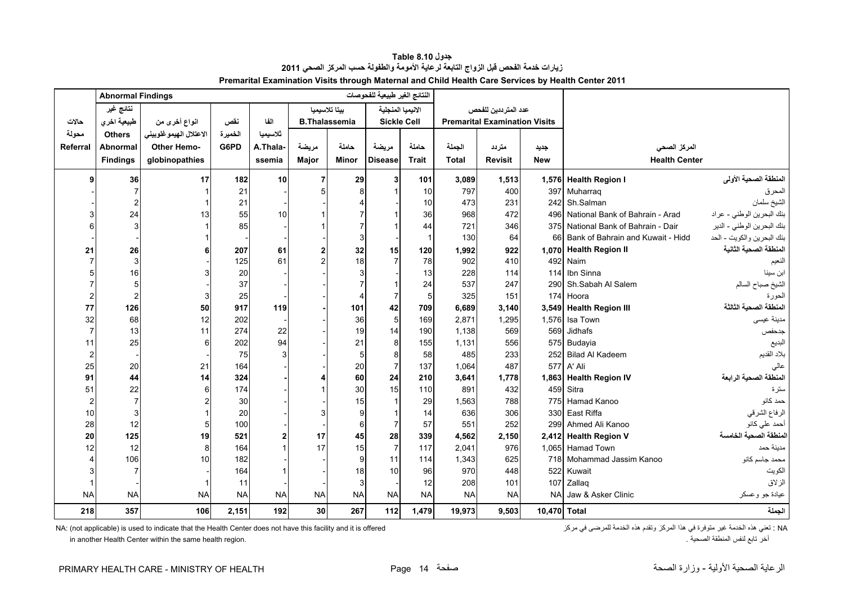<span id="page-14-0"></span>

|                       | <b>Abnormal Findings</b> |                        |           |           |                      |              | النتائج الغير طبيعية للفحوصات |                |              |                                      |              |                                      |                            |
|-----------------------|--------------------------|------------------------|-----------|-----------|----------------------|--------------|-------------------------------|----------------|--------------|--------------------------------------|--------------|--------------------------------------|----------------------------|
|                       | نتائج غير                |                        |           |           | بيتا تلاسيميا        |              | الانيميا المنجلية             |                |              | عدد المترددين للفحص                  |              |                                      |                            |
| حالات                 | طبيعية اخرى              | انواع أخرى من          | نقص       | الفا      | <b>B.Thalassemia</b> |              | <b>Sickle Cell</b>            |                |              | <b>Premarital Examination Visits</b> |              |                                      |                            |
| محولة                 | <b>Others</b>            | الاعتلال الهيموغلوبيني | الخميرة   | ثلاسيميا  |                      |              |                               |                |              |                                      |              |                                      |                            |
| Referra               | <b>Abnormal</b>          | <b>Other Hemo-</b>     | G6PD      | A.Thala-  | مريضة                | حاملة        | مريضة                         | حاملة          | الجملة       | متردد                                | جديد         | المركز الصحى                         |                            |
|                       | <b>Findings</b>          | globinopathies         |           | ssemia    | Major                | <b>Minor</b> | <b>Disease</b>                | <b>Trait</b>   | <b>Total</b> | <b>Revisit</b>                       | <b>New</b>   | <b>Health Center</b>                 |                            |
| q                     | 36                       | 17                     | 182       | 10        | 7                    | 29           | 3                             | 101            | 3,089        | 1,513                                |              | 1,576 Health Region I                | المنطقة الصحية الأولى      |
|                       | 7                        |                        | 21        |           |                      |              | 1                             | 10             | 797          | 400                                  |              | 397 Muharraq                         | المحرق                     |
|                       |                          |                        | 21        |           |                      |              |                               | 10             | 473          | 231                                  | 242          | Sh.Salman                            | الشيخ سلمان                |
|                       | 24                       | 13                     | 55        | 10        |                      |              | -1                            | 36             | 968          | 472                                  | 496          | National Bank of Bahrain - Arad      | بنك البحرين الوطني - عراد  |
| 6                     | 3                        |                        | 85        |           |                      |              | -1                            | 44             | 721          | 346                                  |              | 375 National Bank of Bahrain - Dair  | بنك البحرين الوطني - الدير |
|                       |                          |                        |           |           |                      | 3            |                               | $\overline{1}$ | 130          | 64                                   |              | 66 Bank of Bahrain and Kuwait - Hidd | بنك البحرين والكويت - الحد |
| 21                    | 26                       |                        | 207       | 61        |                      | 32           | 15                            | 120            | 1,992        | 922                                  |              | 1,070 Health Region II               | المنطقة الصحبة الثانبة     |
|                       | 3                        |                        | 125       | 61        |                      | 18           | $\overline{7}$                | 78             | 902          | 410                                  |              | 492 Naim                             | النعيم                     |
|                       | 16                       |                        | 20        |           |                      |              |                               | 13             | 228          | 114                                  | 114          | Ibn Sinna                            | ابن سينا                   |
|                       | 5                        |                        | 37        |           |                      |              | $\overline{\mathbf{1}}$       | 24             | 537          | 247                                  | 290          | Sh.Sabah Al Salem                    | الشيخ صباح السالم          |
| $\overline{2}$        | $\overline{2}$           |                        | 25        |           |                      |              | $\overline{7}$                | 5              | 325          | 151                                  |              | 174 Hoora                            | الحورة                     |
| 77                    | 126                      | 50                     | 917       | 119       |                      | 101          | 42                            | 709            | 6,689        | 3,140                                |              | 3,549 Health Region III              | المنطقة الصحية الثالثة     |
| 32                    | 68                       | 12                     | 202       |           |                      | 36           | 5                             | 169            | 2.871        | 1,295                                | 1,576        | Isa Town                             | مدينة عيسى                 |
| $\overline{7}$        | 13                       | 11                     | 274       | 22        |                      | 19           | 14                            | 190            | 1.138        | 569                                  | 569          | Jidhafs                              | جدحفص                      |
| 11                    | 25                       |                        | 202       | 94        |                      | 21           | 8                             | 155            | 1,131        | 556                                  |              | 575 Budayia                          | البديع                     |
| $\overline{2}$        |                          |                        | 75        |           |                      | 5            | 8                             | 58             | 485          | 233                                  |              | 252 Bilad Al Kadeem                  | بلاد القديم                |
| 25                    | 20                       | 21                     | 164       |           |                      | 20           | $\overline{7}$                | 137            | 1,064        | 487                                  |              | 577 A' Ali                           | عالى                       |
| 91                    | 44                       | 14                     | 324       |           |                      | 60           | 24                            | 210            | 3,641        | 1,778                                |              | 1,863 Health Region IV               | المنطقة الصحية الرابعة     |
| 51                    | 22                       |                        | 174       |           |                      | 30           | 15                            | 110            | 891          | 432                                  |              | 459 Sitra                            | سترة                       |
| $\overline{2}$        | $\overline{7}$           |                        | 30        |           |                      | 15           | $\overline{1}$                | 29             | 1,563        | 788                                  |              | 775 Hamad Kanoo                      | حمد كانو                   |
| 10                    | 3                        |                        | 20        |           |                      |              | $\overline{\mathbf{1}}$       | 14             | 636          | 306                                  |              | 330 East Riffa                       | الرفاع الشرقي              |
| 28                    | 12                       |                        | 100       |           |                      | 6            | $\overline{7}$                | 57             | 551          | 252                                  | 299          | Ahmed Ali Kanoo                      | أحمد على كانو              |
| 20                    | 125                      | 19                     | 521       |           | 17                   | 45           | 28                            | 339            | 4,562        | 2,150                                |              | 2,412 Health Region V                | المنطقة الصحية الخامسة     |
| 12                    | 12                       |                        | 164       |           | 17                   | 15           | $\overline{7}$                | 117            | 2,041        | 976                                  |              | 1,065 Hamad Town                     | مدينة حمد                  |
| $\boldsymbol{\Delta}$ | 106                      | 10                     | 182       |           |                      | $\mathbf{Q}$ | 11                            | 114            | 1,343        | 625                                  |              | 718 Mohammad Jassim Kanoo            | محمد جاسم كانو             |
| 3                     | $\overline{7}$           |                        | 164       |           |                      | 18           | 10                            | 96             | 970          | 448                                  | 522          | Kuwait                               | الكويت                     |
|                       |                          |                        | 11        |           |                      | 3            |                               | 12             | 208          | 101                                  |              | 107 Zallaq                           | الزلاق                     |
| <b>NA</b>             | <b>NA</b>                | <b>NA</b>              | <b>NA</b> | <b>NA</b> | <b>NA</b>            | <b>NA</b>    | <b>NA</b>                     | <b>NA</b>      | <b>NA</b>    | <b>NA</b>                            | <b>NA</b>    | Jaw & Asker Clinic                   | عيادة جو وعسكر             |
| 218                   | 357                      | 106                    | 2,151     | 192       | 30 <sup>1</sup>      | 267          | 112                           | 1.479          | 19,973       | 9,503                                | 10,470 Total |                                      | الجملة                     |

**جدول 8.10 Table زيارات خدمة الفحص قبل الزواج التابعة لرعاية األمومة والطفولة حسب المركز الصحي <sup>2011</sup> Premarital Examination Visits through Maternal and Child Health Care Services by Health Center 2011**

NA: (not applicable) is used to indicate that the Health Center does not have this facility and it is offered كتي هذه الخدمة للمركز وتقدم هذه الخدمة للمرضى في مركز الخدمة للمرضى في مركز المركز وتقدم هذه الخدمة للمرضى في م

in another Health Center within the same health region. . الصحية المنطقة لنفس تابع آخر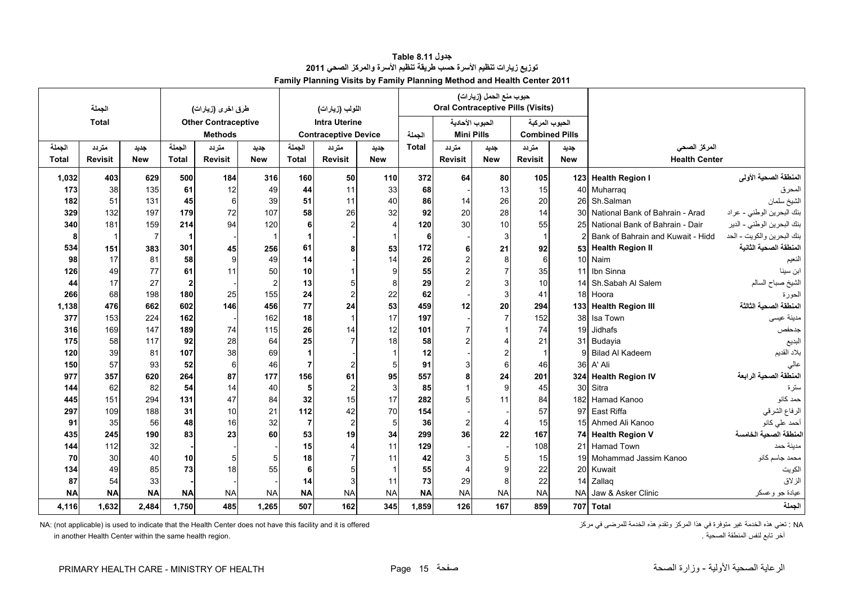<span id="page-15-0"></span>

|              | الجملة         |                |                | طرق اخرى (زيارات)          |                         |                | اللولب (زيارات)             |                 |              |                | حبوب منع الحمل (زيارات) | <b>Oral Contraceptive Pills (Visits)</b> |            |                                   |                            |
|--------------|----------------|----------------|----------------|----------------------------|-------------------------|----------------|-----------------------------|-----------------|--------------|----------------|-------------------------|------------------------------------------|------------|-----------------------------------|----------------------------|
|              | <b>Total</b>   |                |                | <b>Other Contraceptive</b> |                         |                | <b>Intra Uterine</b>        |                 |              |                | الحبوب الأحادية         | الحبوب المركبة                           |            |                                   |                            |
|              |                |                |                | <b>Methods</b>             |                         |                | <b>Contraceptive Device</b> |                 | الحملة       |                | <b>Mini Pills</b>       | <b>Combined Pills</b>                    |            |                                   |                            |
| الجملة       | متردد          | جديد           | الحملة         | متردد                      | جديد                    | الجملة         | متردد                       | جديد            | <b>Total</b> | متردد          | جديد                    | متردد                                    | جديد       | المركز الصحى                      |                            |
| <b>Total</b> | <b>Revisit</b> | <b>New</b>     | <b>Total</b>   | <b>Revisit</b>             | <b>New</b>              | <b>Total</b>   | <b>Revisit</b>              | <b>New</b>      |              | <b>Revisit</b> | <b>New</b>              | <b>Revisit</b>                           | <b>New</b> | <b>Health Center</b>              |                            |
|              |                |                |                |                            | 316                     |                |                             |                 |              |                |                         |                                          |            |                                   | المنطقة الصحية الأولى      |
| 1,032        | 403            | 629<br>135     | 500<br>61      | 184                        | 49                      | 160            | 50<br>11                    | 110<br>33       | 372<br>68    | 64             | 80                      | 105<br>15                                |            | 123 Health Region I               |                            |
| 173<br>182   | 38<br>51       | 131            | 45             | 12<br>6                    | 39                      | 44<br>51       | 11                          | 40              | 86           | 14             | 13<br>26                | 20                                       | 26         | 40 Muharraq<br>Sh.Salman          | المحرق<br>الشيخ سلمان      |
| 329          | 132            | 197            | 179            | 72                         | 107                     | 58             | 26                          | 32              | 92           | 20             | 28                      | 14                                       | 30         | National Bank of Bahrain - Arad   | بنك البحرين الوطني - عراد  |
| 340          | 181            | 159            | 214            | 94                         | 120                     | 6 <sup>1</sup> |                             |                 | 120          | 30             | 10                      | 55                                       | 25         | National Bank of Bahrain - Dair   | بنك البحرين الوطني - الدير |
| -8           | - 1            | $\overline{7}$ | 1              |                            | $\overline{\mathbf{1}}$ | 1              |                             |                 | 6            |                | 3                       |                                          |            | Bank of Bahrain and Kuwait - Hidd | بنك البحرين والكويت - الحد |
| 534          | 151            |                | 301            |                            | 256                     | 61             |                             |                 | 172          |                |                         | 92                                       |            | 53 Health Region II               | المنطقة الصحية الثانية     |
| 98           | 17             | 383<br>81      | 58             | 45<br>9                    | 49                      | 14             |                             | 53<br>14        | 26           | 6              | 21<br>8                 | 6                                        | 10         | Naim                              | النعيم                     |
| 126          | 49             | 77             | 61             | 11                         | 50                      | 10             |                             | 9               | 55           |                |                         | 35                                       | 11         | Ibn Sinna                         | ابن سينا                   |
| 44           | 17             | 27             | $\overline{2}$ |                            | $\overline{2}$          | 13             | 5                           | 8               | 29           |                |                         | 10                                       | 14         | Sh.Sabah Al Salem                 | الشيخ صباح السالم          |
| 266          | 68             | 198            | 180            | 25                         | 155                     | 24             | $\overline{2}$              | 22              | 62           |                | 3                       | 41                                       | 18         | Hoora                             | الحورة                     |
| 1,138        | 476            | 662            | 602            | 146                        | 456                     | 77             | 24                          | 53              | 459          | 12             | 20                      | 294                                      |            | 133 Health Region III             | لمنطقة الصحية الثالثة      |
| 377          | 153            | 224            | 162            |                            | 162                     | 18             | $\overline{1}$              | 17              | 197          |                |                         | 152                                      | 38         | Isa Town                          | مدينة عيسى                 |
| 316          | 169            | 147            | 189            | 74                         | 115                     | 26             | 14                          | 12              | 101          |                |                         | 74                                       | 19         | Jidhafs                           | جدحفص                      |
| 175          | 58             | 117            | 92             | 28                         | 64                      | 25             |                             | 18              | 58           |                |                         | 21                                       | 31         | Budavia                           | البديع                     |
| 120          | 39             | 81             | 107            | 38                         | 69                      | $\mathbf 1$    |                             |                 | 12           |                |                         |                                          | 9          | <b>Bilad Al Kadeem</b>            | بلاد القديم                |
| 150          | 57             | 93             | 52             | 6                          | 46                      | 7              | $\overline{2}$              | 5 <sup>1</sup>  | 91           |                | 6                       | 46                                       | 36         | A' Ali                            | عالى                       |
| 977          | 357            | 620            | 264            | 87                         | 177                     | 156            | 61                          | 95              | 557          |                | 24                      | 201                                      |            | 324 Health Region IV              | المنطقة الصحية الرابعة     |
| 144          | 62             | 82             | 54             | 14                         | 40                      | 5              | $\overline{c}$              | $\overline{3}$  | 85           |                | 9                       | 45                                       | 30         | Sitra                             | سترة                       |
| 445          | 151            | 294            | 131            | 47                         | 84                      | 32             | 15                          | 17              | 282          |                | 11                      | 84                                       |            | 182 Hamad Kanoo                   | حمد كانو                   |
| 297          | 109            | 188            | 31             | 10                         | 21                      | 112            | 42                          | 70              | 154          |                |                         | 57                                       | 97         | East Riffa                        | الرفاع الشرقي              |
| 91           | 35             | 56             | 48             | 16                         | 32                      | $\overline{7}$ | $\overline{2}$              | $5\overline{5}$ | 36           |                |                         | 15                                       | 15         | Ahmed Ali Kanoo                   | أحمد على كانو              |
| 435          | 245            | 190            | 83             | 23                         | 60                      | 53             | 19                          | 34              | 299          | 36             | 22                      | 167                                      |            | 74 Health Region V                | المنطقة الصحية الخامسة     |
| 144          | 112            | 32             |                |                            |                         | 15             | $\overline{4}$              | 11              | 129          |                |                         | 108                                      | 21         | Hamad Town                        | مدينة حمد                  |
| 70           | 30             | 40             | 10             | 5                          | 5                       | 18             |                             | 11              | 42           |                |                         | 15                                       | 19         | Mohammad Jassim Kanoo             | محمد جاسم كانو             |
| 134          | 49             | 85             | 73             | 18                         | 55                      | 6 <sup>1</sup> | 5                           |                 | 55           |                |                         | 22                                       | 20         | Kuwait                            | الكويت                     |
| 87           | 54             | 33             |                |                            |                         | 14             | 3                           | 11              | 73           | 29             | 8                       | 22                                       | 14         | Zallaq                            | الزلاق                     |
| <b>NA</b>    | <b>NA</b>      | <b>NA</b>      | <b>NA</b>      | <b>NA</b>                  | <b>NA</b>               | <b>NA</b>      | <b>NA</b>                   | <b>NA</b>       | <b>NA</b>    | <b>NA</b>      | <b>NA</b>               | <b>NA</b>                                | <b>NA</b>  | Jaw & Asker Clinic                | عيادة جو وعسكر             |
| 4,116        | 1,632          | 2,484          | 1,750          | 485                        | 1,265                   | 507            | 162                         | 345             | 1,859        | 126            | 167                     | 859                                      |            | 707 Total                         | الجملة                     |

**جدول 8.11 Table توزيع زيارات تنظيم األسرة حسب طريقة تنظيم األسرة والمركز الصحي <sup>2011</sup> Family Planning Visits by Family Planning Method and Health Center 2011**

NA: (not applicable) is used to indicate that the Health Center does not have this facility and it is offered متوفرة الخدمة هذه الخدمة هذه الخدمة للمرضى في مركز أي متوفرة في هذا المركز وتقدم هذه الخدمة للمرضى في مركز الحد

in another Health Center within the same health region. . الصحية المنطقة لنفس تابع آخر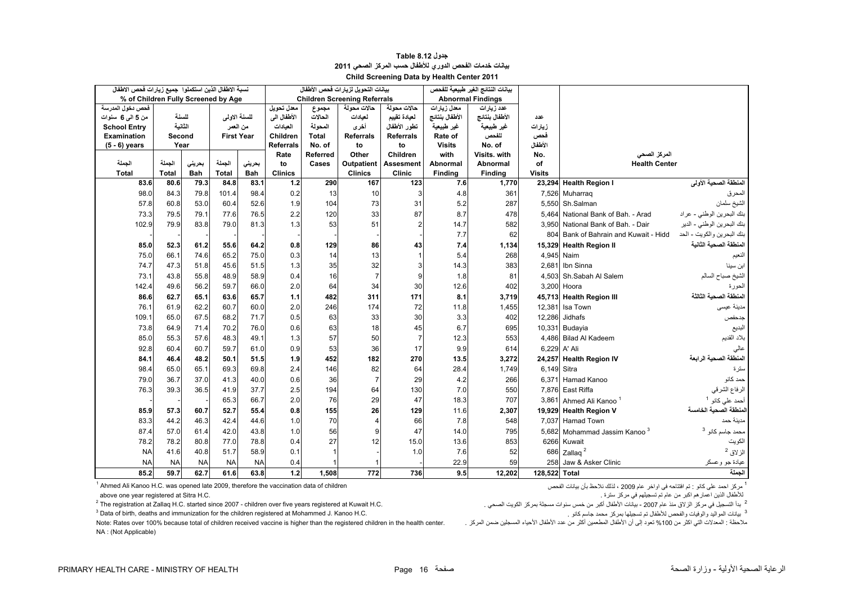<span id="page-16-0"></span>

|                     | نسبة الاطفال الذين استكملوا جميع زيارات فحص الاطفال<br>% of Children Fully Screened by Age |           |                   |            |                  |          | بيانات التحويل لزيارات فحص الأطفال  |                  |                | بيانات النتائج الغير طبيعية للفحص |               |                                          |                             |
|---------------------|--------------------------------------------------------------------------------------------|-----------|-------------------|------------|------------------|----------|-------------------------------------|------------------|----------------|-----------------------------------|---------------|------------------------------------------|-----------------------------|
|                     |                                                                                            |           |                   |            |                  |          | <b>Children Screening Referrals</b> |                  |                | <b>Abnormal Findings</b>          |               |                                          |                             |
| فحص دخول المدرسة    |                                                                                            |           |                   |            | معدل تحويل       | مجموع    | حالات محولة                         | حالات محولة      | معدل زيارات    | عدد زيارات                        |               |                                          |                             |
| من 5 المي 6 سنوات   |                                                                                            | للسنة     | للسنة الاولى      |            | الأطفال الى      | الحالات  | لعيادات                             | لعيادة تقييم     | الأطفال بنتائج | الأطفال بنتائج                    | عدد           |                                          |                             |
| <b>School Entry</b> |                                                                                            | الثانبة   | من المعمر         |            | العبادات         | المحولة  | أخرى                                | تطور الأطفال     | غير طبيعية     | غير طبيعية                        | زيارات        |                                          |                             |
| <b>Examination</b>  | Second                                                                                     |           | <b>First Year</b> |            | Children         | Total    | Referrals                           | <b>Referrals</b> | Rate of        | للفحص                             | فحص           |                                          |                             |
| $(5 - 6)$ years     | Year                                                                                       |           |                   |            | <b>Referrals</b> | No. of   | to                                  | to               | <b>Visits</b>  | No. of                            | الأطفال       |                                          |                             |
|                     |                                                                                            |           |                   |            | Rate             | Referred | Other                               | Children         | with           | Visits, with                      | No.           | المركز الصحى                             |                             |
| الجملة              | الجملة                                                                                     | بحرينى    | الجملة            | بحرينى     | to               | Cases    | <b>Outpatient</b>                   | Assesment        | Abnormal       | Abnormal                          | οf            | <b>Health Center</b>                     |                             |
| <b>Total</b>        | <b>Total</b>                                                                               | Bah       | <b>Total</b>      | <b>Bah</b> | <b>Clinics</b>   |          | <b>Clinics</b>                      | <b>Clinic</b>    | Finding        | <b>Finding</b>                    | <b>Visits</b> |                                          |                             |
| 83.6                | 80.6                                                                                       | 79.3      | 84.8              | 83.1       | 1.2              | 290      | 167                                 | 123              | 7.6            | 1,770                             |               | 23,294 Health Region I                   | المنطقة الصحية الأولى       |
| 98.0                | 84.3                                                                                       | 79.8      | 101.4             | 98.4       | 0.2              | 13       | 10                                  | 3                | 4.8            | 361                               |               | 7,526 Muharraq                           | المحرق                      |
| 57.8                | 60.8                                                                                       | 53.0      | 60.4              | 52.6       | 1.9              | 104      | 73                                  | 31               | 5.2            | 287                               |               | 5,550 Sh.Salman                          | الشيخ سلمان                 |
| 73.3                | 79.5                                                                                       | 79.1      | 77.6              | 76.5       | 2.2              | 120      | 33                                  | 87               | 8.7            | 478                               |               | 5,464 National Bank of Bah. - Arad       | بنك البحرين الوطني - عراد   |
| 102.9               | 79.9                                                                                       | 83.8      | 79.0              | 81.3       | 1.3              | 53       | 51                                  | $\overline{2}$   | 14.7           | 582                               |               | 3,950 National Bank of Bah. - Dair       | بنك البحرين الوطني - الدير  |
|                     |                                                                                            |           |                   |            |                  |          |                                     |                  | 7.7            | 62                                |               | 804 Bank of Bahrain and Kuwait - Hidd    | بنك البحرين والكويت - الحد  |
| 85.0                | 52.3                                                                                       | 61.2      | 55.6              | 64.2       | 0.8              | 129      | 86                                  | 43               | 7.4            | 1,134                             |               | 15,329 Health Region II                  | المنطقة الصحية الثانية      |
| 75.0                | 66.1                                                                                       | 74.6      | 65.2              | 75.0       | 0.3              | 14       | 13                                  | $\mathbf{1}$     | 5.4            | 268                               |               | 4.945 Naim                               | النعيم                      |
| 74.7                | 47.3                                                                                       | 51.8      | 45.6              | 51.5       | 1.3              | 35       | 32                                  | 3                | 14.3           | 383                               |               | 2.681 Ibn Sinna                          | ابن سينا                    |
| 73.1                | 43.8                                                                                       | 55.8      | 48.9              | 58.9       | 0.4              | 16       | $\overline{7}$                      | 9                | 1.8            | 81                                |               | 4.503 Sh.Sabah Al Salem                  | الشيخ صباح السالم           |
| 142.4               | 49.6                                                                                       | 56.2      | 59.7              | 66.0       | 2.0              | 64       | 34                                  | 30               | 12.6           | 402                               |               | 3,200 Hoora                              | الحورة                      |
| 86.6                | 62.7                                                                                       | 65.1      | 63.6              | 65.7       | 1.1              | 482      | 311                                 | 171              | 8.1            | 3,719                             |               | 45,713 Health Region III                 | لمنطقة الصحية الثالثة       |
| 76.1                | 61.9                                                                                       | 62.2      | 60.7              | 60.0       | 2.0              | 246      | 174                                 | 72               | 11.8           | 1,455                             |               | 12,381 Isa Town                          | مدينة عيسى                  |
| 109.1               | 65.0                                                                                       | 67.5      | 68.2              | 71.7       | 0.5              | 63       | 33                                  | 30               | 3.3            | 402                               | 12,286        | Jidhafs                                  | جدحفص                       |
| 73.8                | 64.9                                                                                       | 71.4      | 70.2              | 76.0       | 0.6              | 63       | 18                                  | 45               | 6.7            | 695                               |               | 10,331 Budayia                           | البديع                      |
| 85.0                | 55.3                                                                                       | 57.6      | 48.3              | 49.1       | 1.3              | 57       | 50                                  | $\overline{7}$   | 12.3           | 553                               |               | 4,486 Bilad Al Kadeem                    | بلاد القديم                 |
| 92.8                | 60.4                                                                                       | 60.7      | 59.7              | 61.0       | 0.9              | 53       | 36                                  | 17               | 9.9            | 614                               | 6,229 A' Ali  |                                          | عالى                        |
| 84.1                | 46.4                                                                                       | 48.2      | 50.1              | 51.5       | 1.9              | 452      | 182                                 | 270              | 13.5           | 3,272                             |               | 24,257 Health Region IV                  | المنطقة الصحية الرابعة      |
| 98.4                | 65.0                                                                                       | 65.1      | 69.3              | 69.8       | 2.4              | 146      | 82                                  | 64               | 28.4           | 1.749                             | 6,149 Sitra   |                                          | سترة                        |
| 79.0                | 36.7                                                                                       | 37.0      | 41.3              | 40.0       | 0.6              | 36       | $\overline{7}$                      | 29               | 4.2            | 266                               |               | 6.371 Hamad Kanoo                        | حمد كانو                    |
| 76.3                | 39.3                                                                                       | 36.5      | 41.9              | 37.7       | 2.5              | 194      | 64                                  | 130              | 7.0            | 550                               |               | 7.876 East Riffa                         | الرفاع الشرقي               |
|                     |                                                                                            |           | 65.3              | 66.7       | 2.0              | 76       | 29                                  | 47               | 18.3           | 707                               |               | 3,861 Ahmed Ali Kanoo <sup>1</sup>       | أحمد على كانو <sup>1</sup>  |
| 85.9                | 57.3                                                                                       | 60.7      | 52.7              | 55.4       | 0.8              | 155      | 26                                  | 129              | 11.6           | 2,307                             |               | 19,929 Health Region V                   | لمنطقة الصحبة الخامسة       |
| 83.3                | 44.2                                                                                       | 46.3      | 42.4              | 44.6       | 1.0              | 70       | 4                                   | 66               | 7.8            | 548                               |               | 7.037 Hamad Town                         | مدينة حمد                   |
| 87.4                | 57.0                                                                                       | 61.4      | 42.0              | 43.8       | 1.0              | 56       | g                                   | 47               | 14.0           | 795                               |               | 5,682 Mohammad Jassim Kanoo <sup>3</sup> | محمد جاسم كانو <sup>3</sup> |
| 78.2                | 78.2                                                                                       | 80.8      | 77.0              | 78.8       | 0.4              | 27       | 12                                  | 15.0             | 13.6           | 853                               |               | 6266 Kuwait                              | الكويت                      |
| <b>NA</b>           | 41.6                                                                                       | 40.8      | 51.7              | 58.9       | 0.1              |          |                                     | 1.0              | 7.6            | 52                                | 686           | Zallaq <sup>2</sup>                      | الزلاق <sup>2</sup>         |
| <b>NA</b>           | <b>NA</b>                                                                                  | <b>NA</b> | <b>NA</b>         | <b>NA</b>  | 0.4              |          |                                     |                  | 22.9           | 59                                | 258           | Jaw & Asker Clinic                       | عيادة جو وعسكر              |
| 85.2                | 59.7                                                                                       | 62.7      | 61.6              | 63.8       | 1.2              | 1.508    | 772                                 | 736              | 9.5            | 12.202                            | 128.522 Total |                                          | الحملة                      |

#### **جدول 8.12 Table بيانات خدمات الفحص الدوري لألطفال حسب المركز الصحي <sup>2011</sup> Child Screening Data by Health Center 2011**

 $<sup>1</sup>$  Ahmed Ali Kanoo H.C. was opened late 2009, therefore the vaccination data of children</sup>

لألطفال الذين اعمارھم اكبر من عام تم تسجيلھم في مركز سترة . .C.H Sitra at registered year one above

<sup>2</sup> The registration at Zallaq H.C. started since 2007 - children over five years registered at Kuwait H.C.

Note: Rates over 100% because total of children received vaccine is higher than the registered children in the health center.

<sup>1</sup> مركز احمد علي كانو : تم افتتاحه في اواخر عام 2009 ، لذلك نلاحظ بأن بيانات الفحص

2

3 Data of birth, deaths and immunization for the children registered at Mohammed J. Kanoo H.C. . كانو جاسم محمد بمركز تسجيلھا تم لألطفال والفحص والوفيات المواليد بيانات <sup>3</sup>

NA : (Not Applicable)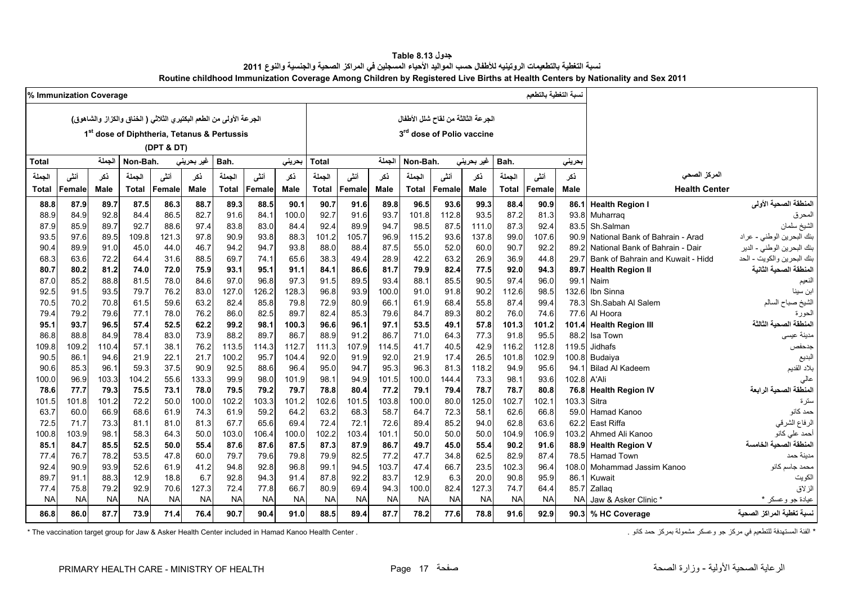| جدول Table 8.13                                                                                                                |
|--------------------------------------------------------------------------------------------------------------------------------|
| نسبة التغطية بالتطعيمات الروتينيه للأطفال حسب المواليد الأحياء المسجلين في المراكز الصحية والجنسية والنوع 2011                 |
| Routine childhood Immunization Coverage Among Children by Registered Live Births at Health Centers by Nationality and Sex 2011 |

<span id="page-17-0"></span>

|               | % Immunization Coverage |              |              |                                                                     |              |               |               |               |               |               |               |                                       |              |              |               | نسبة التغطية بالتطعيم |               |                                   |                                |
|---------------|-------------------------|--------------|--------------|---------------------------------------------------------------------|--------------|---------------|---------------|---------------|---------------|---------------|---------------|---------------------------------------|--------------|--------------|---------------|-----------------------|---------------|-----------------------------------|--------------------------------|
|               |                         |              |              | الجرعة الأولى من الطعم البكتير ي الثلاثي ( الخناق والكزاز والشاهوق) |              |               |               |               |               |               |               | الجرعة الثالثة من لقاح شلل الأطفال    |              |              |               |                       |               |                                   |                                |
|               |                         |              |              | 1 <sup>st</sup> dose of Diphtheria, Tetanus & Pertussis             |              |               |               |               |               |               |               | 3 <sup>rd</sup> dose of Polio vaccine |              |              |               |                       |               |                                   |                                |
|               |                         |              |              |                                                                     |              |               |               |               |               |               |               |                                       |              |              |               |                       |               |                                   |                                |
|               |                         |              |              | (DPT & DT)                                                          |              |               |               |               |               |               |               |                                       |              |              |               |                       |               |                                   |                                |
| <b>Total</b>  |                         | الجملة       | Non-Bah.     |                                                                     | غير بحريني   | Bah.          |               | بحرينى        | <b>Total</b>  |               | الجملة        | Non-Bah.                              |              | غير بحريني   | Bah.          |                       | بحريني        |                                   |                                |
| الجملة        | أنشى                    | نكر          | الجملة       | أننى                                                                | ذكر          | الجملة        | أنشى          | نكر           | الجملة        | أنشى          | ذكر           | الجملة                                | أننى         | نكر          | الجملة        | أننس                  | ذكر           | المركز الصحى                      |                                |
| <b>Total</b>  | Female                  | Male         | <b>Total</b> | Female                                                              | Male         | <b>Total</b>  | Female        | <b>Male</b>   | Total         | Female        | Male          | <b>Total</b>                          | Female       | Male         | <b>Total</b>  | Female                | <b>Male</b>   | <b>Health Center</b>              |                                |
| 88.8          | 87.9                    | 89.7         | 87.5         | 86.3                                                                | 88.7         | 89.3          | 88.5          | 90.1          | 90.7          | 91.6          | 89.8          | 96.5                                  | 93.6         | 99.3         | 88.4          | 90.9                  | 86.1          | <b>Health Region I</b>            | المنطقة الصحية الأولى          |
| 88.9          | 84.9                    | 92.8         | 84.4         | 86.5                                                                | 82.7         | 91.6          | 84.1          | 100.0         | 92.7          | 91.6          | 93.7          | 101.8                                 | 112.8        | 93.5         | 87.2          | 81.3                  | 93.8          | Muharrag                          | المحرق                         |
| 87.9          | 85.9                    | 89.7         | 92.7         | 88.6                                                                | 97.4         | 83.8          | 83.0          | 84.4          | 92.4          | 89.9          | 94.7          | 98.5                                  | 87.5         | 111.0        | 87.3          | 92.4                  | 83.5          | Sh.Salman                         | الشيخ سلمان                    |
| 93.5          | 97.6                    | 89.5         | 109.8        | 121.3                                                               | 97.8         | 90.9          | 93.8          | 88.3          | 101.2         | 105.7         | 96.9          | 115.2                                 | 93.6         | 137.8        | 99.0          | 107.6                 | 90.9          | National Bank of Bahrain - Arad   | بنك البحرين الوطني - عراد      |
| 90.4          | 89.9                    | 91.0         | 45.0         | 44.0                                                                | 46.7         | 94.2          | 94.7          | 93.8          | 88.0          | 88.4          | 87.5          | 55.0                                  | 52.0         | 60.0         | 90.7          | 92.2                  | 89.2          | National Bank of Bahrain - Dair   | بنك البحرين الوطني - الدير     |
| 68.3          | 63.6                    | 72.2         | 64.4         | 31.6                                                                | 88.5         | 69.7          | 74.1          | 65.6          | 38.3          | 49.4          | 28.9          | 42.2                                  | 63.2         | 26.9         | 36.9          | 44.8                  | 29.7          | Bank of Bahrain and Kuwait - Hidd | بنك البحرين والكويت - الحد     |
| 80.7          | 80.2                    | 81.2         | 74.0         | 72.0                                                                | 75.9         | 93.1          | 95.1          | 91.1          | 84.1          | 86.6          | 81.7          | 79.9                                  | 82.4         | 77.5         | 92.0          | 94.3                  | 89.7          | <b>Health Region II</b>           | المنطقة الصحية الثانية         |
| 87.0          | 85.2                    | 88.8         | 81.5         | 78.0                                                                | 84.6         | 97.0          | 96.8          | 97.3          | 91.5          | 89.5          | 93.4          | 88.1                                  | 85.5         | 90.5         | 97.4          | 96.0                  | 99.1          | Naim                              | النعيم                         |
| 92.5          | 91.5                    | 93.5         | 79.7         | 76.2                                                                | 83.0         | 127.0         | 126.2         | 128.3         | 96.8          | 93.9          | 100.0         | 91.0                                  | 91.8         | 90.2         | 112.6         | 98.5                  | 132.6         | Ibn Sinna                         | ابن سينا                       |
| 70.5          | 70.2                    | 70.8         | 61.5         | 59.6                                                                | 63.2         | 82.4          | 85.8          | 79.8          | 72.9          | 80.9          | 66.1          | 61.9                                  | 68.4         | 55.8         | 87.4          | 99.4                  | 78.3          | Sh.Sabah Al Salem                 | الشيخ صباح السالم              |
| 79.4          | 79.2                    | 79.6         | 77.1         | 78.0                                                                | 76.2         | 86.0          | 82.5          | 89.7          | 82.4          | 85.3          | 79.6          | 84.7                                  | 89.3         | 80.2         | 76.0          | 74.6                  | 77.6          | Al Hoora                          | الحورة                         |
| 95.1          | 93.7                    | 96.5         | 57.4         | 52.5                                                                | 62.2         | 99.2          | 98.1          | 100.3         | 96.6          | 96.1          | 97.1          | 53.5                                  | 49.1         | 57.8         | 101.3         | 101.2                 | 101.4         | <b>Health Region III</b>          | المنطقة الصحية الثالثة         |
| 86.8          | 88.8                    | 84.9         | 78.4         | 83.0                                                                | 73.9         | 88.2          | 89.7          | 86.7          | 88.9          | 91.2          | 86.7          | 71.0                                  | 64.3         | 77.3         | 91.8          | 95.5                  | 88.2          | Isa Town                          | مدينة عيسى                     |
| 109.8         | 109.2                   | 110.4        | 57.1         | 38.1                                                                | 76.2         | 113.5         | 114.3         | 112.7         | 111.3         | 107.9         | 114.5         | 41.7                                  | 40.5         | 42.9         | 116.2         | 112.8                 | 119.5         | Jidhafs                           | جدحفص                          |
| 90.5          | 86.1                    | 94.6         | 21.9         | 22.1                                                                | 21.7         | 100.2         | 95.7          | 104.4         | 92.0          | 91.9          | 92.0          | 21.9                                  | 17.4         | 26.5         | 101.8         | 102.9                 | 100.8         | Budaiya                           | البديع                         |
| 90.6          | 85.3                    | 96.1         | 59.3         | 37.5                                                                | 90.9         | 92.5          | 88.6          | 96.4          | 95.0          | 94.7          | 95.3          | 96.3                                  | 81.3         | 118.2        | 94.9          | 95.6                  | 94.1          | <b>Bilad Al Kadeem</b>            | بلاد القديم                    |
| 100.0         | 96.9                    | 103.3        | 104.2        | 55.6                                                                | 133.3        | 99.9          | 98.0          | 101.9         | 98.1          | 94.9          | 101.5         | 100.0                                 | 144.4        | 73.3         | 98.1          | 93.6                  | 102.8         | A'Ali                             | عالى                           |
| 78.6          | 77.7                    | 79.3         | 75.5         | 73.1                                                                | 78.0         | 79.5          | 79.2          | 79.7          | 78.8          | 80.4          | 77.2          | 79.1                                  | 79.4         | 78.7         | 78.7          | 80.8                  | 76.8          | <b>Health Region IV</b>           | المنطقة الصحية الرابعة         |
| 101.5         | 101.8                   | 101.2        | 72.2         | 50.0                                                                | 100.0        | 102.2         | 103.3         | 101.2         | 102.6         | 101.5         | 103.8         | 100.0                                 | 80.0         | 125.0        | 102.7         | 102.1                 | 103.3         | Sitra                             | سترة                           |
| 63.7          | 60.0                    | 66.9         | 68.6         | 61.9                                                                | 74.3         | 61.9          | 59.2          | 64.2          | 63.2          | 68.3          | 58.7          | 64.7                                  | 72.3         | 58.1         | 62.6          | 66.8                  | 59.0          | Hamad Kanoo                       | حمد كانو                       |
| 72.5<br>100.8 | 71.7<br>103.9           | 73.3<br>98.1 | 81.1<br>58.3 | 81.0                                                                | 81.3         | 67.7<br>103.0 | 65.6          | 69.4<br>100.0 | 72.4<br>102.2 | 72.1<br>103.4 | 72.6<br>101.1 | 89.4<br>50.0                          | 85.2<br>50.0 | 94.0<br>50.0 | 62.8          | 63.6<br>106.9         | 62.2<br>103.2 | East Riffa<br>Ahmed Ali Kanoo     | الرفاع الشرقي<br>أحمد على كانو |
| 85.1          | 84.7                    | 85.5         | 52.5         | 64.3<br>50.0                                                        | 50.0<br>55.4 | 87.6          | 106.4<br>87.6 | 87.5          | 87.3          | 87.9          | 86.7          | 49.7                                  | 45.0         | 55.4         | 104.9<br>90.2 | 91.6                  | 88.9          | <b>Health Region V</b>            | المنطقة الصحية الخامسة         |
| 77.4          | 76.7                    | 78.2         | 53.5         | 47.8                                                                | 60.0         | 79.7          | 79.6          | 79.8          | 79.9          | 82.5          | 77.2          | 47.7                                  | 34.8         | 62.5         | 82.9          | 87.4                  | 78.5          | <b>Hamad Town</b>                 | مدينة حمد                      |
| 92.4          | 90.9                    | 93.9         | 52.6         | 61.9                                                                | 41.2         | 94.8          | 92.8          | 96.8          | 99.1          | 94.5          | 103.7         | 47.4                                  | 66.7         | 23.5         | 102.3         | 96.4                  | 108.0         | Mohammad Jassim Kanoo             | محمد جاسم كانو                 |
| 89.7          | 91.1                    | 88.3         | 12.9         | 18.8                                                                | 6.7          | 92.8          | 94.3          | 91.4          | 87.8          | 92.2          | 83.7          | 12.9                                  | 6.3          | 20.0         | 90.8          | 95.9                  | 86.1          | Kuwait                            | الكويت                         |
| 77.4          | 75.8                    | 79.2         | 92.9         | 70.6                                                                | 127.3        | 72.4          | 77.8          | 66.7          | 80.9          | 69.4          | 94.3          | 100.0                                 | 82.4         | 127.3        | 74.7          | 64.4                  | 85.7          | Zallag                            | الز لاق                        |
| <b>NA</b>     | <b>NA</b>               | <b>NA</b>    | <b>NA</b>    | <b>NA</b>                                                           | <b>NA</b>    | <b>NA</b>     | <b>NA</b>     | <b>NA</b>     | <b>NA</b>     | <b>NA</b>     | <b>NA</b>     | <b>NA</b>                             | <b>NA</b>    | <b>NA</b>    | <b>NA</b>     | <b>NA</b>             | <b>NA</b>     | Jaw & Asker Clinic *              | عيادة جو وعسكر *               |
|               | 86.0                    | 87.7         | 73.9         | 71.4                                                                |              | 90.7          | 90.4          | 91.0          | 88.5          | 89.4          | 87.7          | 78.2                                  | 77.6         | 78.8         | 91.6          | 92.9                  |               | 90.3 % HC Coverage                | نسبة تغطية المراكز الصحية      |
| 86.8          |                         |              |              |                                                                     | 76.4         |               |               |               |               |               |               |                                       |              |              |               |                       |               |                                   |                                |

\* The vaccination target group for Jaw & Asker Health Center included in Hamad Kanoo Health Center . كانو حمد كانو حمد كانو حمد كانو حمد كانو . هي الفئة المستهدفة للتطعيم في مركز جو وعسكر مشمولة بمركز حمد كانو . "The vacc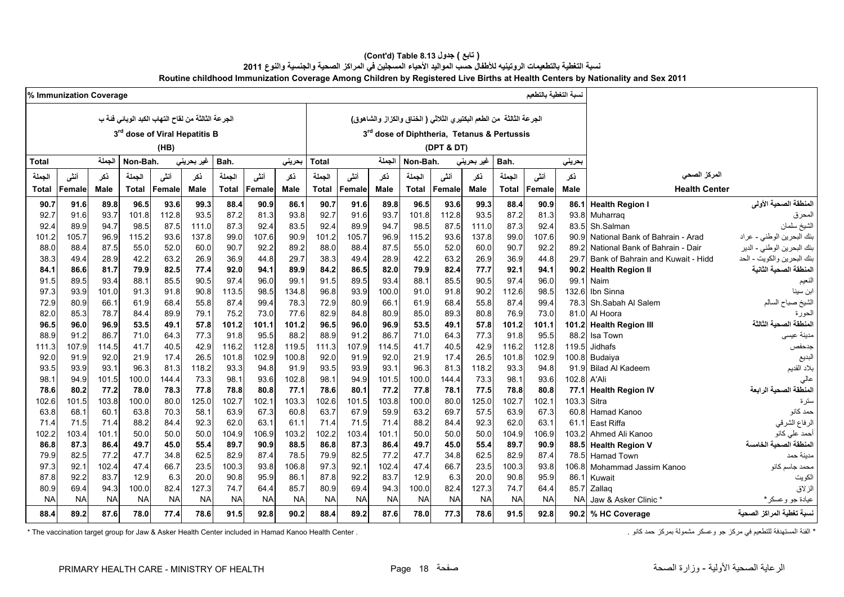#### **(Cont'd) Table 8.13 جدول ) تابع( نسبة التغطية بالتطعيمات الروتينيه لألطفال حسب المواليد األحياء المسجلين في المراكز الصحية والجنسية والنوع <sup>2011</sup> Routine childhood Immunization Coverage Among Children by Registered Live Births at Health Centers by Nationality and Sex 2011**

|                                                                 |               | نسبة التغطية بالتطعيم |                                                                      |                    |              |               |               |               |               |               |               |               |               |              |                                                   |               | % Immunization Coverage |               |
|-----------------------------------------------------------------|---------------|-----------------------|----------------------------------------------------------------------|--------------------|--------------|---------------|---------------|---------------|---------------|---------------|---------------|---------------|---------------|--------------|---------------------------------------------------|---------------|-------------------------|---------------|
|                                                                 |               |                       | الجرعة الثالثة  من الطعم البكتيري الثلاثي ( الخناق والكزاز والشاهوق) |                    |              |               |               |               |               |               |               |               |               |              | الجرعة الثالثة من لقاح التهاب الكبد الوبائي فئة ب |               |                         |               |
|                                                                 |               |                       | 3rd dose of Diphtheria, Tetanus & Pertussis                          |                    |              |               |               |               |               |               |               |               |               |              | 3 <sup>rd</sup> dose of Viral Hepatitis B         |               |                         |               |
|                                                                 |               |                       |                                                                      |                    |              |               |               |               |               |               |               |               |               |              |                                                   |               |                         |               |
|                                                                 |               |                       |                                                                      |                    | (DPT & DT)   |               |               |               |               |               |               |               |               | (HB)         |                                                   |               |                         |               |
|                                                                 |               | بحريني                | Bah.                                                                 | غیر بحرین <i>ی</i> |              | Non-Bah.      | الجملة        |               | Total         | بحرينى        |               | Bah.          | غير بحريني    |              | Non-Bah.                                          | الجملة        |                         | <b>Total</b>  |
| المركز الصحى                                                    |               | أنشى<br>نكر           | الجملة                                                               | نكر                | أننى         | الجملة        | نكر           | أنشى          | الجملة        | ذکر           | أنشى          | الجملة        | ذكر           | أننى         | الجملة                                            | ذكر           | أنشى                    | الجملة        |
| <b>Health Center</b>                                            |               | Female<br><b>Male</b> | <b>Total</b>                                                         | <b>Male</b>        | Female       | <b>Total</b>  | <b>Male</b>   | Female        | Total         | Male          | Female        | <b>Total</b>  | <b>Male</b>   | Female       | <b>Total</b>                                      | <b>Male</b>   | Female                  | <b>Total</b>  |
| المنطقة الصحية الأولى<br><b>Health Region I</b>                 | 86.1          | 90.9                  | 88.4                                                                 | 99.3               | 93.6         | 96.5          | 89.8          | 91.6          | 90.7          | 86.1          | 90.9          | 88.4          | 99.3          | 93.6         | 96.5                                              | 89.8          | 91.6                    | 90.7          |
| المحرق<br>Muharrag                                              | 93.8          | 81.3                  | 87.2                                                                 | 93.5               | 112.8        | 101.8         | 93.7          | 91.6          | 92.7          | 93.8          | 81.3          | 87.2          | 93.5          | 112.8        | 101.8                                             | 93.7          | 91.6                    | 92.7          |
| الشيخ سلمان<br>Sh.Salman                                        | 83.5          | 92.4                  | 87.3                                                                 | 111.0              | 87.5         | 98.5          | 94.7          | 89.9          | 92.4          | 83.5          | 92.4          | 87.3          | 111.0         | 87.5         | 98.5                                              | 94.7          | 89.9                    | 92.4          |
| بنك البحرين الوطني - عراد<br>National Bank of Bahrain - Arad    | 90.9          | 107.6                 | 99.0                                                                 | 137.8              | 93.6         | 115.2         | 96.9          | 105.7         | 101.2         | 90.9          | 107.6         | 99.0          | 137.8         | 93.6         | 115.2                                             | 96.9          | 105.7                   | 101.2         |
| بنك البحرين الوطني - الدير<br>National Bank of Bahrain - Dair   | 89.2          | 92.2                  | 90.7                                                                 | 60.0               | 52.0         | 55.0          | 87.5          | 88.4          | 88.0          | 89.2          | 92.2          | 90.7          | 60.0          | 52.0         | 55.0                                              | 87.5          | 88.4                    | 88.0          |
| بنك البحرين والكويت - الحد<br>Bank of Bahrain and Kuwait - Hidd | 29.7          | 44.8                  | 36.9                                                                 | 26.9               | 63.2         | 42.2          | 28.9          | 49.4          | 38.3          | 29.7          | 44.8          | 36.9          | 26.9          | 63.2         | 42.2                                              | 28.9          | 49.4                    | 38.3          |
| المنطقة الصحية الثانية<br><b>Health Region II</b>               | 90.2          | 94.1                  | 92.1                                                                 | 77.7               | 82.4         | 79.9          | 82.0          | 86.5          | 84.2          | 89.9          | 94.1          | 92.0          | 77.4          | 82.5         | 79.9                                              | 81.7          | 86.6                    | 84.1          |
| Naim<br>النعيم                                                  | 99.1          | 96.0                  | 97.4                                                                 | 90.5               | 85.5         | 88.1          | 93.4          | 89.5          | 91.5          | 99.           | 96.0          | 97.4          | 90.5          | 85.5         | 88.1                                              | 93.4          | 89.5                    | 91.5          |
| Ibn Sinna                                                       | 132.6         | 98.5                  | 112.6                                                                | 90.2               | 91.8         | 91.0          | 100.0         | 93.9          | 96.8          | 134.8         | 98.5          | 113.5         | 90.8          | 91.8         | 91.3                                              | 101.0         | 93.9                    | 97.3          |
| الشيخ صباح السالم<br>Sh.Sabah Al Salem                          | 78.3          | 99.4                  | 87.4                                                                 | 55.8               | 68.4         | 61.9          | 66.1          | 80.9          | 72.9          | 78.3          | 99.4          | 87.4          | 55.8          | 68.4         | 61.9                                              | 66.1          | 80.9                    | 72.9          |
| الحورة<br>Al Hoora                                              | 81.0          | 73.0                  | 76.9                                                                 | 80.8               | 89.3         | 85.0          | 80.9          | 84.8          | 82.9          | 77.6          | 73.0          | 75.2          | 79.1          | 89.9         | 84.4                                              | 78.7          | 85.3                    | 82.0          |
| المنطقة الصحية الثالثة<br>101.2 Health Region III               |               | 101.1                 | 101.2                                                                | 57.8               | 49.1         | 53.5          | 96.9          | 96.0          | 96.5          | 101.2         | 101.1         | 101.2         | 57.8          | 49.1         | 53.5                                              | 96.9          | 96.0                    | 96.5          |
| مدينة عيسى<br>Isa Town                                          | 88.2          | 95.5                  | 91.8                                                                 | 77.3               | 64.3         | 71.0          | 86.7          | 91.2          | 88.9          | 88.2          | 95.5          | 91.8          | 77.3          | 64.3         | 71.0                                              | 86.7          | 91.2                    | 88.9          |
| Jidhafs<br>جدحفص                                                | 119.5         | 112.8                 | 116.2                                                                | 42.9               | 40.5         | 41.7          | 114.5         | 107.9         | 111.3         | 119.5         | 112.8         | 116.2         | 42.9          | 40.5         | 41.7                                              | 114.5         | 107.9                   | 111.3         |
| البديع                                                          | 100.8 Budaiya | 102.9                 | 101.8                                                                | 26.5               | 17.4         | 21.9          | 92.0          | 91.9          | 92.0          | 100.8         | 102.9         | 101.8         | 26.5          | 17.4         | 21.9                                              | 92.0          | 91.9                    | 92.0          |
| <b>Bilad Al Kadeem</b><br>بلاد القديم                           | 91.9          | 94.8                  | 93.3                                                                 | 118.2              | 81.3         | 96.3          | 93.1          | 93.9          | 93.5          | 91.9          | 94.8          | 93.3          | 118.2         | 81.3         | 96.3                                              | 93.1          | 93.9                    | 93.5          |
| A'Ali                                                           | 102.8         | 93.6                  | 98.1                                                                 | 73.3               | 144.4        | 100.0         | 101.5         | 94.9          | 98.1          | 102.8         | 93.6          | 98.1          | 73.3          | 144.4        | 100.0                                             | 101.5         | 94.9                    | 98.1          |
| المنطقة الصحية الرابعة<br><b>Health Region IV</b>               | 77.1          | 80.8                  | 78.8                                                                 | 77.5               | 78.1         | 77.8          | 77.2          | 80.1          | 78.6          | 77.1          | 80.8          | 78.8          | 77.8          | 78.3         | 78.0                                              | 77.2          | 80.2                    | 78.6          |
| Sitra<br>سترة<br>60.8 Hamad Kanoo<br>حمد کانو                   | 103.3         | 102.1<br>67.3         | 102.7<br>63.9                                                        | 125.0<br>57.5      | 80.0<br>69.7 | 100.0<br>63.2 | 103.8<br>59.9 | 101.5<br>67.9 | 102.6<br>63.7 | 103.3<br>60.8 | 102.1<br>67.3 | 102.7<br>63.9 | 125.0<br>58.1 | 80.0<br>70.3 | 100.0                                             | 103.8<br>60.1 | 101.5<br>68.1           | 102.6<br>63.8 |
| الرفاع الشرقي<br>East Riffa                                     | 61.1          | 63.1                  | 62.0                                                                 | 92.3               | 84.4         | 88.2          | 71.4          | 71.5          | 71.4          | 61.1          | 63.1          | 62.0          | 92.3          | 84.4         | 63.8<br>88.2                                      | 71.4          | 71.5                    | 71.4          |
| أحمد على كانو<br>Ahmed Ali Kanoo                                | 103.2         | 106.9                 | 104.9                                                                | 50.0               | 50.0         | 50.0          | 101.1         | 103.4         | 102.2         | 103.2         | 106.9         | 104.9         | 50.0          | 50.0         | 50.0                                              | 101.1         | 103.4                   | 102.2         |
| المنطقة الصحية الخامسة<br><b>Health Region V</b>                | 88.5          | 90.9                  | 89.7                                                                 | 55.4               | 45.0         | 49.7          | 86.4          | 87.3          | 86.8          | 88.5          | 90.9          | 89.7          | 55.4          | 45.0         | 49.7                                              | 86.4          | 87.3                    | 86.8          |
| <b>Hamad Town</b><br>مدينة حمد                                  | 78.5          | 87.4                  | 82.9                                                                 | 62.5               | 34.8         | 47.7          | 77.2          | 82.5          | 79.9          | 78.5          | 87.4          | 82.9          | 62.5          | 34.8         | 47.7                                              | 77.2          | 82.5                    | 79.9          |
| 106.8 Mohammad Jassim Kanoo<br>محمد جاسم كانو                   |               | 93.8                  | 100.3                                                                | 23.5               | 66.7         | 47.4          | 102.4         | 92.1          | 97.3          | 106.8         | 93.8          | 100.3         | 23.5          | 66.7         | 47.4                                              | 102.4         | 92.1                    | 97.3          |
| الكويت<br>Kuwait                                                | 86.1          | 95.9                  | 90.8                                                                 | 20.0               | 6.3          | 12.9          | 83.7          | 92.2          | 87.8          | 86.1          | 95.9          | 90.8          | 20.0          | 6.3          | 12.9                                              | 83.7          | 92.2                    | 87.8          |
| الزلاق<br>Zallag                                                | 85.7          | 64.4                  | 74.7                                                                 | 127.3              | 82.4         | 100.0         | 94.3          | 69.4          | 80.9          | 85.7          | 64.4          | 74.7          | 127.3         | 82.4         | 100.0                                             | 94.3          | 69.4                    | 80.9          |
| Jaw & Asker Clinic *<br>عيادة جو وعسكر *                        | <b>NA</b>     | <b>NA</b>             | <b>NA</b>                                                            | <b>NA</b>          | <b>NA</b>    | <b>NA</b>     | <b>NA</b>     | <b>NA</b>     | <b>NA</b>     | <b>NA</b>     | <b>NA</b>     | <b>NA</b>     | <b>NA</b>     | <b>NA</b>    | <b>NA</b>                                         | <b>NA</b>     | <b>NA</b>               | <b>NA</b>     |
| لسبة تغطية المراكز الصحية<br>90.2 % HC Coverage                 |               | 92.8                  | 91.5                                                                 | 78.6               | 77.3         | 78.0          | 87.6          | 89.2          | 88.4          | 90.2          | 92.8          | 91.5          | 78.6          | 77.4         | 78.0                                              | 87.6          | 89.2                    | 88.4          |
|                                                                 |               |                       |                                                                      |                    |              |               |               |               |               |               |               |               |               |              |                                                   |               |                         |               |

\* The vaccination target group for Jaw & Asker Health Center included in Hamad Kanoo Health Center . كانو حمد كانو حمد كانو حمد كانو . في مركز حمد كانو The vaccination target group for Jaw & Asker Health Center included i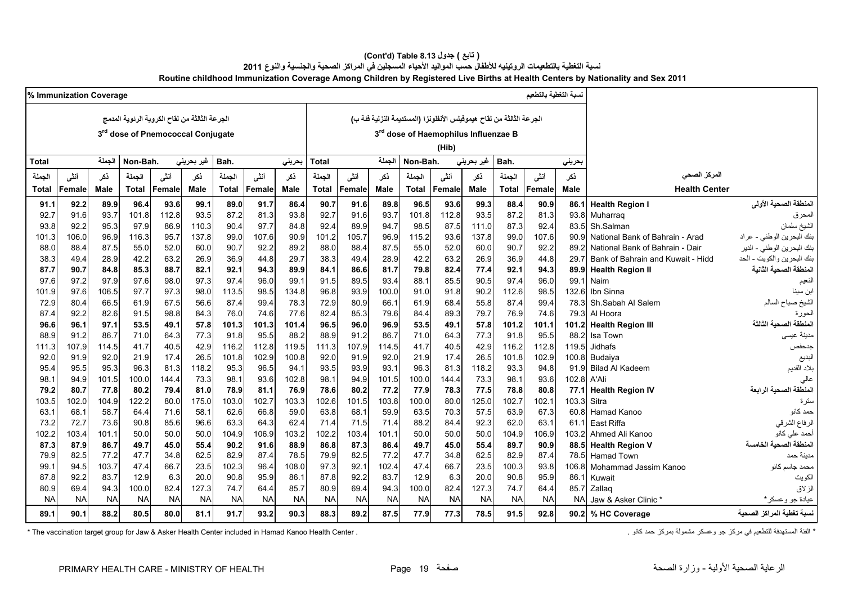#### **(Cont'd) Table 8.13 جدول ) تابع( نسبة التغطية بالتطعيمات الروتينيه لألطفال حسب المواليد األحياء المسجلين في المراكز الصحية والجنسية والنوع <sup>2011</sup> Routine childhood Immunization Coverage Among Children by Registered Live Births at Health Centers by Nationality and Sex 2011**

|              | % Immunization Coverage |              |                                               |              |              |               |              |               |               |               |               |                                                                      |              |              |               | لسبة التغطية بالتطعيم |               |                                             |                                         |
|--------------|-------------------------|--------------|-----------------------------------------------|--------------|--------------|---------------|--------------|---------------|---------------|---------------|---------------|----------------------------------------------------------------------|--------------|--------------|---------------|-----------------------|---------------|---------------------------------------------|-----------------------------------------|
|              |                         |              | الجرعة الثالثة من لقاح الكروية الرئوية المدمج |              |              |               |              |               |               |               |               | الجرعة الثالثة من لقاح هيموفيلس الأنفلونزا (المستديمة النزلية فنة ب) |              |              |               |                       |               |                                             |                                         |
|              |                         |              | 3rd dose of Pnemococcal Conjugate             |              |              |               |              |               |               |               |               | 3rd dose of Haemophilus Influenzae B                                 |              |              |               |                       |               |                                             |                                         |
|              |                         |              |                                               |              |              |               |              |               |               |               |               |                                                                      |              |              |               |                       |               |                                             |                                         |
|              |                         |              |                                               |              |              |               |              |               |               |               |               |                                                                      | (Hib)        |              |               |                       |               |                                             |                                         |
| <b>Total</b> |                         | الجملة       | Non-Bah.                                      |              | غير بحريني   | Bah.          |              | بحريني        | <b>Total</b>  |               | الجملة        | Non-Bah.                                                             |              | غير بحريني   | Bah.          |                       | بحريني        |                                             |                                         |
| الجملة       | أننى                    | ذكر          | الجملة                                        | أننى         | ذكر          | الجملة        | أنشى         | ذكر           | الجملة        | أنشى          | نكر           | الجملة                                                               | أننى         | نكر          | الجملة        | أننى                  | نكر           | المركز الصحى                                |                                         |
| Total        | Female                  | <b>Male</b>  | <b>Total</b>                                  | Female       | <b>Male</b>  | <b>Total</b>  | Female       | <b>Male</b>   | <b>Total</b>  | Female        | <b>Male</b>   | <b>Total</b>                                                         | Female       | <b>Male</b>  | <b>Total</b>  | Female                | <b>Male</b>   | <b>Health Center</b>                        |                                         |
| 91.1         | 92.2                    | 89.9         | 96.4                                          | 93.6         | 99.1         | 89.0          | 91.7         | 86.4          | 90.7          | 91.6          | 89.8          | 96.5                                                                 | 93.6         | 99.3         | 88.4          | 90.9                  | 86.1          | <b>Health Region I</b>                      | المنطقة الصحية الأولى                   |
| 92.7         | 91.6                    | 93.7         | 101.8                                         | 112.8        | 93.5         | 87.2          | 81.3         | 93.8          | 92.7          | 91.6          | 93.7          | 101.8                                                                | 112.8        | 93.5         | 87.2          | 81.3                  | 93.8          | Muharrag                                    | المحرق                                  |
| 93.8         | 92.2                    | 95.3         | 97.9                                          | 86.9         | 110.3        | 90.4          | 97.7         | 84.8          | 92.4          | 89.9          | 94.7          | 98.5                                                                 | 87.5         | 111.0        | 87.3          | 92.4                  | 83.5          | Sh.Salman                                   | ا<br>الشيخ سلمان                        |
| 101.3        | 106.0                   | 96.9         | 116.3                                         | 95.7         | 137.8        | 99.0          | 107.6        | 90.9          | 101.2         | 105.7         | 96.9          | 115.2                                                                | 93.6         | 137.8        | 99.0          | 107.6                 | 90.9          | National Bank of Bahrain - Arad             | بنك البحرين الوطني - عراد               |
| 88.0         | 88.4                    | 87.5         | 55.0                                          | 52.0         | 60.0         | 90.7          | 92.2         | 89.2          | 88.0          | 88.4          | 87.5          | 55.0                                                                 | 52.0         | 60.0         | 90.7          | 92.2                  | 89.2          | National Bank of Bahrain - Dair             | بنك البحرين الوطني - الدير              |
| 38.3         | 49.4                    | 28.9         | 42.2                                          | 63.2         | 26.9         | 36.9          | 44.8         | 29.7          | 38.3          | 49.4          | 28.9          | 42.2                                                                 | 63.2         | 26.9         | 36.9          | 44.8                  | 29.7          | Bank of Bahrain and Kuwait - Hidd           | بنك البحرين والكويت - الحد              |
| 87.7         | 90.7                    | 84.8         | 85.3                                          | 88.7         | 82.1         | 92.1          | 94.3         | 89.9          | 84.1          | 86.6          | 81.7          | 79.8                                                                 | 82.4         | 77.4         | 92.1          | 94.3                  | 89.9          | <b>Health Region II</b>                     | المنطقة الصحية الثانية                  |
| 97.6         | 97.2                    | 97.9         | 97.6                                          | 98.0         | 97.3         | 97.4          | 96.0         | 99.1          | 91.5          | 89.5          | 93.4          | 88.1                                                                 | 85.5         | 90.5         | 97.4          | 96.0                  | 99.1          | Naim                                        | النعيم                                  |
| 101.9        | 97.6                    | 106.5        | 97.7                                          | 97.3         | 98.0         | 113.5         | 98.5         | 134.8         | 96.8          | 93.9          | 100.0         | 91.0                                                                 | 91.8         | 90.2         | 112.6         | 98.5                  | 132.6         | Ibn Sinna                                   |                                         |
| 72.9         | 80.4                    | 66.5         | 61.9                                          | 67.5         | 56.6         | 87.4          | 99.4         | 78.3          | 72.9          | 80.9          | 66.1          | 61.9                                                                 | 68.4         | 55.8         | 87.4          | 99.4                  | 78.3          | Sh.Sabah Al Salem                           | الشيخ صباح السالم                       |
| 87.4         | 92.2                    | 82.6         | 91.5                                          | 98.8         | 84.3         | 76.0          | 74.6         | 77.6          | 82.4          | 85.3          | 79.6          | 84.4                                                                 | 89.3         | 79.7         | 76.9          | 74.6                  | 79.3          | Al Hoora                                    | الحورة                                  |
| 96.6         | 96.1                    | 97.1         | 53.5                                          | 49.1         | 57.8         | 101.3         | 101.3        | 101.4         | 96.5          | 96.0          | 96.9          | 53.5                                                                 | 49.1         | 57.8         | 101.2         | 101.1                 | 101.2         | <b>Health Region III</b>                    | المنطقة الصحية الثالثة                  |
| 88.9         | 91.2                    | 86.7         | 71.0                                          | 64.3         | 77.3         | 91.8          | 95.5         | 88.2          | 88.9          | 91.2          | 86.7          | 71.0                                                                 | 64.3         | 77.3         | 91.8          | 95.5                  | 88.2          | Isa Town                                    | مدينة عيسى                              |
| 111.3        | 107.9                   | 114.5        | 41.7                                          | 40.5         | 42.9         | 116.2         | 112.8        | 119.5         | 111.3         | 107.9         | 114.5         | 41.7                                                                 | 40.5         | 42.9         | 116.2         | 112.8                 | 119.5         | Jidhafs                                     | جدحفص                                   |
| 92.0         | 91.9                    | 92.0         | 21.9                                          | 17.4         | 26.5         | 101.8         | 102.9        | 100.8         | 92.0          | 91.9          | 92.0          | 21.9                                                                 | 17.4         | 26.5         | 101.8         | 102.9                 | 100.8         | Budaiya                                     | البديع                                  |
| 95.4         | 95.5                    | 95.3         | 96.3                                          | 81.3         | 118.2        | 95.3          | 96.5         | 94.1          | 93.5          | 93.9          | 93.1          | 96.3                                                                 | 81.3         | 118.2        | 93.3          | 94.8                  | 91.9          | <b>Bilad Al Kadeem</b>                      | بلاد القديم                             |
| 98.1         | 94.9                    | 101.5        | 100.0                                         | 144.4        | 73.3         | 98.1          | 93.6         | 102.8         | 98.1          | 94.9          | 101.5         | 100.0                                                                | 144.4        | 73.3         | 98.1          | 93.6                  | 102.8         | A'Ali                                       | عالى                                    |
| 79.2         | 80.7                    | 77.8         | 80.2                                          | 79.4         | 81.0         | 78.9          | 81.1         | 76.9          | 78.6          | 80.2          | 77.2          | 77.9                                                                 | 78.3         | 77.5         | 78.8          | 80.8                  | 77.1          | <b>Health Region IV</b>                     | المنطقة الصحية الرابعة                  |
| 103.5        | 102.0                   | 104.9        | 122.2                                         | 80.0         | 175.0        | 103.0         | 102.7        | 103.3         | 102.6         | 101.5         | 103.8         | 100.0                                                                | 80.0         | 125.0        | 102.7         | 102.1                 | 103.3         | Sitra                                       | سترة                                    |
| 63.1         | 68.1                    | 58.7         | 64.4                                          | 71.6         | 58.1         | 62.6          | 66.8         | 59.0          | 63.8          | 68.1          | 59.9          | 63.5                                                                 | 70.3         | 57.5         | 63.9          | 67.3                  | 60.8          | Hamad Kanoo                                 | حمد كانو                                |
| 73.2         | 72.7                    | 73.6         | 90.8                                          | 85.6         | 96.6         | 63.3          | 64.3         | 62.4          | 71.4          | 71.5          | 71.4          | 88.2                                                                 | 84.4         | 92.3         | 62.0          | 63.1                  | 61.1          | East Riffa                                  | الرفاع الشرقي                           |
| 102.2        | 103.4<br>87.9           | 101.1        | 50.0                                          | 50.0         | 50.0         | 104.9<br>90.2 | 106.9        | 103.2<br>88.9 | 102.2<br>86.8 | 103.4<br>87.3 | 101.1<br>86.4 | 50.0<br>49.7                                                         | 50.0         | 50.0         | 104.9<br>89.7 | 106.9<br>90.9         | 103.2<br>88.5 | Ahmed Ali Kanoo                             | أحمد على كانو<br>المنطقة الصحية الخامسة |
| 87.3<br>79.9 | 82.5                    | 86.7<br>77.2 | 49.7<br>47.7                                  | 45.0<br>34.8 | 55.4<br>62.5 | 82.9          | 91.6<br>87.4 | 78.5          | 79.9          | 82.5          | 77.2          | 47.7                                                                 | 45.0<br>34.8 | 55.4<br>62.5 | 82.9          | 87.4                  | 78.5          | <b>Health Region V</b><br><b>Hamad Town</b> | مدبنة حمد                               |
| 99.1         | 94.5                    | 103.7        | 47.4                                          | 66.7         | 23.5         | 102.3         | 96.4         | 108.0         | 97.3          | 92.1          | 102.4         | 47.4                                                                 | 66.7         | 23.5         | 100.3         | 93.8                  | 106.8         |                                             | محمد جاسم کانو                          |
| 87.8         | 92.2                    | 83.7         | 12.9                                          | 6.3          | 20.0         | 90.8          | 95.9         | 86.1          | 87.8          | 92.2          | 83.7          | 12.9                                                                 | 6.3          | 20.0         | 90.8          | 95.9                  | 86.1          | Mohammad Jassim Kanoo                       |                                         |
| 80.9         | 69.4                    | 94.3         | 100.0                                         | 82.4         | 127.3        | 74.7          | 64.4         | 85.7          | 80.9          | 69.4          | 94.3          | 100.0                                                                | 82.4         | 127.3        | 74.7          | 64.4                  | 85.7          | Kuwait<br>Zallag                            | الكويت<br>الزلاق                        |
| <b>NA</b>    | <b>NA</b>               | <b>NA</b>    | <b>NA</b>                                     | <b>NA</b>    | <b>NA</b>    | <b>NA</b>     | <b>NA</b>    | <b>NA</b>     | <b>NA</b>     | <b>NA</b>     | <b>NA</b>     | <b>NA</b>                                                            | <b>NA</b>    | <b>NA</b>    | <b>NA</b>     | <b>NA</b>             | <b>NA</b>     | Jaw & Asker Clinic *                        | عيادة جو وعسكر*                         |
|              |                         |              |                                               |              |              |               |              |               |               |               |               |                                                                      |              |              |               |                       |               |                                             |                                         |
| 89.1         | 90.1                    | 88.2         | 80.5                                          | 80.0         | 81.1         | 91.7          | 93.2         | 90.3          | 88.3          | 89.2          | 87.5          | 77.9                                                                 | 77.3         | 78.5         | 91.5          | 92.8                  |               | 90.2 % HC Coverage                          | نسبة تغطية المراكز الصحية               |

\* The vaccination target group for Jaw & Asker Health Center included in Hamad Kanoo Health Center . . . الفئة المستهدفة للتطعيم في مركز جو وعسكر مشمولة بمركز حمد كانو المستهدفة للتطعيم في مركز جو وعسكر مشمولة بمركز حد كا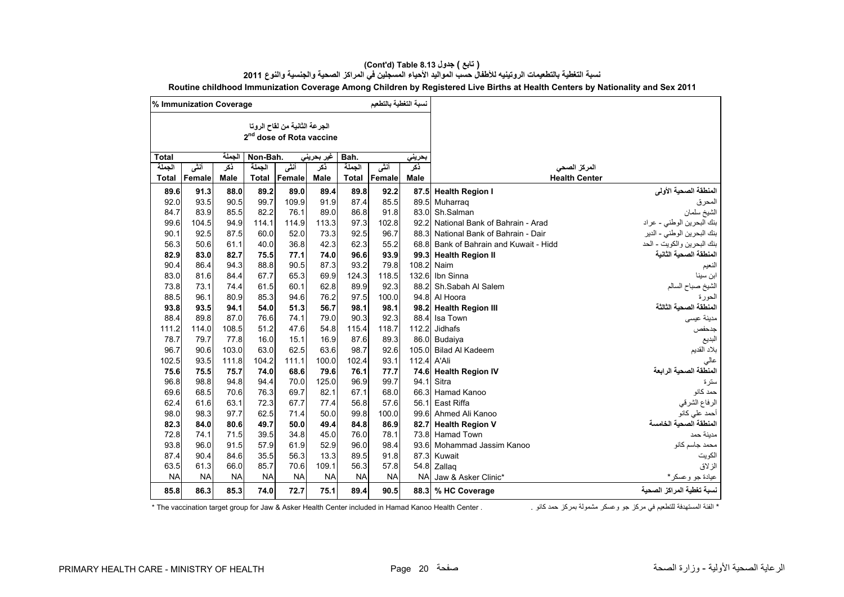|              | % Immunization Coverage |             |              |                                                                       |             |           | نسبة التغطية بالتطعيم |             |                                   |                            |
|--------------|-------------------------|-------------|--------------|-----------------------------------------------------------------------|-------------|-----------|-----------------------|-------------|-----------------------------------|----------------------------|
|              |                         |             |              | الجرعة الثانية من لقاح الروتا<br>2 <sup>nd</sup> dose of Rota vaccine |             |           |                       |             |                                   |                            |
| <b>Total</b> |                         | الجملة      | Non-Bah.     |                                                                       | غير بحريني  | Bah.      |                       | بحريني      |                                   |                            |
| الجملة       | أنشى                    | نكر         | الجملة       | أنشى                                                                  | ذكر         | الجملة    | أننى                  | نكر         | المركز الصحى                      |                            |
| <b>Total</b> | Female                  | <b>Male</b> | <b>Total</b> | Female                                                                | <b>Male</b> | Total     | Female                | <b>Male</b> | <b>Health Center</b>              |                            |
| 89.6         | 91.3                    | 88.0        | 89.2         | 89.0                                                                  | 89.4        | 89.8      | 92.2                  | 87.5        | <b>Health Region I</b>            | المنطقة الصحية الأولى      |
| 92.0         | 93.5                    | 90.5        | 99.7         | 109.9                                                                 | 91.9        | 87.4      | 85.5                  | 89.5        | Muharrag                          |                            |
| 84.7         | 83.9                    | 85.5        | 82.2         | 76.1                                                                  | 89.0        | 86.8      | 91.8                  | 83.0        | Sh.Salman                         | المحرق<br>الشيخ سلمان      |
| 99.6         | 104.5                   | 94.9        | 114.1        | 114.9                                                                 | 113.3       | 97.3      | 102.8                 | 92.2        | National Bank of Bahrain - Arad   | بنك البحرين الوطني - عراد  |
| 90.1         | 92.5                    | 87.5        | 60.0         | 52.0                                                                  | 73.3        | 92.5      | 96.7                  | 88.3        | National Bank of Bahrain - Dair   | بنك البحرين الوطني - الدير |
| 56.3         | 50.6                    | 61.1        | 40.0         | 36.8                                                                  | 42.3        | 62.3      | 55.2                  | 68.8        | Bank of Bahrain and Kuwait - Hidd | بنك البحرين والكويت - الحد |
| 82.9         | 83.0                    | 82.7        | 75.5         | 77.1                                                                  | 74.0        | 96.6      | 93.9                  | 99.3        | <b>Health Region II</b>           | لمنطقة الصحية الثانية      |
| 90.4         | 86.4                    | 94.3        | 88.8         | 90.5                                                                  | 87.3        | 93.2      | 79.8                  | 108.2       | Naim                              | الفعيم                     |
| 83.0         | 81.6                    | 84.4        | 67.7         | 65.3                                                                  | 69.9        | 124.3     | 118.5                 | 132.6       | Ibn Sinna                         | ابن سينا                   |
| 73.8         | 73.1                    | 74.4        | 61.5         | 60.1                                                                  | 62.8        | 89.9      | 92.3                  | 88.2        | Sh.Sabah Al Salem                 | الشيخ صباح السالم          |
| 88.5         | 96.1                    | 80.9        | 85.3         | 94.6                                                                  | 76.2        | 97.5      | 100.0                 | 94.8        | Al Hoora                          | لحورة                      |
| 93.8         | 93.5                    | 94.1        | 54.0         | 51.3                                                                  | 56.7        | 98.1      | 98.1                  | 98.2        | <b>Health Region III</b>          | المنطقة الصحية الثالثة     |
| 88.4         | 89.8                    | 87.0        | 76.6         | 74.1                                                                  | 79.0        | 90.3      | 92.3                  | 88.4        | Isa Town                          | مدينة عيسى                 |
| 111.2        | 114.0                   | 108.5       | 51.2         | 47.6                                                                  | 54.8        | 115.4     | 118.7                 | 112.2       | Jidhafs                           | جدحفص                      |
| 78.7         | 79.7                    | 77.8        | 16.0         | 15.1                                                                  | 16.9        | 87.6      | 89.3                  |             | 86.0 Budaiya                      | البديع                     |
| 96.7         | 90.6                    | 103.0       | 63.0         | 62.5                                                                  | 63.6        | 98.7      | 92.6                  | 105.0       | <b>Bilad Al Kadeem</b>            | بلاد القديم                |
| 102.5        | 93.5                    | 111.8       | 104.2        | 111.1                                                                 | 100.0       | 102.4     | 93.1                  | 112.4       | A'Ali                             | عالي                       |
| 75.6         | 75.5                    | 75.7        | 74.0         | 68.6                                                                  | 79.6        | 76.1      | 77.7                  | 74.6        | <b>Health Region IV</b>           | المنطقة الصحية الر ابعة    |
| 96.8         | 98.8                    | 94.8        | 94.4         | 70.0                                                                  | 125.0       | 96.9      | 99.7                  | 94.1        | Sitra                             | سترة                       |
| 69.6         | 68.5                    | 70.6        | 76.3         | 69.7                                                                  | 82.1        | 67.1      | 68.0                  |             | 66.3 Hamad Kanoo                  | حمد كانو                   |
| 62.4         | 61.6                    | 63.1        | 72.3         | 67.7                                                                  | 77.4        | 56.8      | 57.6                  | 56.1        | East Riffa                        | الرفاع الشرقي              |
| 98.0         | 98.3                    | 97.7        | 62.5         | 71.4                                                                  | 50.0        | 99.8      | 100.0                 | 99.6        | Ahmed Ali Kanoo                   | أحمد على كانو              |
| 82.3         | 84.0                    | 80.6        | 49.7         | 50.0                                                                  | 49.4        | 84.8      | 86.9                  |             | 82.7 Health Region V              | المنطقة الصحية الخامسة     |
| 72.8         | 74.1                    | 71.5        | 39.5         | 34.8                                                                  | 45.0        | 76.0      | 78.1                  | 73.8        | <b>Hamad Town</b>                 | مدينة حمد                  |
| 93.8         | 96.0                    | 91.5        | 57.9         | 61.9                                                                  | 52.9        | 96.0      | 98.4                  | 93.6        | Mohammad Jassim Kanoo             | محمد جاسم كانو             |
| 87.4         | 90.4                    | 84.6        | 35.5         | 56.3                                                                  | 13.3        | 89.5      | 91.8                  | 87.3        | Kuwait                            | الكويت                     |
| 63.5         | 61.3                    | 66.0        | 85.7         | 70.6                                                                  | 109.1       | 56.3      | 57.8                  | 54.8        | Zallag                            | الزلاق                     |
| <b>NA</b>    | <b>NA</b>               | <b>NA</b>   | <b>NA</b>    | <b>NA</b>                                                             | <b>NA</b>   | <b>NA</b> | <b>NA</b>             | <b>NA</b>   | Jaw & Asker Clinic*               | عيادة جو وعسكر*            |
| 85.8         | 86.3                    | 85.3        | 74.0         | 72.7                                                                  | 75.1        | 89.4      | 90.5                  | 88.3        | % HC Coverage                     | نسبة تغطية المراكز الصحية  |

#### **(Cont'd) Table 8.13 جدول ) تابع(**

**نسبة التغطية بالتطعيمات الروتينيه لألطفال حسب المواليد األحياء المسجلين في المراكز الصحية والجنسية والنوع <sup>2011</sup> Routine childhood Immunization Coverage Among Children by Registered Live Births at Health Centers by Nationality and Sex 2011**

\* الغئة المستهدفة للتطعيم في مركز جو وعسكر مشمولة بمركز حمد كانو . The vaccination target group for Jaw & Asker Health Center included in Hamad Kanoo Health Center .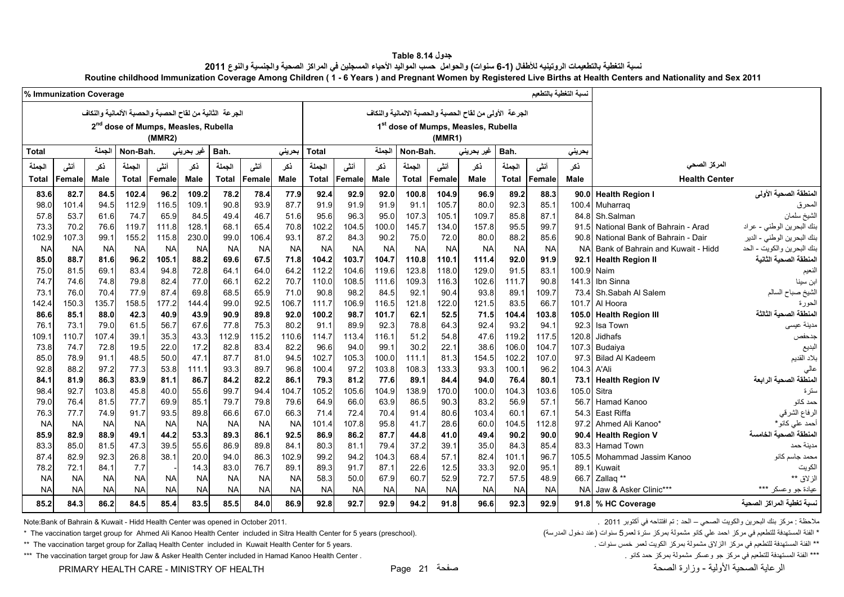#### **جدول 8.14 Table** نسبة التغطية بالتطعيمات الروتينيه للأطفال (1-6 سنوات) والحوامل حسب المواليد الأحياء المسجلين في المراكز الصحية والجنسية والنوع 2011 **Routine childhood Immunization Coverage Among Children ( 1 - 6 Years ) and Pregnant Women by Registered Live Births at Health Centers and Nationality and Sex 2011**

<span id="page-21-0"></span>

|              | % Immunization Coverage |             |              |                                                         |            |           |           |           |              |           |             |              |           |                                                        |              |           | لسبة التغطية بالتطعيم |                                   |                            |
|--------------|-------------------------|-------------|--------------|---------------------------------------------------------|------------|-----------|-----------|-----------|--------------|-----------|-------------|--------------|-----------|--------------------------------------------------------|--------------|-----------|-----------------------|-----------------------------------|----------------------------|
|              |                         |             |              | الجرعة الثانية من لقاح الحصبة والحصبة الألمانية والنكاف |            |           |           |           |              |           |             |              |           | الجرعة الأولى من لقاح الحصبة والحصبة الالمانية والنكاف |              |           |                       |                                   |                            |
|              |                         |             |              | 2 <sup>nd</sup> dose of Mumps, Measles, Rubella         |            |           |           |           |              |           |             |              |           | 1st dose of Mumps, Measles, Rubella                    |              |           |                       |                                   |                            |
|              |                         |             |              | (MMR2)                                                  |            |           |           |           |              |           |             |              | (MMR1)    |                                                        |              |           |                       |                                   |                            |
| <b>Total</b> |                         | الجملة      | Non-Bah.     |                                                         | غیر بحرینی | Bah.      |           | بحرينى    | <b>Total</b> |           | الجملة      | Non-Bah.     |           | غير بحريني                                             | Bah.         |           | بحريني                |                                   |                            |
| الجملة       | أنشى                    | ذكر         | الجملة       | أننسى                                                   | ذكر        | الجملة    | أنشى      | نكر       | الجملة       | أننى      | نكر         | الجملة       | أنشى      | نكر                                                    | الجملة       | أننى      | نكر                   | المركز الصحى                      |                            |
| <b>Total</b> | Female                  | <b>Male</b> | <b>Total</b> | Female                                                  | Male       | Total     | Female    | Male      | <b>Total</b> | Female    | <b>Male</b> | <b>Total</b> | Female    | Male                                                   | <b>Total</b> | Female    | Male                  | <b>Health Center</b>              |                            |
| 83.6         | 82.7                    | 84.5        | 102.4        | 96.2                                                    | 109.2      | 78.2      | 78.4      | 77.9      | 92.4         | 92.9      | 92.0        | 100.8        | 104.9     | 96.9                                                   | 89.2         | 88.3      | 90.0                  | <b>Health Region I</b>            | المنطقة الصحية الأولى      |
| 98.0         | 101.4                   | 94.5        | 112.9        | 116.5                                                   | 109.1      | 90.8      | 93.9      | 87.7      | 91.9         | 91.9      | 91.9        | 91.1         | 105.7     | 80.0                                                   | 92.3         | 85.1      | 100.4                 | Muharrag                          | المحرق                     |
| 57.8         | 53.7                    | 61.6        | 74.7         | 65.9                                                    | 84.5       | 49.4      | 46.7      | 51.6      | 95.6         | 96.3      | 95.0        | 107.3        | 105.1     | 109.7                                                  | 85.8         | 87.1      | 84.8                  | Sh.Salman                         | الشيخ سلمان                |
| 73.3         | 70.2                    | 76.6        | 119.7        | 111.8                                                   | 128.1      | 68.1      | 65.4      | 70.8      | 102.2        | 104.5     | 100.0       | 145.7        | 134.0     | 157.8                                                  | 95.5         | 99.7      | 91.5                  | National Bank of Bahrain - Arad   | بنك البحرين الوطني - عراد  |
| 102.9        | 107.3                   | 99.1        | 155.2        | 115.8                                                   | 230.0      | 99.0      | 106.4     | 93.1      | 87.2         | 84.3      | 90.2        | 75.0         | 72.0      | 80.0                                                   | 88.2         | 85.6      | 90.8                  | National Bank of Bahrain - Dair   | بنك البحرين الوطني - الدير |
| <b>NA</b>    | <b>NA</b>               | <b>NA</b>   | <b>NA</b>    | <b>NA</b>                                               | <b>NA</b>  | <b>NA</b> | <b>NA</b> | <b>NA</b> | <b>NA</b>    | <b>NA</b> | <b>NA</b>   | <b>NA</b>    | <b>NA</b> | <b>NA</b>                                              | <b>NA</b>    | <b>NA</b> | <b>NA</b>             | Bank of Bahrain and Kuwait - Hidd | بنك البحرين والكويت - الحد |
| 85.0         | 88.7                    | 81.6        | 96.2         | 105.1                                                   | 88.2       | 69.6      | 67.5      | 71.8      | 104.2        | 103.7     | 104.7       | 110.8        | 110.1     | 111.4                                                  | 92.0         | 91.9      | 92.1                  | <b>Health Region II</b>           | لمنطقة الصحية الثانية      |
| 75.0         | 81.5                    | 69.1        | 83.4         | 94.8                                                    | 72.8       | 64.1      | 64.0      | 64.2      | 112.2        | 104.6     | 119.6       | 123.8        | 118.0     | 129.0                                                  | 91.5         | 83.1      | 100.9                 | Naim                              | النعيم                     |
| 74.7         | 74.6                    | 74.8        | 79.8         | 82.4                                                    | 77.0       | 66.1      | 62.2      | 70.7      | 110.0        | 108.5     | 111.6       | 109.3        | 116.3     | 102.6                                                  | 111.7        | 90.8      | 141.3                 | Ibn Sinna                         | ابن سينا                   |
| 73.1         | 76.0                    | 70.4        | 77.9         | 87.4                                                    | 69.8       | 68.5      | 65.9      | 71.0      | 90.8         | 98.2      | 84.5        | 92.1         | 90.4      | 93.8                                                   | 89.1         | 109.7     | 73.4                  | Sh.Sabah Al Salem                 | الشيخ صباح السالم          |
| 142.4        | 150.3                   | 135.7       | 158.5        | 177.2                                                   | 144.4      | 99.0      | 92.5      | 106.7     | 111.7        | 106.9     | 116.5       | 121.8        | 122.0     | 121.5                                                  | 83.5         | 66.7      | 101.7                 | Al Hoora                          | لحو ر ءَ                   |
| 86.6         | 85.1                    | 88.0        | 42.3         | 40.9                                                    | 43.9       | 90.9      | 89.8      | 92.0      | 100.2        | 98.7      | 101.7       | 62.1         | 52.5      | 71.5                                                   | 104.4        | 103.8     | 105.0                 | <b>Health Region III</b>          | لمنطقة الصحبة الثالثة      |
| 76.1         | 73.1                    | 79.0        | 61.5         | 56.7                                                    | 67.6       | 77.8      | 75.3      | 80.2      | 91.1         | 89.9      | 92.3        | 78.8         | 64.3      | 92.4                                                   | 93.2         | 94.1      | 92.3                  | Isa Town                          | ىدينة عيسى                 |
| 109.1        | 110.7                   | 107.4       | 39.1         | 35.3                                                    | 43.3       | 112.9     | 115.2     | 110.6     | 114.7        | 113.4     | 116.1       | 51.2         | 54.8      | 47.6                                                   | 119.2        | 117.5     | 120.8                 | Jidhafs                           | جدحفص                      |
| 73.8         | 74.7                    | 72.8        | 19.5         | 22.0                                                    | 17.2       | 82.8      | 83.4      | 82.2      | 96.6         | 94.0      | 99.1        | 30.2         | 22.1      | 38.6                                                   | 106.0        | 104.7     | 107.3                 | Budaiya                           | لبديع                      |
| 85.0         | 78.9                    | 91.1        | 48.5         | 50.0                                                    | 47.1       | 87.7      | 81.0      | 94.5      | 102.7        | 105.3     | 100.0       | 111.1        | 81.3      | 154.5                                                  | 102.2        | 107.0     | 97.3                  | <b>Bilad Al Kadeem</b>            | بلاد القديم                |
| 92.8         | 88.2                    | 97.2        | 77.3         | 53.8                                                    | 111.1      | 93.3      | 89.7      | 96.8      | 100.4        | 97.2      | 103.8       | 108.3        | 133.3     | 93.3                                                   | 100.1        | 96.2      | 104.3                 | A'Ali                             |                            |
| 84.1         | 81.9                    | 86.3        | 83.9         | 81.1                                                    | 86.7       | 84.2      | 82.2      | 86.1      | 79.3         | 81.2      | 77.6        | 89.1         | 84.4      | 94.0                                                   | 76.4         | 80.1      | 73.1                  | <b>Health Region IV</b>           | المنطقة الصحية الرابعة     |
| 98.4         | 92.7                    | 103.8       | 45.8         | 40.0                                                    | 55.6       | 99.7      | 94.4      | 104.7     | 105.2        | 105.6     | 104.9       | 138.9        | 170.0     | 100.0                                                  | 104.3        | 103.6     | 105.0                 | Sitra                             | سترة                       |
| 79.0         | 76.4                    | 81.5        | 77.7         | 69.9                                                    | 85.1       | 79.7      | 79.8      | 79.6      | 64.9         | 66.0      | 63.9        | 86.5         | 90.3      | 83.2                                                   | 56.9         | 57.1      | 56.7                  | Hamad Kanoo                       | حمد كانو                   |
| 76.3         | 77.7                    | 74.9        | 91.7         | 93.5                                                    | 89.8       | 66.6      | 67.0      | 66.3      | 71.4         | 72.4      | 70.4        | 91.4         | 80.6      | 103.4                                                  | 60.1         | 67.1      | 54.3                  | East Riffa                        | الرفاع الشرقي              |
| <b>NA</b>    | <b>NA</b>               | <b>NA</b>   | <b>NA</b>    | <b>NA</b>                                               | <b>NA</b>  | <b>NA</b> | <b>NA</b> | <b>NA</b> | 101.4        | 107.8     | 95.8        | 41.7         | 28.6      | 60.0                                                   | 104.5        | 112.8     | 97.2                  | Ahmed Ali Kanoo*                  | أحمد على كانو *            |
| 85.9         | 82.9                    | 88.9        | 49.1         | 44.2                                                    | 53.3       | 89.3      | 86.1      | 92.5      | 86.9         | 86.2      | 87.7        | 44.8         | 41.0      | 49.4                                                   | 90.2         | 90.0      | 90.4                  | <b>Health Region V</b>            | لمنطقة الصحية الخامسة      |
| 83.3         | 85.0                    | 81.5        | 47.3         | 39.5                                                    | 55.6       | 86.9      | 89.8      | 84.1      | 80.3         | 81.1      | 79.4        | 37.2         | 39.1      | 35.0                                                   | 84.3         | 85.4      | 83.3                  | <b>Hamad Town</b>                 | مدينة حمد                  |
| 87.4         | 82.9                    | 92.3        | 26.8         | 38.1                                                    | 20.0       | 94.0      | 86.3      | 102.9     | 99.2         | 94.2      | 104.3       | 68.4         | 57.1      | 82.4                                                   | 101.1        | 96.7      | 105.5                 | Mohammad Jassim Kanoo             | محمد جاسم كانو             |
| 78.2         | 72.1                    | 84.1        | 7.7          |                                                         | 14.3       | 83.0      | 76.7      | 89.1      | 89.3         | 91.7      | 87.1        | 22.6         | 12.5      | 33.3                                                   | 92.0         | 95.1      | 89.1                  | Kuwait                            | لكويت                      |
| <b>NA</b>    | <b>NA</b>               | <b>NA</b>   | <b>NA</b>    | <b>NA</b>                                               | <b>NA</b>  | <b>NA</b> | <b>NA</b> | <b>NA</b> | 58.3         | 50.0      | 67.9        | 60.7         | 52.9      | 72.7                                                   | 57.5         | 48.9      | 66.7                  | Zallaq **                         | لز لاق **                  |
| <b>NA</b>    | <b>NA</b>               | <b>NA</b>   | <b>NA</b>    | <b>NA</b>                                               | <b>NA</b>  | <b>NA</b> | <b>NA</b> | <b>NA</b> | <b>NA</b>    | <b>NA</b> | <b>NA</b>   | <b>NA</b>    | <b>NA</b> | <b>NA</b>                                              | <b>NA</b>    | <b>NA</b> | <b>NA</b>             | Jaw & Asker Clinic***             | ***<br>عيادة جو وعسكر      |
| 85.2         | 84.3                    | 86.2        | 84.5         | 85.4                                                    | 83.5       | 85.5      | 84.0      | 86.9      | 92.8         | 92.7      | 92.9        | 94.2         | 91.8      | 96.6                                                   | 92.3         | 92.9      | 91.8                  | % HC Coverage                     | سبة تغطية المراكز الصحية   |

.<br>ملاحظة : مركز بنك البحرين والكويت الصحي – الحد : تم افتتاحه في أكتوبر 2011 . 2011 . . 2011 . . 2011 . . . . . الحد أنه من التقاحه في أكتوبر 2011 . 2011 . . . . . . . . . . . . . . . . .

\* The vaccination target group for Ahmed Ali Kanoo Health Center included in Sitra Health Center for 5 years (preschool). (المدرسة التطعيم في مركز مشمولة بمركز مشركة لعمر 5 سنوات (عند دخول المدرسة) هو المستهدفة الفئة المس

\*\* The vaccination target group for Zallaq Health Center included in Kuwait Health Center for 5 years. ينتشفة الفئتي في مركز اللأولاق مشمولة بمركز الكويت لعمر خمس سنوات . "The vaccination target group for Zallaq Health C

\*\*\* The vaccination target group for Jaw & Asker Health Center included in Hamad Kanoo Health Center . كانو حمد كانو حمد كانو حمد كانو حمد بمركز حمد كانو مستودفة الفئة المستهدفة الفئطعيم في مركز جو وعسكر مشمولة بمركز حمد

PRIMARY HEALTH CARE - MINISTRY OF HEALTH Page 21 صفحة الصحة وزارة - األولية الصحية الرعاية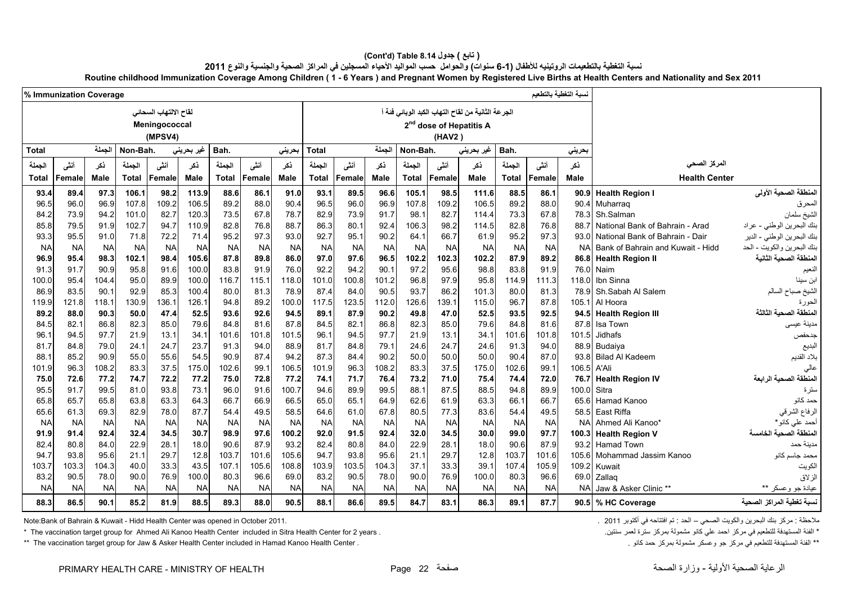# **(Cont'd) Table 8.14 جدول ) تابع(**

نسبة التغطية بالتطعيمات الروتينيه للأطفال (1-6 سنوات) والحوامل حسب المواليد الأحياء المسجلين في المراكز الصحية والجنسية والنوع 2011

**Routine childhood Immunization Coverage Among Children ( 1 - 6 Years ) and Pregnant Women by Registered Live Births at Health Centers and Nationality and Sex 2011**

|              | نسبة التغطية بالتطعيم<br>% Immunization Coverage |             |              |                                                   |             |              |           |           |              |           |             |              |                                               |                                                   |              |               |             |                                   |                            |
|--------------|--------------------------------------------------|-------------|--------------|---------------------------------------------------|-------------|--------------|-----------|-----------|--------------|-----------|-------------|--------------|-----------------------------------------------|---------------------------------------------------|--------------|---------------|-------------|-----------------------------------|----------------------------|
|              |                                                  |             |              | لقاح الالتهاب السحائي<br>Meningococcal<br>(MPSV4) |             |              |           |           |              |           |             |              | 2 <sup>nd</sup> dose of Hepatitis A<br>(HAV2) | الجرعة الثانية من لقاح التهاب الكبد الوبائي فئة أ |              |               |             |                                   |                            |
| <b>Total</b> |                                                  | الجملة      | Non-Bah.     |                                                   | غیر بحرینی  | Bah.         |           | بحريني    | <b>Total</b> |           | الجملة      | Non-Bah.     |                                               | غير بحريني                                        | Bah.         |               | بحريني      |                                   |                            |
| الجملة       | أنشى                                             | نكر         | الجملة       | أنشى                                              | نكر         | الجملة       | أنشى      | نكر       | الجملة       | أنشى      | نكر         | الجملة       | أنشى                                          | ڏکر                                               | الجملة       | أننى          | نكر         | المركز الصحى                      |                            |
| Total        | Female                                           | <b>Male</b> | <b>Total</b> | Female                                            | <b>Male</b> | <b>Total</b> | Female    | Male      | <b>Total</b> | Female    | <b>Male</b> | <b>Total</b> | Female                                        | <b>Male</b>                                       | <b>Total</b> | <b>Female</b> | Male        | <b>Health Center</b>              |                            |
| 93.4         | 89.4                                             | 97.3        | 106.1        | 98.2                                              | 113.9       | 88.6         | 86.1      | 91.0      | 93.1         | 89.5      | 96.6        | 105.1        | 98.5                                          | 111.6                                             | 88.5         | 86.1          | 90.9        | <b>Health Region I</b>            | المنطقة الصحية الأولى      |
| 96.5         | 96.0                                             | 96.9        | 107.8        | 109.2                                             | 106.5       | 89.2         | 88.0      | 90.4      | 96.5         | 96.0      | 96.9        | 107.8        | 109.2                                         | 106.5                                             | 89.2         | 88.0          | 90.4        | Muharrag                          | المحرق                     |
| 84.2         | 73.9                                             | 94.2        | 101.0        | 82.7                                              | 120.3       | 73.5         | 67.8      | 78.7      | 82.9         | 73.9      | 91.7        | 98.1         | 82.7                                          | 114.4                                             | 73.3         | 67.8          | 78.3        | Sh.Salman                         | الشيخ سلمان                |
| 85.8         | 79.5                                             | 91.9        | 102.7        | 94.7                                              | 110.9       | 82.8         | 76.8      | 88.7      | 86.3         | 80.1      | 92.4        | 106.3        | 98.2                                          | 114.5                                             | 82.8         | 76.8          | 88.7        | National Bank of Bahrain - Arad   | بنك البحرين الوطني - عراد  |
| 93.3         | 95.5                                             | 91.0        | 71.8         | 72.2                                              | 71.4        | 95.2         | 97.3      | 93.0      | 92.7         | 95.1      | 90.2        | 64.1         | 66.7                                          | 61.9                                              | 95.2         | 97.3          | 93.0        | National Bank of Bahrain - Dair   | بنك البحرين الوطني - الدير |
| <b>NA</b>    | <b>NA</b>                                        | <b>NA</b>   | <b>NA</b>    | <b>NA</b>                                         | <b>NA</b>   | <b>NA</b>    | <b>NA</b> | <b>NA</b> | <b>NA</b>    | <b>NA</b> | <b>NA</b>   | <b>NA</b>    | <b>NA</b>                                     | <b>NA</b>                                         | <b>NA</b>    | <b>NA</b>     | <b>NA</b>   | Bank of Bahrain and Kuwait - Hidd | بنك البحرين والكويت - الحد |
| 96.9         | 95.4                                             | 98.3        | 102.1        | 98.4                                              | 105.6       | 87.8         | 89.8      | 86.0      | 97.0         | 97.6      | 96.5        | 102.2        | 102.3                                         | 102.2                                             | 87.9         | 89.2          |             | 86.8 Health Region II             | لمنطقة الصحية الثانية      |
| 91.3         | 91.7                                             | 90.9        | 95.8         | 91.6                                              | 100.0       | 83.8         | 91.9      | 76.0      | 92.2         | 94.2      | 90.1        | 97.2         | 95.6                                          | 98.8                                              | 83.8         | 91.9          |             | 76.0 Naim                         | النعيم                     |
| 100.0        | 95.4                                             | 104.4       | 95.0         | 89.9                                              | 100.0       | 116.7        | 115.1     | 118.0     | 101.0        | 100.8     | 101.2       | 96.8         | 97.9                                          | 95.8                                              | 114.9        | 111.3         | 118.0       | Ibn Sinna                         | بن سينا                    |
| 86.9         | 83.5                                             | 90.1        | 92.9         | 85.3                                              | 100.4       | 80.0         | 81.3      | 78.9      | 87.4         | 84.0      | 90.5        | 93.7         | 86.2                                          | 101.3                                             | 80.0         | 81.3          |             | 78.9 Sh.Sabah Al Salem            | الشيخ صباح السالم          |
| 119.9        | 121.8                                            | 118.1       | 130.9        | 136.1                                             | 126.1       | 94.8         | 89.2      | 100.0     | 117.5        | 123.5     | 112.0       | 126.6        | 139.1                                         | 115.0                                             | 96.7         | 87.8          | 105.1       | Al Hoora                          | لحورة                      |
| 89.2         | 88.0                                             | 90.3        | 50.0         | 47.4                                              | 52.5        | 93.6         | 92.6      | 94.5      | 89.1         | 87.9      | 90.2        | 49.8         | 47.0                                          | 52.5                                              | 93.5         | 92.5          |             | 94.5 Health Region III            | لمنطقة الصحبة الثالثة      |
| 84.5         | 82.1                                             | 86.8        | 82.3         | 85.0                                              | 79.6        | 84.8         | 81.6      | 87.8      | 84.5         | 82.1      | 86.8        | 82.3         | 85.0                                          | 79.6                                              | 84.8         | 81.6          | 87.8        | Isa Town                          | مدينة عيسى                 |
| 96.1         | 94.5                                             | 97.7        | 21.9         | 13.1                                              | 34.1        | 101.6        | 101.8     | 101.5     | 96.1         | 94.5      | 97.7        | 21.9         | 13.1                                          | 34.1                                              | 101.6        | 101.8         | 101.5       | Jidhafs                           | جدحفص                      |
| 81.7         | 84.8                                             | 79.0        | 24.1         | 24.7                                              | 23.7        | 91.3         | 94.0      | 88.9      | 81.7         | 84.8      | 79.1        | 24.6         | 24.7                                          | 24.6                                              | 91.3         | 94.0          | 88.9        | Budaiya                           | لبديع                      |
| 88.1         | 85.2                                             | 90.9        | 55.0         | 55.6                                              | 54.5        | 90.9         | 87.4      | 94.2      | 87.3         | 84.4      | 90.2        | 50.0         | 50.0                                          | 50.0                                              | 90.4         | 87.0          | 93.8        | <b>Bilad Al Kadeem</b>            | بلاد القديم                |
| 101.9        | 96.3                                             | 108.2       | 83.3         | 37.5                                              | 175.0       | 102.6        | 99.1      | 106.5     | 101.9        | 96.3      | 108.2       | 83.3         | 37.5                                          | 175.0                                             | 102.6        | 99.1          | 106.5 A'Ali |                                   |                            |
| 75.0         | 72.6                                             | 77.2        | 74.7         | 72.2                                              | 77.2        | 75.0         | 72.8      | 77.2      | 74.1         | 71.7      | 76.4        | 73.2         | 71.0                                          | 75.4                                              | 74.4         | 72.0          |             | 76.7 Health Region IV             | المنطقة الصحية الرابعة     |
| 95.5         | 91.7                                             | 99.5        | 81.0         | 93.8                                              | 73.1        | 96.0         | 91.6      | 100.7     | 94.6         | 89.9      | 99.5        | 88.1         | 87.5                                          | 88.5                                              | 94.8         | 89.9          | 100.0 Sitra |                                   | سترة                       |
| 65.8         | 65.7                                             | 65.8        | 63.8         | 63.3                                              | 64.3        | 66.7         | 66.9      | 66.5      | 65.0         | 65.1      | 64.9        | 62.6         | 61.9                                          | 63.3                                              | 66.1         | 66.7          | 65.6        | Hamad Kanoo                       | حمد كانو                   |
| 65.6         | 61.3                                             | 69.3        | 82.9         | 78.0                                              | 87.7        | 54.4         | 49.5      | 58.5      | 64.6         | 61.0      | 67.8        | 80.5         | 77.3                                          | 83.6                                              | 54.4         | 49.5          | 58.5        | East Riffa                        | الرفاع الشرقي              |
| <b>NA</b>    | <b>NA</b>                                        | <b>NA</b>   | <b>NA</b>    | <b>NA</b>                                         | <b>NA</b>   | <b>NA</b>    | <b>NA</b> | <b>NA</b> | <b>NA</b>    | <b>NA</b> | <b>NA</b>   | <b>NA</b>    | <b>NA</b>                                     | <b>NA</b>                                         | <b>NA</b>    | <b>NA</b>     |             | NA Ahmed Ali Kanoo*               | أحمد على كانو *            |
| 91.9         | 91.4                                             | 92.4        | 32.4         | 34.5                                              | 30.7        | 98.9         | 97.6      | 100.2     | 92.0         | 91.5      | 92.4        | 32.0         | 34.5                                          | 30.0                                              | 99.0         | 97.7          |             | 100.3 Health Region V             | لمنطقة الصحبة الخامسة      |
| 82.4         | 80.8                                             | 84.0        | 22.9         | 28.1                                              | 18.0        | 90.6         | 87.9      | 93.2      | 82.4         | 80.8      | 84.0        | 22.9         | 28.1                                          | 18.0                                              | 90.6         | 87.9          | 93.2        | <b>Hamad Town</b>                 | مدينة حمد                  |
| 94.7         | 93.8                                             | 95.6        | 21.1         | 29.7                                              | 12.8        | 103.7        | 101.6     | 105.6     | 94.7         | 93.8      | 95.6        | 21.1         | 29.7                                          | 12.8                                              | 103.7        | 101.6         | 105.6       | Mohammad Jassim Kanoo             | محمد جاسم كانو             |
| 103.7        | 103.3                                            | 104.3       | 40.0         | 33.3                                              | 43.5        | 107.1        | 105.6     | 108.8     | 103.9        | 103.5     | 104.3       | 37.1         | 33.3                                          | 39.1                                              | 107.4        | 105.9         | 109.2       | Kuwait                            | لكويت                      |
| 83.2         | 90.5                                             | 78.0        | 90.0         | 76.9                                              | 100.0       | 80.3         | 96.6      | 69.0      | 83.2         | 90.5      | 78.0        | 90.0         | 76.9                                          | 100.0                                             | 80.3         | 96.6          |             | 69.0 Zallaq                       | لزلاق                      |
| <b>NA</b>    | <b>NA</b>                                        | <b>NA</b>   | <b>NA</b>    | <b>NA</b>                                         | <b>NA</b>   | <b>NA</b>    | <b>NA</b> | <b>NA</b> | <b>NA</b>    | <b>NA</b> | <b>NA</b>   | <b>NA</b>    | <b>NA</b>                                     | <b>NA</b>                                         | <b>NA</b>    | <b>NA</b>     |             | NA Jaw & Asker Clinic **          | عيادة جو وعسكر **          |
| 88.3         | 86.5                                             | 90.1        | 85.2         | 81.9                                              | 88.5        | 89.3         | 88.0      | 90.5      | 88.1         | 86.6      | 89.5        | 84.7         | 83.1                                          | 86.3                                              | 89.1         | 87.7          |             | 90.5 % HC Coverage                | سبة تغطية المراكز الصحية   |

Note:Bank of Bahrain & Kuwait - Hidd Health Center was opened in October 2011. . 2011 أكتوبر في افتتاحه تم : الحد – الصحي والكويت البحرين بنك مركز : مالحظة

\* الفئة المستهدفة للتطعيم في مركز احمد علي كانو مشمولة بمركز مسترة لعمر سنتين . "The vaccination target group for Ahmed Ali Kanoo Health Center included in Sitra Health Center for 2 years .

\*\* The vaccination target group for Jaw & Asker Health Center included in Hamad Kanoo Health Center .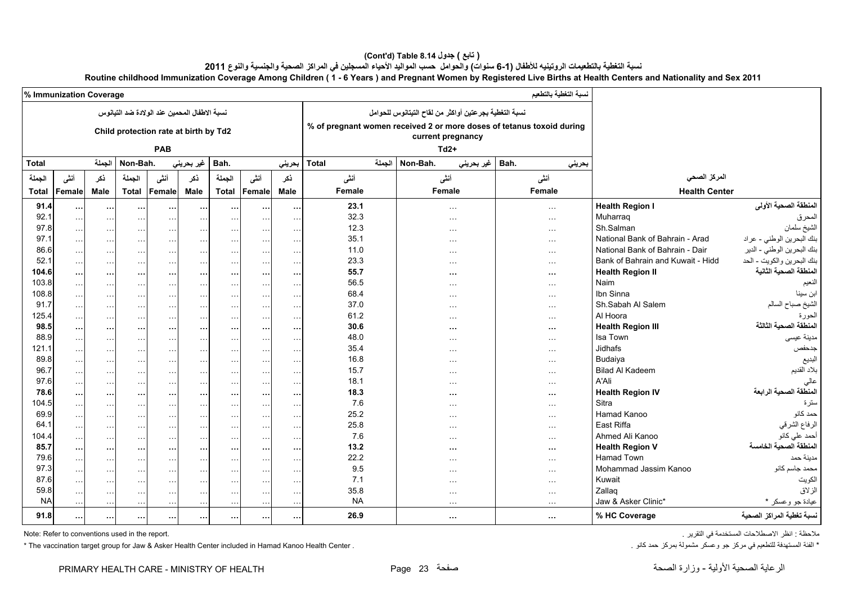# **(Cont'd) Table 8.14 جدول ) تابع(**

نسبة التغطية بالتطعيمات الروتينيه للأطفال (1-6 سنوات) والحوامل حسب المواليد الأحياء المسجلين في المراكز الصحية والجنسية والنوع 2011

**Routine childhood Immunization Coverage Among Children ( 1 - 6 Years ) and Pregnant Women by Registered Live Births at Health Centers and Nationality and Sex 2011**

|              | % Immunization Coverage |                      |                                              |                      |                      |                      |                      |                      |                        |                                                                                            | نسبة التغطية بالتطعيم |                                   |                            |
|--------------|-------------------------|----------------------|----------------------------------------------|----------------------|----------------------|----------------------|----------------------|----------------------|------------------------|--------------------------------------------------------------------------------------------|-----------------------|-----------------------------------|----------------------------|
|              |                         |                      | نسبة الاطفال المحمين عند الولادة ضد التيانوس |                      |                      |                      |                      |                      |                        | نسبة التغطية بجرعتين أواكثر من لقاح التيتانوس للحوامل                                      |                       |                                   |                            |
|              |                         |                      | Child protection rate at birth by Td2        |                      |                      |                      |                      |                      |                        | % of pregnant women received 2 or more doses of tetanus toxoid during<br>current pregnancy |                       |                                   |                            |
|              |                         |                      |                                              | <b>PAB</b>           |                      |                      |                      |                      |                        | $Td2+$                                                                                     |                       |                                   |                            |
|              |                         |                      |                                              |                      |                      |                      |                      |                      |                        |                                                                                            |                       |                                   |                            |
| <b>Total</b> |                         | الجملة               | Non-Bah.                                     |                      | غير بحريني           | Bah.                 |                      | بحرينى               | الجملة<br><b>Total</b> | Non-Bah.<br>غير بحريني                                                                     | بحرينى<br>Bah.        |                                   |                            |
| الجملة       | أننى                    | نكر                  | الجملة                                       | أننى                 | ذكر                  | الجملة               | أننى                 | نكر                  | أنشى                   | أننى                                                                                       | أننى                  | المركز الصحى                      |                            |
| <b>Total</b> | Femalel                 | Male                 | <b>Total</b>                                 | Female               | Male                 | <b>Total</b>         | Female               | Male                 | Female                 | Female                                                                                     | Female                | <b>Health Center</b>              |                            |
| 91.4         | $\cdots$                | $\cdots$             | $\cdots$                                     | $\cdots$             | $\cdots$             | $\cdots$             | $\cdots$             | $\cdots$             | 23.1                   | $\sim$ $\sim$ $\sim$                                                                       | $\sim$ $\sim$ $\sim$  | <b>Health Region I</b>            | المنطقة الصحية الأولى      |
| 92.1         | $\sim$ $\sim$           | $\sim$ $\sim$        | $\sim$ $\sim$                                | $\sim$ $\sim$        | $\cdots$             | $\cdots$             | $\cdots$             | $\sim$ $\sim$        | 32.3                   | $\sim$ $\sim$ $\sim$                                                                       | $\cdots$              | Muharrag                          | المحرق                     |
| 97.8         | $\sim$ $\sim$ $\sim$    | $\sim$ $\sim$        | $\sim$                                       | $\sim$ $\sim$        | $\sim$ $\sim$        | $\sim$ $\sim$        | $\sim$ $\sim$        | $\sim$ $\sim$        | 12.3                   | $\sim$ $\sim$ $\sim$                                                                       | $\ddotsc$             | Sh.Salman                         | الشيخ سلمان                |
| 97.1         | $\sim$ $\sim$ $\sim$    | $\sim$ $\sim$        | $\sim$ $\sim$                                | $\sim$ $\sim$        | $\sim$ $\sim$        | $\sim$ $\sim$ $\sim$ | $\sim 100$           | $\sim$ $\sim$ $\sim$ | 35.1                   | $\cdots$                                                                                   | $\cdots$              | National Bank of Bahrain - Arad   | بنك البحرين الوطني - عراد  |
| 86.6         | $\sim$ $\sim$ $\sim$    | $\ddotsc$            | $\sim$ $\sim$                                | $\sim$ $\sim$        | $\sim$ $\sim$        | $\sim$ $\sim$        | $\cdots$             | $\sim$ $\sim$        | 11.0                   | $\cdots$                                                                                   | $\cdots$              | National Bank of Bahrain - Dair   | بنك البحرين الوطني - الدير |
| 52.1         | $\sim$ . $\sim$         | $\cdots$             | $\sim$                                       | $\ldots$             | $\cdots$             | $\ldots$             | $\cdots$             | $\sim$ $\sim$        | 23.3                   | $\sim$ $\sim$ $\sim$                                                                       | $\ldots$              | Bank of Bahrain and Kuwait - Hidd | بنك البحرين والكويت - الحد |
| 104.6        | $\cdots$                | $\cdots$             | $\cdots$                                     | $\cdots$             | $\cdots$             | $\cdots$             | $\cdots$             | $\sim$ $\sim$        | 55.7                   | $\cdots$                                                                                   | $\cdots$              | <b>Health Region II</b>           | لمنطقة الصحية الثانية      |
| 103.8        | $\sim$                  | $\ldots$             | $\sim$                                       | $\sim$ $\sim$        | $\sim$ $\sim$        | $\cdots$             | $\sim$ $\sim$        | $\sim$ $\sim$        | 56.5                   | $\cdots$                                                                                   | $\ddotsc$             | Naim                              | النعيم                     |
| 108.8        | $\cdots$                | $\cdots$             | $\sim$ $\sim$                                | $\sim$ $\sim$        | $\sim$ $\sim$ $\sim$ | $\sim$ $\sim$ $\sim$ | $\cdots$             | $\sim$ $\sim$ $\sim$ | 68.4                   | $\sim$ $\sim$ $\sim$                                                                       | $\cdots$              | Ibn Sinna                         | ابن سينا                   |
| 91.7         | $\sim$ - $\sim$         | $\sim$ $\sim$        | $\sim$                                       | $\sim$ $\sim$        | $\sim$ $\sim$        | $\sim$ $\sim$ $\sim$ | $\sim$ $\sim$        | $\sim$ $\sim$        | 37.0                   | $\sim$ $\sim$ $\sim$                                                                       | $\sim$ $\sim$         | Sh.Sabah Al Salem                 | الشيخ صباح السالم          |
| 125.4        | $\ldots$                | $\sim$ $\sim$        | $\sim$                                       | $\sim$ $\sim$        | $\sim$ $\sim$        | $\sim$ $\sim$        | $\cdots$             | $\sim$ $\sim$        | 61.2                   | $\sim$ $\sim$ $\sim$                                                                       | $\ldots$              | Al Hoora                          | الحو ر ءَ                  |
| 98.5         | $\sim$ $\sim$           | $\cdots$             | $\cdots$                                     | $\ldots$             | $\cdots$             | $\cdots$             | $\cdots$             | $\cdots$             | 30.6                   | $\cdots$                                                                                   | $\sim$ $\sim$         | <b>Health Region III</b>          | المنطقة الصحية الثالثة     |
| 88.9         | $\ldots$                | $\cdots$             | $\ddotsc$                                    | $\ldots$             | $\sim$ $\sim$        | $\sim$ $\sim$        | $\cdots$             | $\sim$ $\sim$        | 48.0                   | $\sim$ $\sim$ $\sim$                                                                       | $\sim$ $\sim$ $\sim$  | Isa Town                          | مدينة عيسى                 |
| 121.1        | $\sim$ $\sim$ $\sim$    | $\cdots$             | $\sim$                                       | $\sim$ $\sim$        | $\ddotsc$            | $\sim$ $\sim$        | $\cdots$             | $\sim$ $\sim$        | 35.4                   | $\sim$ $\sim$                                                                              | $\ddotsc$             | <b>Jidhafs</b>                    | جدحفص                      |
| 89.8         | $\sim$ $\sim$           | $\ldots$             | $\sim$                                       | $\sim$ $\sim$        | $\sim$ $\sim$        | $\ddotsc$            | $\sim$ $\sim$        | $\sim$ $\sim$        | 16.8                   | $\sim$ $\sim$ $\sim$                                                                       | $\cdots$              | Budaiya                           | البديع                     |
| 96.7         | $\cdots$                | $\cdots$             | $\sim$ $\sim$                                | $\sim$ $\sim$        | $\sim$ $\sim$        | $\sim$ $\sim$        | $\cdots$             | $\sim$ $\sim$        | 15.7                   | $\sim$ $\sim$ $\sim$                                                                       | $\sim$ $\sim$ $\sim$  | <b>Bilad Al Kadeem</b>            | بلاد القديم                |
| 97.6         | $\cdots$                | $\sim$ $\sim$ $\sim$ | $\sim$ $\sim$                                | $\sim$ $\sim$ $\sim$ | $\cdots$             | $\sim$ $\sim$ $\sim$ | $\sim$ $\sim$        | $\sim$ $\sim$ $\sim$ | 18.1                   | $\sim$ $\sim$ $\sim$                                                                       | $\sim$ $\sim$ $\sim$  | A'Ali                             | عالى                       |
| 78.6         | $\cdots$                | $\cdots$             | $\cdots$                                     | $\cdots$             | $\cdots$             | $\sim$ $\sim$        | $\cdots$             | $\cdots$             | 18.3                   | $\cdots$                                                                                   | $\cdots$              | <b>Health Region IV</b>           | المنطقة الصحية الرابعة     |
| 104.5        | $\dots$                 | $\ldots$             | $\sim$                                       | $\sim$ $\sim$        | $\sim$ $\sim$        | $\cdots$             | $\ldots$             | $\ldots$             | 7.6                    | $\cdots$                                                                                   | $\ddotsc$             | Sitra                             | ستر ۃ                      |
| 69.9         | $\ldots$                | $\cdots$             | $\ddotsc$                                    | $\sim$ .             | $\sim$ $\sim$        | $\sim$ $\sim$        | $\cdots$             | $\sim$ $\sim$        | 25.2                   | $\sim$ $\sim$ $\sim$                                                                       | $\sim$ $\sim$ $\sim$  | Hamad Kanoo                       | حمد كانو                   |
| 64.1         | $\sim$ $\sim$ $\sim$    | $\ldots$             | $\sim$                                       | $\sim$ $\sim$        | $\sim$ $\sim$        | $\sim$ $\sim$        | $\cdots$             | $\sim$ $\sim$        | 25.8                   | $\cdots$                                                                                   | $\sim$ $\sim$ $\sim$  | East Riffa                        | الرفاع الشرقي              |
| 104.4        | $\dots$                 | $\ldots$             | $\sim$ $\sim$                                | $\ldots$             | $\sim$ $\sim$ $\sim$ | $\sim$ $\sim$ $\sim$ | $\sim$ $\sim$ $\sim$ | $\sim$ $\sim$ $\sim$ | 7.6                    | $\sim$ $\sim$ $\sim$                                                                       | $\sim$ $\sim$ $\sim$  | Ahmed Ali Kanoo                   | أحمد على كانو              |
| 85.7         | $\cdots$                | $\cdots$             | $\cdots$                                     | $\cdots$             | $\cdots$             | $\sim$ $\sim$        | $\cdots$             | $\cdots$             | 13.2                   | $\cdots$                                                                                   | $\cdots$              | <b>Health Region V</b>            | المنطقة الصحبة الخامسة     |
| 79.6         | $\sim$ $\sim$           | $\ldots$             | $\sim$                                       | $\sim$ $\sim$        | $\sim$ $\sim$        | $\sim$ $\sim$        | $\sim$ $\sim$        | $\sim$ $\sim$        | 22.2                   | $\sim$ $\sim$ $\sim$                                                                       | $\ddotsc$             | Hamad Town                        | مدبنة حمد                  |
| 97.3         | $\ldots$ .              | $\sim$ $\sim$        | $\sim$ $\sim$                                | $\sim$ $\sim$        | $\sim$ $\sim$ $\sim$ | $\sim$ $\sim$ $\sim$ | $\sim$ $\sim$ $\sim$ | $\sim$ $\sim$ $\sim$ | 9.5                    | $\sim$ $\sim$ $\sim$                                                                       | $\cdots$              | Mohammad Jassim Kanoo             | محمد جاسم كانو             |
| 87.6         |                         | $\sim$ $\sim$        | $\sim$                                       | $\sim$ $\sim$        | $\sim$ $\sim$        | $\sim$ $\sim$        | $\sim$ $\sim$        | $\sim$ $\sim$        | 7.1                    | $\sim$ $\sim$ $\sim$                                                                       | $\cdots$              | Kuwait                            | الكويت                     |
| 59.8         | $\cdots$                | $\cdots$             | $\ldots$                                     | $\sim$ $\sim$        | $\sim$ $\sim$        | $\cdots$             | $\ddots$             | $\sim$ $\sim$        | 35.8                   | $\sim$ $\sim$ $\sim$                                                                       | $\ldots$              | Zallag                            | الز لاق                    |
| <b>NA</b>    | $\sim$ $\sim$ $\sim$    | $\sim$ $\sim$ $\sim$ | $\sim$ $\sim$                                | $\sim$ $\sim$        | $\cdots$             | $\cdots$             | $\cdots$             | $\sim$ $\sim$        | <b>NA</b>              | $\sim$ $\sim$ $\sim$                                                                       | $\cdots$              | Jaw & Asker Clinic*               | عيادة جو وعسكر *           |
| 91.8         | $\sim$ 10 $\pm$         | $\cdots$             | $\cdots$                                     | $\cdots$             | $\cdots$             | $\cdots$             | $\sim$ $\sim$        | $\sim$ $\sim$        | 26.9                   | $\cdots$                                                                                   | $\cdots$              | % HC Coverage                     | نسبة تغطية المراكز الصحية  |

\* The vaccination target group for Jaw & Asker Health Center included in Hamad Kanoo Health Center . كانو تمسكر مشمولة بمركز حد كانو . . كانو تمسكر مشمولة بمركز حد كانو . . وعسكر مشمولة بمركز في للتطعيم في مركز جو وعسكر م

Note: Refer to conventions used in the report. . التقرير في المستخدمة االصطالحات انظر : مالحظة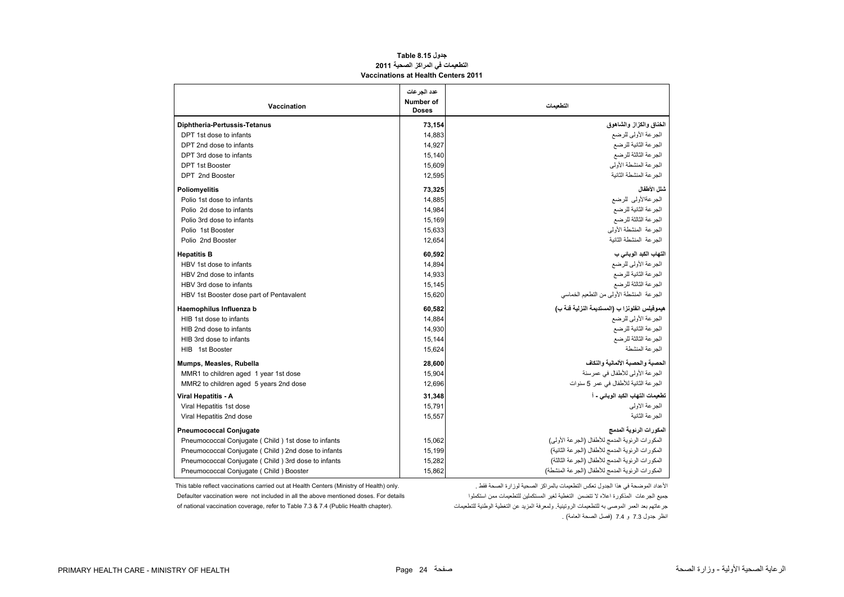#### **جدول 8.15 Table التطعيمات في المراكز الصحية <sup>2011</sup> Vaccinations at Health Centers 2011**

<span id="page-24-0"></span>

| Vaccination                                        | عدد الجرعات<br>Number of<br><b>Doses</b> | التطعيمات                                           |
|----------------------------------------------------|------------------------------------------|-----------------------------------------------------|
| Diphtheria-Pertussis-Tetanus                       | 73,154                                   | الخناق والكزاز والشاهوق                             |
| DPT 1st dose to infants                            | 14,883                                   | الجرعة الأولى للرضع                                 |
| DPT 2nd dose to infants                            | 14,927                                   | الجرعة الثانية للرضع                                |
| DPT 3rd dose to infants                            | 15,140                                   | الجر عة الثالثة للرضع                               |
| <b>DPT 1st Booster</b>                             | 15,609                                   | الجرعة المنشطة الأولى                               |
| DPT 2nd Booster                                    | 12,595                                   | الجر عة المنشطة الثانية                             |
| Poliomyelitis                                      | 73,325                                   | شلل الأطفال                                         |
| Polio 1st dose to infants                          | 14,885                                   | الجرعةالأولى للرضع                                  |
| Polio 2d dose to infants                           | 14,984                                   | الجرعة الثانية للرضع                                |
| Polio 3rd dose to infants                          | 15,169                                   | الجرعة الثالثة للرضع                                |
| Polio 1st Booster                                  | 15,633                                   | الحر عة المنشطة الأولى                              |
| Polio 2nd Booster                                  | 12,654                                   | الحر عة المنشطة الثانبة                             |
| <b>Hepatitis B</b>                                 | 60,592                                   | التهاب الكبد الوباني ب                              |
| HBV 1st dose to infants                            | 14,894                                   | الجرعة الأولى للرضع                                 |
| HBV 2nd dose to infants                            | 14,933                                   | الجرعة الثانية للرضع                                |
| HBV 3rd dose to infants                            | 15,145                                   | الجرعة الثالثة للرضع                                |
| HBV 1st Booster dose part of Pentavalent           | 15,620                                   | الجرعة المنشطة الأولى من التطعيم الخماسي            |
| Haemophilus Influenza b                            | 60,582                                   | هيموفيلس انفلونزا ب (المستديمة النزلية فنة ب)       |
| HIB 1st dose to infants                            | 14,884                                   | الجرعة الأولى للرضع                                 |
| HIB 2nd dose to infants                            | 14,930                                   | الجر عة الثانية للرضع                               |
| HIB 3rd dose to infants                            | 15,144                                   | الجرعة الثالثة للرضع                                |
| HIB 1st Booster                                    | 15,624                                   | الجر عة المنشطة                                     |
| Mumps, Measles, Rubella                            | 28,600                                   | الحصبة والحصبة الألمانية والنكاف                    |
| MMR1 to children aged 1 year 1st dose              | 15,904                                   | الجر عة الأولى للأطفال في عمر سنة                   |
| MMR2 to children aged 5 years 2nd dose             | 12,696                                   | الجر عة الثانية للأطفال في عمر 5 سنوات              |
| Viral Hepatitis - A                                | 31,348                                   | تطعيمات التهاب الكبد الوبائي - أ                    |
| Viral Hepatitis 1st dose                           | 15,791                                   | الجر عة الأولى                                      |
| Viral Hepatitis 2nd dose                           | 15,557                                   | الجر عة الثانية                                     |
| <b>Pneumococcal Conjugate</b>                      |                                          | المكورات الرنوية المدمج                             |
| Pneumococcal Conjugate (Child) 1st dose to infants | 15,062                                   | المكور ات الرئوية المدمج للأطفال (الجرعة الأولى)    |
| Pneumococcal Conjugate (Child) 2nd dose to infants | 15,199                                   | المكورات الرئوية المدمج للأطفال (الجرعة الثانية)    |
| Pneumococcal Conjugate (Child) 3rd dose to infants | 15,282                                   | المكور ات الر نوية المدمج للأطفال (الجر عة الثالثة) |
| Pneumococcal Conjugate (Child) Booster             | 15,862                                   | المكور ات الر نوية المدمج للأطفال (الجر عة المنشطة) |

Defaulter vaccination were not included in all the above mentioned doses. For details

This table reflect vaccinations carried out at Health Centers (Ministry of Health) only. . فقط الصحة لوزارة الصحية بالمراكز التطعيمات تعكس الجدول ھذا في الموضحة األعداد جميع الجرعات المذكورة اعلاه لا نتضمن التغطية لغير المستكملين للتطعيمات ممن استكملوا جرعاتھم بعد العمر الموصى به للتطعيمات الروتينية. ولمعرفة المزيد عن التغطية الوطنية للتطعيمات .(chapter Health Public (7.4 & 7.3 Table to refer ,coverage vaccination national of انظر جدول 7.3 <sup>و</sup> 7.4 (فصل الصحة العامة) .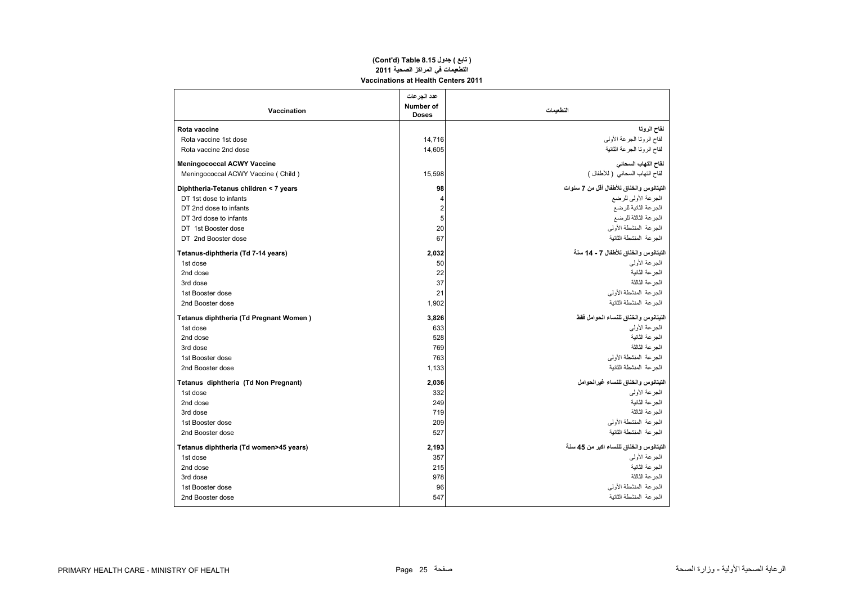#### **Vaccinations at Health Centers 2011 (Cont'd) Table 8.15 جدول ) تابع( التطعيمات في المراكز الصحية <sup>2011</sup>**

| Vaccination                            | عدد الجرعات<br>Number of<br><b>Doses</b> | التطعيمات                                |
|----------------------------------------|------------------------------------------|------------------------------------------|
| <b>Rota vaccine</b>                    |                                          | لمقاح الروتا                             |
| Rota vaccine 1st dose                  | 14.716                                   | لقاح الروتنا الجرعة الأولبي              |
| Rota vaccine 2nd dose                  | 14.605                                   | لقاح الرونا الجرعة الثانية               |
| <b>Meningococcal ACWY Vaccine</b>      |                                          | لقاح التهاب السحاني                      |
| Meningococcal ACWY Vaccine (Child)     | 15,598                                   | لقاح التهاب السحائي ( للأطفال )          |
| Diphtheria-Tetanus children < 7 years  | 98                                       | التيتانوس والخناق للأطفال أقل من 7 سنوات |
| DT 1st dose to infants                 | 4                                        | الجرعة الأولى للرضع                      |
| DT 2nd dose to infants                 | $\overline{\mathbf{c}}$                  | الجرعة الثانية للرضع                     |
| DT 3rd dose to infants                 | 5                                        | الجرعة الثالثة للرضع                     |
| DT 1st Booster dose                    | 20                                       | الجر عة المنشطة الأولمي                  |
| DT 2nd Booster dose                    | 67                                       | الحر عة المنشطة الثانبة                  |
| Tetanus-diphtheria (Td 7-14 years)     | 2,032                                    | التيتانوس والخناق للأطفال 7 - 14 سنة     |
| 1st dose                               | 50                                       | الجر عة الأولى                           |
| 2nd dose                               | 22                                       | الجر عة الثانية                          |
| 3rd dose                               | 37                                       | الجرعة الثالثة                           |
| 1st Booster dose                       | 21                                       | الجر عة المنشطة الأولمي                  |
| 2nd Booster dose                       | 1,902                                    | الجر عة المنشطة الثانية                  |
| Tetanus diphtheria (Td Pregnant Women) | 3,826                                    | التيتانوس والخناق للنساء الحوامل فقط     |
| 1st dose                               | 633                                      | الجر عة الأولى                           |
| 2nd dose                               | 528                                      | الجر عة الثانية                          |
| 3rd dose                               | 769                                      | الجرعة الثالثة                           |
| 1st Booster dose                       | 763                                      | الجر عة المنشطة الأولمي                  |
| 2nd Booster dose                       | 1,133                                    | الجر عة المنشطة الثانية                  |
| Tetanus diphtheria (Td Non Pregnant)   | 2,036                                    | التيتانوس والخناق للنساء غيرالحوامل      |
| 1st dose                               | 332                                      | الجر عة الأولى                           |
| 2nd dose                               | 249                                      | الجر عة الثانية                          |
| 3rd dose                               | 719                                      | الحر عة الثالثة                          |
| 1st Booster dose                       | 209                                      | الحر عة المنشطة الأولى                   |
| 2nd Booster dose                       | 527                                      | الجر عة المنشطة الثانية                  |
| Tetanus diphtheria (Td women>45 years) | 2,193                                    | التيتانوس والخناق للنساء اكبر من 45 سنة  |
| 1st dose                               | 357                                      | الجرعة الأولى                            |
| 2nd dose                               | 215                                      | الجر عة الثانية                          |
| 3rd dose                               | 978                                      | الحر عة الثالثة                          |
| 1st Booster dose                       | 96                                       | الجر عة المنشطة الأولى                   |
| 2nd Booster dose                       | 547                                      | الجرعة المنشطة الثانية                   |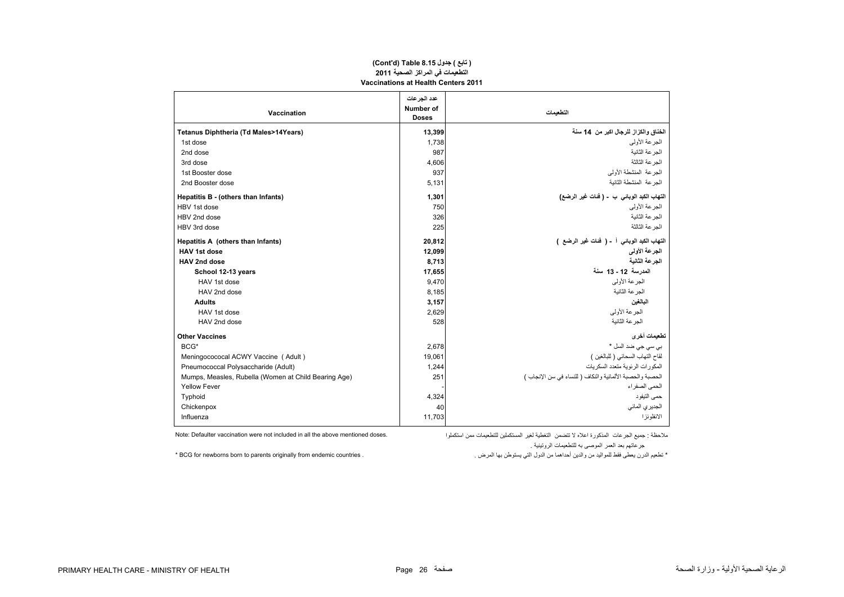#### **(Cont'd) Table 8.15 جدول ) تابع( التطعيمات في المراكز الصحية <sup>2011</sup> Vaccinations at Health Centers 2011**

|                                                      | عدد الجر عات              |                                                           |
|------------------------------------------------------|---------------------------|-----------------------------------------------------------|
| Vaccination                                          | Number of<br><b>Doses</b> | التطعمات                                                  |
| Tetanus Diphtheria (Td Males>14Years)                | 13,399                    | الخناق والكزاز للرجال اكبر من 14 سنة                      |
| 1st dose                                             | 1,738                     | الجر عة الأولى                                            |
| 2nd dose                                             | 987                       | الجر عة الثانية                                           |
| 3rd dose                                             | 4.606                     | الجر عة الثالثة                                           |
| 1st Booster dose                                     | 937                       | الجر عة المنشطة الأولى                                    |
| 2nd Booster dose                                     | 5.131                     | الجر عة المنشطة الثانية                                   |
| Hepatitis B - (others than Infants)                  | 1,301                     | التهاب الكبد الوباني ب  - ( فَنات غير الرضع)              |
| HBV 1st dose                                         | 750                       | الجر عة الأولى                                            |
| HBV 2nd dose                                         | 326                       | الجر عة الثانية                                           |
| HBV 3rd dose                                         | 225                       | الجر عة الثالثة                                           |
| Hepatitis A (others than Infants)                    | 20,812                    | التهاب الكبد الوباني أ - ( فَنات غير الرضع )              |
| <b>HAV 1st dose</b>                                  | 12,099                    | الجرعة الأولى                                             |
| HAV 2nd dose                                         | 8,713                     | الجرعة الثانية                                            |
| School 12-13 years                                   | 17,655                    | المدرسة 12 - 13 سنة                                       |
| HAV 1st dose                                         | 9,470                     | الجر عة الأولى                                            |
| HAV 2nd dose                                         | 8,185                     | الحر عة الثانية                                           |
| <b>Adults</b>                                        | 3,157                     | البالغين                                                  |
| HAV 1st dose                                         | 2,629                     | الجز عة الأولى                                            |
| HAV 2nd dose                                         | 528                       | الجر عة الثانية                                           |
| <b>Other Vaccines</b>                                |                           | تطعيمات أخرى                                              |
| BCG*                                                 | 2,678                     | بي سي جي ضد السل *                                        |
| Meningocococal ACWY Vaccine (Adult)                  | 19,061                    | لقاح التهاب السحائي ( للبالغين )                          |
| Pneumococcal Polysaccharide (Adult)                  | 1,244                     | المكورات الرئوية متعدد السكريات                           |
| Mumps, Measles, Rubella (Women at Child Bearing Age) | 251                       | الحصبة والحصبة الألمانية والنكاف ( للنساء في سن الإنجاب ) |
| <b>Yellow Fever</b>                                  |                           | الحمى الصفر اء                                            |
| Typhoid                                              | 4,324                     | حمى التيفود                                               |
| Chickenpox                                           | 40                        | الجديري المائي                                            |
| Influenza                                            | 11,703                    | الانفلو نز ا                                              |

ملاحظة : جميع الجرعات المذكورة اعلاه لا تتضمن التغطية لغير المستكملين للتطعيمات ممن استكملوا . Note: Defaulter vaccination were not included in all the above mentioned doses. جرعاتھم بعد العمر الموصى به للتطعيمات الروتينية .

\* تطعيم الدرن يعطى فقط للمواليد من والدين أحداھما من الدول التي يستوطن بھا المرض . . countries endemic from originally parents to born newborns for BCG\*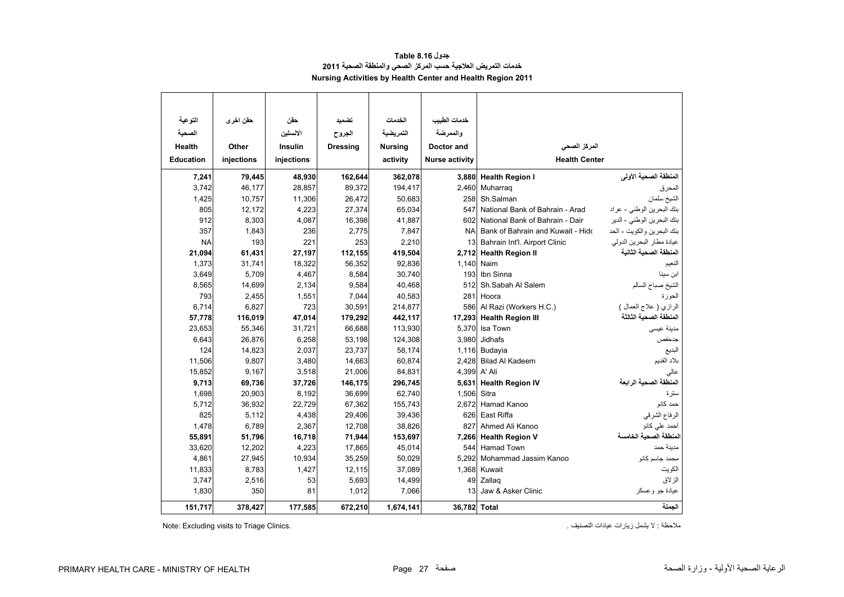| جدول Table 8.16                                              |
|--------------------------------------------------------------|
| خدمات التمريض العلاجية حسب المركز الصحى والمنطقة الصحية 2011 |
| Nursing Activities by Health Center and Health Region 2011   |

<span id="page-27-0"></span>

| التوعية          | حقن اخر ي  | حقن            | تضميد           | الخدمات        | خدمات الطبيب          |                                   |                            |
|------------------|------------|----------------|-----------------|----------------|-----------------------|-----------------------------------|----------------------------|
| الصحبة           |            | الانسلين       | الجروح          | التمريضية      | والممرضة              |                                   |                            |
| <b>Health</b>    | Other      | <b>Insulin</b> | <b>Dressing</b> | <b>Nursing</b> | Doctor and            | المركز الصحى                      |                            |
| <b>Education</b> | injections | injections     |                 | activity       | <b>Nurse activity</b> | <b>Health Center</b>              |                            |
|                  |            |                |                 |                |                       |                                   |                            |
| 7,241            | 79,445     | 48,930         | 162,644         | 362,078        | 3,880                 | <b>Health Region I</b>            | المنطقة الصحية الأولى      |
| 3,742            | 46,177     | 28,857         | 89,372          | 194,417        | 2,460                 | Muharrag                          | المحرق                     |
| 1,425            | 10,757     | 11,306         | 26,472          | 50,683         | 258                   | Sh.Salman                         | الشيخ سلمان                |
| 805              | 12,172     | 4,223          | 27,374          | 65,034         | 547                   | National Bank of Bahrain - Arad   | بنك البحرين الوطني - عراد  |
| 912              | 8,303      | 4,087          | 16,398          | 41,887         | 602                   | National Bank of Bahrain - Dair   | بنك البحرين الوطني - الدير |
| 357              | 1,843      | 236            | 2,775           | 7,847          | <b>NA</b>             | Bank of Bahrain and Kuwait - Hidd | بنك البحرين والكويت - الحد |
| <b>NA</b>        | 193        | 221            | 253             | 2,210          | 13                    | Bahrain Int'l. Airport Clinic     | عيادة مطار البحرين الدولي  |
| 21,094           | 61,431     | 27,197         | 112,155         | 419,504        | 2,712                 | <b>Health Region II</b>           | المنطقة الصحبة الثانية     |
| 1,373            | 31,741     | 18,322         | 56,352          | 92,836         | 1,140                 | Naim                              | النعيم                     |
| 3,649            | 5,709      | 4,467          | 8,584           | 30,740         | 193                   | Ibn Sinna                         | ابن سينا                   |
| 8,565            | 14,699     | 2,134          | 9,584           | 40,468         | 512                   | Sh.Sabah Al Salem                 | الشيخ صباح السالم          |
| 793              | 2,455      | 1,551          | 7,044           | 40,583         | 281                   | Hoora                             | الحورة                     |
| 6,714            | 6,827      | 723            | 30,591          | 214,877        |                       | 586 Al Razi (Workers H.C.)        | الرازي ( علاج العمال )     |
| 57,778           | 116,019    | 47,014         | 179,292         | 442,117        | 17,293                | <b>Health Region III</b>          | المنطقة الصحية الثالثة     |
| 23,653           | 55,346     | 31,721         | 66,688          | 113,930        | 5,370                 | Isa Town                          | مدينة عيسى                 |
| 6,643            | 26,876     | 6,258          | 53,198          | 124,308        | 3,980                 | Jidhafs                           | جدحفص                      |
| 124              | 14,823     | 2,037          | 23,737          | 58,174         | 1,116                 | Budavia                           | البديع                     |
| 11,506           | 9,807      | 3,480          | 14,663          | 60,874         | 2.428                 | <b>Bilad Al Kadeem</b>            | بلاد القديم                |
| 15,852           | 9,167      | 3,518          | 21,006          | 84,831         | 4,399                 | A' Ali                            | عالى                       |
| 9,713            | 69,736     | 37,726         | 146,175         | 296,745        | 5,631                 | <b>Health Region IV</b>           | المنطقة الصحية الرابعة     |
| 1,698            | 20,903     | 8,192          | 36,699          | 62,740         | 1,506                 | Sitra                             | ستر ۃ                      |
| 5,712            | 36,932     | 22,729         | 67,362          | 155,743        | 2.672                 | Hamad Kanoo                       | حمد كانو                   |
| 825              | 5,112      | 4,438          | 29,406          | 39,436         | 626                   | East Riffa                        | الرفاع الشرقي              |
| 1,478            | 6,789      | 2,367          | 12,708          | 38,826         | 827                   | Ahmed Ali Kanoo                   | أحمد على كانو              |
| 55,891           | 51,796     | 16,718         | 71,944          | 153,697        | 7,266                 | <b>Health Region V</b>            | المنطقة الصحية الخامسة     |
| 33,620           | 12,202     | 4,223          | 17,865          | 45,014         | 544                   | <b>Hamad Town</b>                 | مدينة حمد                  |
| 4,861            | 27,945     | 10,934         | 35,259          | 50,029         | 5,292                 | Mohammad Jassim Kanoo             | محمد جاسم كانو             |
| 11,833           | 8,783      | 1,427          | 12,115          | 37,089         | 1,368                 | Kuwait                            | الكويت                     |
| 3,747            | 2,516      | 53             | 5,693           | 14,499         | 49                    | Zallag                            | الز لاق                    |
| 1,830            | 350        | 81             | 1,012           | 7,066          | 13                    | Jaw & Asker Clinic                | عيادة جو وعسكر             |
| 151,717          | 378,427    | 177,585        | 672,210         | 1,674,141      | 36,782 Total          |                                   | الجملة                     |

Note: Excluding visits to Triage Clinics.

ملاحظة : لا يشمل زيارات عيادات النصنيف .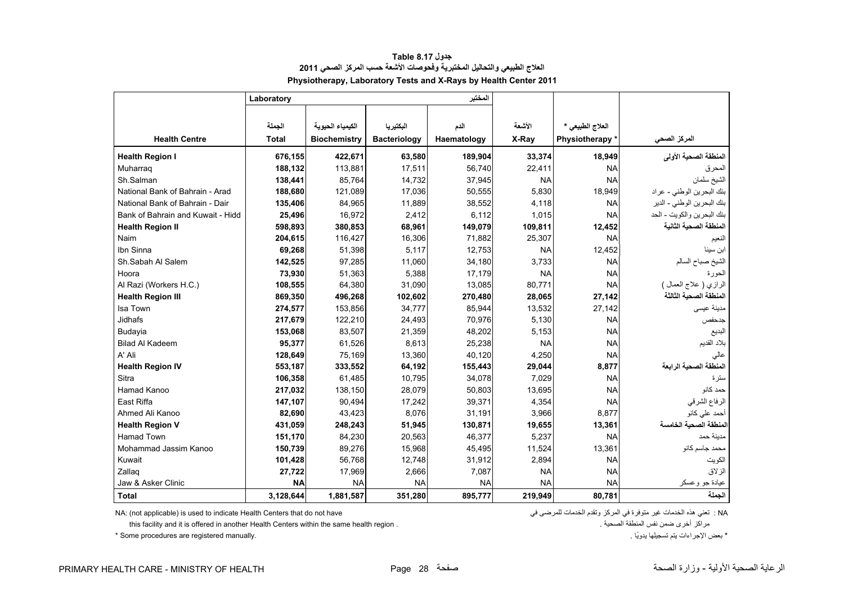<span id="page-28-0"></span>

|                                   | Laboratory   |                     |                     | المختبر     |           |                  |                            |
|-----------------------------------|--------------|---------------------|---------------------|-------------|-----------|------------------|----------------------------|
|                                   |              |                     |                     |             |           |                  |                            |
|                                   | الجملة       | الكيمياء الحيوية    | البكتيريا           | الدم        | الأشعة    | العلاج الطبيعي * |                            |
| <b>Health Centre</b>              | <b>Total</b> | <b>Biochemistry</b> | <b>Bacteriology</b> | Haematology | X-Ray     | Physiotherapy *  | المركز الصحى               |
| <b>Health Region I</b>            | 676,155      | 422,671             | 63,580              | 189,904     | 33,374    | 18,949           | المنطقة الصحية الأولى      |
| Muharrag                          | 188,132      | 113,881             | 17,511              | 56,740      | 22,411    | <b>NA</b>        | المحرق                     |
| Sh.Salman                         | 138,441      | 85,764              | 14,732              | 37,945      | <b>NA</b> | <b>NA</b>        | الشيخ سلمان                |
| National Bank of Bahrain - Arad   | 188,680      | 121,089             | 17,036              | 50,555      | 5,830     | 18,949           | بنك البحرين الوطني - عراد  |
| National Bank of Bahrain - Dair   | 135,406      | 84,965              | 11,889              | 38,552      | 4,118     | <b>NA</b>        | بنك البحرين الوطني - الدير |
| Bank of Bahrain and Kuwait - Hidd | 25,496       | 16,972              | 2,412               | 6,112       | 1,015     | <b>NA</b>        | بنك البحرين والكويت - الحد |
| <b>Health Region II</b>           | 598,893      | 380,853             | 68,961              | 149,079     | 109,811   | 12,452           | المنطقة الصحية الثانية     |
| Naim                              | 204,615      | 116,427             | 16,306              | 71,882      | 25,307    | <b>NA</b>        | الفعيم                     |
| Ibn Sinna                         | 69,268       | 51,398              | 5,117               | 12,753      | <b>NA</b> | 12,452           | ابن سينا                   |
| Sh.Sabah Al Salem                 | 142,525      | 97,285              | 11,060              | 34,180      | 3,733     | <b>NA</b>        | الشيخ صباح السالم          |
| Hoora                             | 73,930       | 51,363              | 5,388               | 17,179      | <b>NA</b> | <b>NA</b>        | الحورة                     |
| Al Razi (Workers H.C.)            | 108,555      | 64,380              | 31,090              | 13,085      | 80,771    | <b>NA</b>        | الرازي ( علاج العمال )     |
| <b>Health Region III</b>          | 869,350      | 496,268             | 102,602             | 270,480     | 28,065    | 27,142           | المنطقة الصحية الثالثة     |
| Isa Town                          | 274,577      | 153,856             | 34,777              | 85,944      | 13,532    | 27,142           | مدينة عيسى                 |
| Jidhafs                           | 217,679      | 122,210             | 24,493              | 70,976      | 5,130     | <b>NA</b>        | جدحفص                      |
| Budayia                           | 153,068      | 83,507              | 21,359              | 48,202      | 5,153     | <b>NA</b>        | البديع                     |
| <b>Bilad Al Kadeem</b>            | 95,377       | 61,526              | 8,613               | 25,238      | <b>NA</b> | <b>NA</b>        | بلاد القديم                |
| A' Ali                            | 128,649      | 75,169              | 13,360              | 40,120      | 4,250     | <b>NA</b>        | عالى                       |
| <b>Health Region IV</b>           | 553,187      | 333,552             | 64,192              | 155,443     | 29,044    | 8,877            | المنطقة الصحية الرابعة     |
| Sitra                             | 106,358      | 61,485              | 10,795              | 34,078      | 7,029     | <b>NA</b>        | سترة                       |
| Hamad Kanoo                       | 217,032      | 138,150             | 28,079              | 50,803      | 13,695    | <b>NA</b>        | حمد كانو                   |
| East Riffa                        | 147,107      | 90,494              | 17,242              | 39,371      | 4,354     | <b>NA</b>        | الرفاع الشرقي              |
| Ahmed Ali Kanoo                   | 82,690       | 43,423              | 8,076               | 31,191      | 3,966     | 8,877            | أحمد على كانو              |
| <b>Health Region V</b>            | 431,059      | 248,243             | 51,945              | 130,871     | 19,655    | 13,361           | المنطقة الصحية الخامسة     |
| <b>Hamad Town</b>                 | 151,170      | 84,230              | 20,563              | 46,377      | 5,237     | <b>NA</b>        | مدينة حمد                  |
| Mohammad Jassim Kanoo             | 150,739      | 89,276              | 15,968              | 45,495      | 11,524    | 13,361           | محمد جاسم كانو             |
| Kuwait                            | 101,428      | 56,768              | 12,748              | 31,912      | 2,894     | <b>NA</b>        | الكويت                     |
| Zallag                            | 27,722       | 17,969              | 2,666               | 7,087       | <b>NA</b> | <b>NA</b>        | الزلاق                     |
| Jaw & Asker Clinic                | <b>NA</b>    | <b>NA</b>           | <b>NA</b>           | <b>NA</b>   | <b>NA</b> | <b>NA</b>        | عيادة جو وعسكر             |
| <b>Total</b>                      | 3,128,644    | 1,881,587           | 351,280             | 895,777     | 219,949   | 80,781           | الحملة                     |

# **جدول 8.17 Table العالج الطبيعي والتحاليل المختبرية وفحوصات األشعة حسب المركز الصحي <sup>2011</sup> Physiotherapy, Laboratory Tests and X-Rays by Health Center 2011**

NA: (not applicable) is used to indicate Health Centers that do not have في للمرضى الخدمات وتقدم المركز في متوفرة غير الخدمات ھذه تعني : NA

this facility and it is offered in another Health Centers within the same health region . . الصحية المنطقة نفس ضمن أخرى مراكز

\* بعض اإلجراءات يتم تسجيلھا ً يدويا . .manually registered are procedures Some\*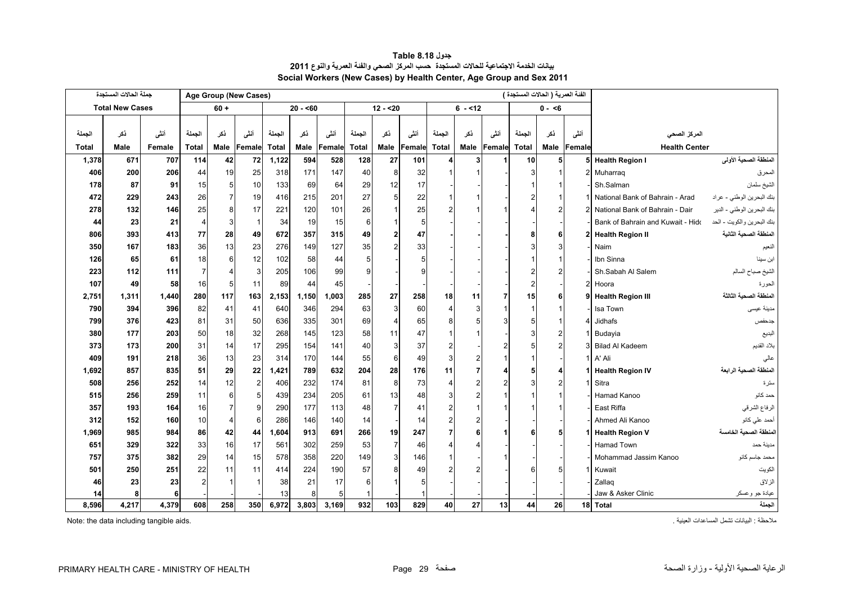<span id="page-29-0"></span>

|        | جملة الحالات المستجدة  |        |                |                | Age Group (New Cases) |              |           |        |              |                |        |                |          |                | الفنة العمرية ( الحالات المستجدة ) |                |                |                                   |                            |  |
|--------|------------------------|--------|----------------|----------------|-----------------------|--------------|-----------|--------|--------------|----------------|--------|----------------|----------|----------------|------------------------------------|----------------|----------------|-----------------------------------|----------------------------|--|
|        | <b>Total New Cases</b> |        |                | $60 +$         |                       |              | $20 - 60$ |        |              | $12 - 20$      |        |                | $6 - 12$ |                |                                    | $0 - 6$        |                |                                   |                            |  |
|        |                        |        |                |                |                       |              |           |        |              |                |        |                |          |                |                                    |                |                |                                   |                            |  |
| الجملة | ذكر                    | أنشى   | الجملة         | نكر            | أنشى                  | الجملة       | نكر       | أنشى   | الجملة       | نكر            | أنشى   | الجملة         | ذكر      | أنشى           | الجملة                             | نكر            | أنشى           | المركز الصحي                      |                            |  |
| Total  | Male                   | Female | <b>Total</b>   | Male           | Female                | <b>Total</b> | Male      | Female | <b>Total</b> | Male           | Female | <b>Total</b>   | Male     | Female         | <b>Total</b>                       | Male           | Female         | <b>Health Center</b>              |                            |  |
| 1,378  | 671                    | 707    | 114            | 42             | 72                    | 1,122        | 594       | 528    | 128          | 27             | 101    | $\overline{4}$ | 3        |                | 10                                 | 5              |                | 5 Health Region I                 | المنطقة الصحية الأولى      |  |
| 406    | 200                    | 206    | 44             | 19             | 25                    | 318          | 171       | 147    | 40           | 8              | 32     |                |          |                | 3                                  |                |                | 2 Muharraq                        | المحرق                     |  |
| 178    | 87                     | 91     | 15             | 5 <sub>l</sub> | 10                    | 133          | 69        | 64     | 29           | 12             | 17     |                |          |                |                                    |                |                | Sh.Salman                         | الشيخ سلمان                |  |
| 472    | 229                    | 243    | 26             | 7              | 19                    | 416          | 215       | 201    | 27           | 5              | 22     |                |          |                | 2                                  |                |                | National Bank of Bahrain - Arad   | بنك البحرين الوطني - عراد  |  |
| 278    | 132                    | 146    | 25             | 8              | 17                    | 221          | 120       | 101    | 26           | $\overline{1}$ | 25     |                |          |                |                                    | 2              | $\overline{2}$ | National Bank of Bahrain - Dair   | بنك البحرين الوطني - الدير |  |
| 44     | 23                     | 21     | $\overline{4}$ | 3              | $\vert$               | 34           | 19        | 15     | 6            | $\overline{1}$ | 5      |                |          |                |                                    |                |                | Bank of Bahrain and Kuwait - Hido | بنك البحرين والكويت - الحد |  |
| 806    | 393                    | 413    | 77             | 28             | 49                    | 672          | 357       | 315    | 49           | $\overline{2}$ | 47     |                |          |                | 8                                  | 6              |                | 2 Health Region II                | المنطقة الصحية الثانية     |  |
| 350    | 167                    | 183    | 36             | 13             | 23                    | 276          | 149       | 127    | 35           | $\overline{2}$ | 33     |                |          |                | 3                                  | 3              |                | Naim                              | النعيم                     |  |
| 126    | 65                     | 61     | 18             | 6              | 12                    | 102          | 58        | 44     | 5            |                | 5      |                |          |                |                                    |                |                | Ibn Sinna                         | ابن سينا                   |  |
| 223    | 112                    | 111    | $\overline{7}$ |                | 3                     | 205          | 106       | 99     | g            |                |        |                |          |                |                                    |                |                | Sh.Sabah Al Salem                 | الشيخ صباح السالم          |  |
| 107    | 49                     | 58     | 16             | 5              | 11                    | 89           | 44        | 45     |              |                |        |                |          |                | $\overline{2}$                     |                | $\overline{2}$ | Hoora                             | الحورة                     |  |
| 2,751  | 1,311                  | 1,440  | 280            | 117            | 163                   | 2,153        | 1,150     | 1,003  | 285          | 27             | 258    | 18             | 11       | 7              | 15                                 | 6              |                | 9 Health Region III               | المنطقة الصحبة الثالثة     |  |
| 790    | 394                    | 396    | 82             | 41             | 41                    | 640          | 346       | 294    | 63           | 3              | 60     | $\overline{4}$ |          |                | 1                                  |                |                | Isa Town                          | مدينة عيسى                 |  |
| 799    | 376                    | 423    | 81             | 31             | 50                    | 636          | 335       | 301    | 69           | $\overline{4}$ | 65     |                |          | 3              | 5                                  |                | 4              | <b>Jidhafs</b>                    | جدحفص                      |  |
| 380    | 177                    | 203    | 50             | 18             | 32                    | 268          | 145       | 123    | 58           | 11             | 47     |                |          |                |                                    | $\overline{2}$ |                | Budayia                           | البديع                     |  |
| 373    | 173                    | 200    | 31             | 14             | 17                    | 295          | 154       | 141    | 40           | $\mathbf{3}$   | 37     |                |          | $\overline{2}$ | 5                                  | $\overline{2}$ | $\mathcal{R}$  | <b>Bilad Al Kadeem</b>            | بلاد القديم                |  |
| 409    | 191                    | 218    | 36             | 13             | 23                    | 314          | 170       | 144    | 55           | 6              | 49     | 3              |          |                |                                    |                |                | 1 A' Ali                          | عالي                       |  |
| 1,692  | 857                    | 835    | 51             | 29             | 22                    | 1,421        | 789       | 632    | 204          | 28             | 176    | 11             |          |                | 5                                  | 4              | 1              | Health Region IV                  | المنطقة الصحية الرابعة     |  |
| 508    | 256                    | 252    | 14             | 12             | $\overline{2}$        | 406          | 232       | 174    | 81           | 8              | 73     | $\overline{4}$ |          | 2              | 3                                  | $\overline{2}$ |                | Sitra                             | سترة                       |  |
| 515    | 256                    | 259    | 11             | 6              | 5                     | 439          | 234       | 205    | 61           | 13             | 48     |                |          |                |                                    |                |                | Hamad Kanoo                       | حمد كانو                   |  |
| 357    | 193                    | 164    | 16             |                | 9                     | 290          | 177       | 113    | 48           | $\overline{7}$ | 41     |                |          |                |                                    |                |                | East Riffa                        | الرفاع الشرقي              |  |
| 312    | 152                    | 160    | 10             | 4              | 6                     | 286          | 146       | 140    | 14           |                | 14     |                |          |                |                                    |                |                | Ahmed Ali Kanoo                   | أحمد علي كانو              |  |
| 1,969  | 985                    | 984    | 86             | 42             | 44                    | 1,604        | 913       | 691    | 266          | 19             | 247    |                |          |                | 6                                  | 5              | 1              | <b>Health Region V</b>            | المنطقة الصحية الخامسة     |  |
| 651    | 329                    | 322    | 33             | 16             | 17                    | 561          | 302       | 259    | 53           | $\overline{7}$ | 46     |                |          |                |                                    |                |                | <b>Hamad Town</b><br>مدينة حمد    |                            |  |
| 757    | 375                    | 382    | 29             | 14             | 15                    | 578          | 358       | 220    | 149          | 3              | 146    |                |          |                |                                    |                |                | Mohammad Jassim Kanoo             | محمد جاسم كانو             |  |
| 501    | 250                    | 251    | 22             | 11             | 11                    | 414          | 224       | 190    | 57           | 8              | 49     |                |          |                | ี                                  |                | 1              | الكويت<br>Kuwait                  |                            |  |
| 46     | 23                     | 23     | $\overline{c}$ |                |                       | 38           | 21        | 17     | 6            | $\mathbf{1}$   | 5      |                |          |                |                                    |                |                | الزلاق<br>Zallag                  |                            |  |
| 14     | 8                      | 6      |                |                |                       | 13           | 8         | 5      |              |                |        |                |          |                |                                    |                |                | Jaw & Asker Clinic                | عيادة جو وعسكر             |  |
| 8,596  | 4,217                  | 4,379  | 608            | 258            | 350                   | 6,972        | 3,803     | 3,169  | 932          | 103            | 829    | 40             | 27       | 13             | 44                                 | 26             |                | 18 Total                          | الجملة                     |  |

### **جدول 8.18 Table بيانات الخدمة االجتماعية للحاالت المستجدة حسب المركز الصحي والفئة العمرية والنوع<sup>2011</sup> Social Workers (New Cases) by Health Center, Age Group and Sex 2011**

Note: the data including tangible aids. . العينية المساعدات تشمل البيانات : مالحظة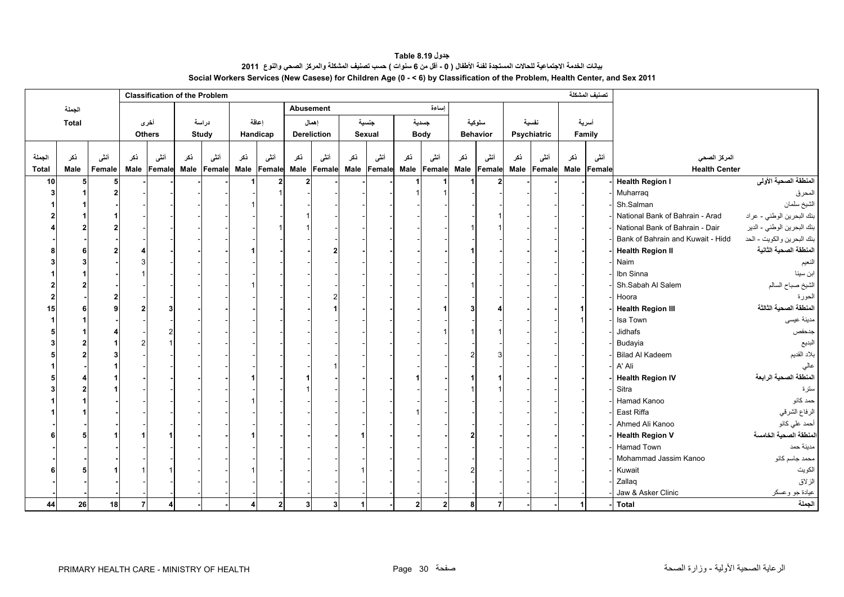**جدول 8.19 Table** بيانات الخدمة الاجتماعية للحالات المستجدة لفنة الأطفال ( 0 ـ أقل من 6 سنوات ) حسب تصنيف المشكلة والمركز الصحي والنوع 2011 **Social Workers Services (New Casese) for Children Age (0 - < 6) by Classification of the Problem, Health Center, and Sex 2011**

<span id="page-30-0"></span>

|              |        |        |     | <b>Classification of the Problem</b> |     |                  |     |                |                  |                    |     |        |             |                |     |                                                 |     |             |      | تصنيف المشكلة |                                   |                            |
|--------------|--------|--------|-----|--------------------------------------|-----|------------------|-----|----------------|------------------|--------------------|-----|--------|-------------|----------------|-----|-------------------------------------------------|-----|-------------|------|---------------|-----------------------------------|----------------------------|
|              | الجملة |        |     |                                      |     |                  |     |                | <b>Abusement</b> |                    |     |        |             | اساءة          |     |                                                 |     |             |      |               |                                   |                            |
|              | Total  |        |     | أخرى                                 |     | دراسة            |     | اعاقة          |                  | إهمال              |     | جنسية  |             | جسدية          |     | سلوكية                                          |     | نفسية       |      | أسرية         |                                   |                            |
|              |        |        |     | <b>Others</b>                        |     | Study            |     | Handicap       |                  | <b>Dereliction</b> |     | Sexual |             | <b>Body</b>    |     | <b>Behavior</b>                                 |     | Psychiatric |      | Family        |                                   |                            |
|              |        |        |     |                                      |     |                  |     |                |                  |                    |     |        |             |                |     |                                                 |     |             |      |               |                                   |                            |
| الجملة       | نكر    | أنشى   | ذكر | أنشى                                 | نكر | أنشى             | ذكر | أنشى           | نكر              | أنشى               | ذكر | أنشى   | ذكر         | أنشى           | ذكر | أنشى                                            | ذكر | أنشى        | ڏکر  | أنشى          | المركز الصحى                      |                            |
| <b>Total</b> | Male   | Female |     | Male Female                          |     | Male Female Male |     | Female         | Male             | Female             |     |        |             |                |     | Male Female Male Female Male Female Male Female |     |             | Male | Female        | <b>Health Center</b>              |                            |
| 10           | 5      | 5      |     |                                      |     |                  |     |                | $\overline{2}$   |                    |     |        |             |                |     |                                                 |     |             |      |               | <b>Health Region I</b>            | المنطقة الصحية الأولى      |
|              |        | 2      |     |                                      |     |                  |     |                |                  |                    |     |        |             |                |     |                                                 |     |             |      |               | Muharraq                          | المحرق                     |
|              |        |        |     |                                      |     |                  |     |                |                  |                    |     |        |             |                |     |                                                 |     |             |      |               | Sh.Salman                         | الشيخ سلمان                |
|              |        |        |     |                                      |     |                  |     |                |                  |                    |     |        |             |                |     |                                                 |     |             |      |               | National Bank of Bahrain - Arad   | بنك البحرين الوطني - عراد  |
|              |        |        |     |                                      |     |                  |     |                |                  |                    |     |        |             |                |     |                                                 |     |             |      |               | National Bank of Bahrain - Dair   | بنك البحرين الوطني - الدير |
|              |        |        |     |                                      |     |                  |     |                |                  |                    |     |        |             |                |     |                                                 |     |             |      |               | Bank of Bahrain and Kuwait - Hidd | بنك البحرين والكويت - الحد |
|              |        |        |     |                                      |     |                  |     |                |                  |                    |     |        |             |                |     |                                                 |     |             |      |               | <b>Health Region II</b>           | المنطقة الصحية الثانية     |
|              |        |        |     |                                      |     |                  |     |                |                  |                    |     |        |             |                |     |                                                 |     |             |      |               | Naim                              | النعيم                     |
|              |        |        |     |                                      |     |                  |     |                |                  |                    |     |        |             |                |     |                                                 |     |             |      |               | Ibn Sinna                         | ابن سينا                   |
|              |        |        |     |                                      |     |                  |     |                |                  |                    |     |        |             |                |     |                                                 |     |             |      |               | Sh.Sabah Al Salem                 | الشيخ صباح السالم          |
|              |        |        |     |                                      |     |                  |     |                |                  |                    |     |        |             |                |     |                                                 |     |             |      |               | Hoora                             | الحورة                     |
| 15           |        |        |     |                                      |     |                  |     |                |                  |                    |     |        |             |                |     |                                                 |     |             |      |               | <b>Health Region III</b>          | المنطقة الصحية الثالثة     |
|              |        |        |     |                                      |     |                  |     |                |                  |                    |     |        |             |                |     |                                                 |     |             |      |               | Isa Town                          | مدينة عيسى                 |
|              |        |        |     |                                      |     |                  |     |                |                  |                    |     |        |             |                |     |                                                 |     |             |      |               | Jidhafs                           | جدحفص                      |
|              |        |        |     |                                      |     |                  |     |                |                  |                    |     |        |             |                |     |                                                 |     |             |      |               | Budayia                           | البديع                     |
|              |        |        |     |                                      |     |                  |     |                |                  |                    |     |        |             |                |     |                                                 |     |             |      |               | <b>Bilad Al Kadeem</b>            | بلاد القديم                |
|              |        |        |     |                                      |     |                  |     |                |                  |                    |     |        |             |                |     |                                                 |     |             |      |               | A' Ali                            |                            |
|              |        |        |     |                                      |     |                  |     |                |                  |                    |     |        |             |                |     |                                                 |     |             |      |               | <b>Health Region IV</b>           | المنطقة الصحية الرابعة     |
|              |        |        |     |                                      |     |                  |     |                |                  |                    |     |        |             |                |     |                                                 |     |             |      |               | Sitra                             | سترة                       |
|              |        |        |     |                                      |     |                  |     |                |                  |                    |     |        |             |                |     |                                                 |     |             |      |               | Hamad Kanoo                       | حمد كانو                   |
|              |        |        |     |                                      |     |                  |     |                |                  |                    |     |        |             |                |     |                                                 |     |             |      |               | East Riffa                        | الرفاع الشرقي              |
|              |        |        |     |                                      |     |                  |     |                |                  |                    |     |        |             |                |     |                                                 |     |             |      |               | Ahmed Ali Kanoo                   | أحمد علي كانو              |
|              |        |        |     |                                      |     |                  |     |                |                  |                    |     |        |             |                |     |                                                 |     |             |      |               | <b>Health Region V</b>            | المنطقة الصحية الخامسة     |
|              |        |        |     |                                      |     |                  |     |                |                  |                    |     |        |             |                |     |                                                 |     |             |      |               | Hamad Town                        | مدينة حمد                  |
|              |        |        |     |                                      |     |                  |     |                |                  |                    |     |        |             |                |     |                                                 |     |             |      |               | Mohammad Jassim Kanoo             | محمد جاسم كانو             |
|              |        |        |     |                                      |     |                  |     |                |                  |                    |     |        |             |                |     |                                                 |     |             |      |               | Kuwait                            | الكويت                     |
|              |        |        |     |                                      |     |                  |     |                |                  |                    |     |        |             |                |     |                                                 |     |             |      |               | Zallaq                            | الزلاق                     |
|              |        |        |     |                                      |     |                  |     |                |                  |                    |     |        |             |                |     |                                                 |     |             |      |               | Jaw & Asker Clinic                | عيادة جو وعسكر             |
| 44           | 26     | 18     | 7   | 4                                    |     |                  | 4   | $\overline{2}$ | 3 <sup>1</sup>   | 3 <sup>1</sup>     | 1   |        | $\mathbf 2$ | $\overline{2}$ | 8   |                                                 |     |             |      |               | <b>Total</b>                      | الجملة                     |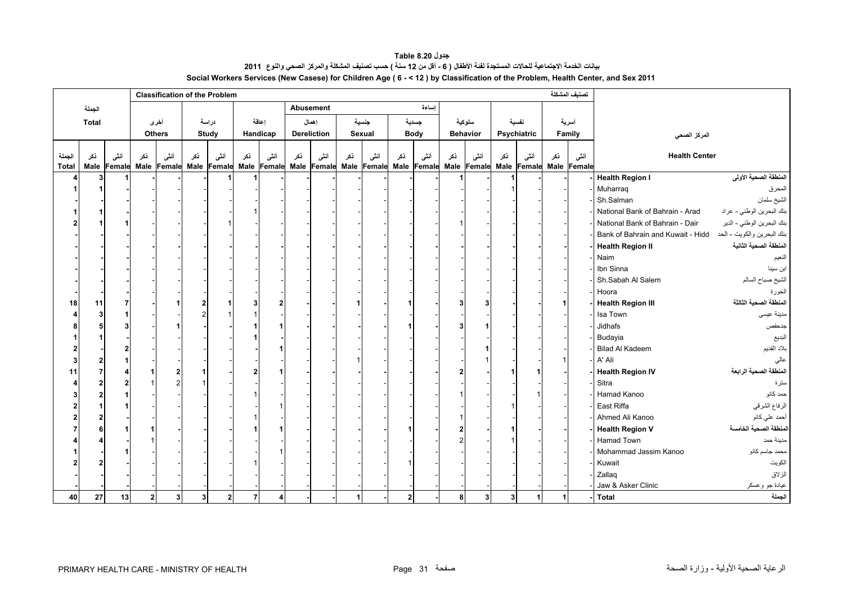**جدول 8.20 Table** بيانات الخدمة الاجتماعية للحالات المستجدة لفنة الأطفال ( 6 - أقل من 12 سنة ) حسب تصنيف المشكلة والمركز الصحي والنوع 2011 **Social Workers Services (New Casese) for Children Age ( 6 - < 12 ) by Classification of the Problem, Health Center, and Sex 2011**

<span id="page-31-0"></span>

|              |        |             |           |               | <b>Classification of the Problem</b> |                |                                          |          |     |                    |     |        |              |             |     |                                                             |                         |             |     | تصنيف المشكلة |                                   |                            |
|--------------|--------|-------------|-----------|---------------|--------------------------------------|----------------|------------------------------------------|----------|-----|--------------------|-----|--------|--------------|-------------|-----|-------------------------------------------------------------|-------------------------|-------------|-----|---------------|-----------------------------------|----------------------------|
|              | الجملة |             |           |               |                                      |                |                                          |          |     | <b>Abusement</b>   |     |        |              | اساءة       |     |                                                             |                         |             |     |               |                                   |                            |
|              | Total  |             |           | أخرى          |                                      | دراسة          |                                          | اعاقة    |     | إهمال              |     | جنسية  |              | جسدية       |     | سلوكية                                                      |                         | نفسية       |     | أسرية         |                                   |                            |
|              |        |             |           | <b>Others</b> |                                      | Study          |                                          | Handicap |     | <b>Dereliction</b> |     | Sexual |              | <b>Body</b> |     | <b>Behavior</b>                                             |                         | Psychiatric |     | Family        | المركز الصحى                      |                            |
|              |        |             |           |               |                                      |                |                                          |          |     |                    |     |        |              |             |     |                                                             |                         |             |     |               |                                   |                            |
| الجملة       | ذكر    | أننس        | نكر       | أننى          | نكر                                  | أننسى          | ذكر                                      | أنشى     | ذكر | أننسى              | نكر | أنشى   | ذكر          | أنشى        | ذكر | أنشى                                                        | ذكر                     | أنشى        | ذكر | أننسى         | <b>Health Center</b>              |                            |
| <b>Total</b> |        | Male Female |           |               |                                      |                | Male Female Male Female Male Female Male |          |     | <b>Female</b>      |     |        |              |             |     | Male Female Male Female Male Female Male Female Male Female |                         |             |     |               |                                   |                            |
|              |        |             |           |               |                                      |                |                                          |          |     |                    |     |        |              |             |     |                                                             |                         |             |     |               | <b>Health Region I</b>            | المنطقة الصحية الأولى      |
|              |        |             |           |               |                                      |                |                                          |          |     |                    |     |        |              |             |     |                                                             |                         |             |     |               | Muharraq                          | المحرق                     |
|              |        |             |           |               |                                      |                |                                          |          |     |                    |     |        |              |             |     |                                                             |                         |             |     |               | Sh.Salman                         | الشيخ سلمان                |
|              |        |             |           |               |                                      |                |                                          |          |     |                    |     |        |              |             |     |                                                             |                         |             |     |               | National Bank of Bahrain - Arad   | بنك البحرين الوطني - عراد  |
|              |        |             |           |               |                                      |                |                                          |          |     |                    |     |        |              |             |     |                                                             |                         |             |     |               | National Bank of Bahrain - Dair   | بنك البحرين الوطني - الدير |
|              |        |             |           |               |                                      |                |                                          |          |     |                    |     |        |              |             |     |                                                             |                         |             |     |               | Bank of Bahrain and Kuwait - Hidd | بنك البحرين والكويت - الحد |
|              |        |             |           |               |                                      |                |                                          |          |     |                    |     |        |              |             |     |                                                             |                         |             |     |               | <b>Health Region II</b>           | المنطقة الصحية الثانية     |
|              |        |             |           |               |                                      |                |                                          |          |     |                    |     |        |              |             |     |                                                             |                         |             |     |               | Naim                              | النعيم                     |
|              |        |             |           |               |                                      |                |                                          |          |     |                    |     |        |              |             |     |                                                             |                         |             |     |               | Ibn Sinna                         | ابن سينا                   |
|              |        |             |           |               |                                      |                |                                          |          |     |                    |     |        |              |             |     |                                                             |                         |             |     |               | Sh.Sabah Al Salem                 | الشيخ صباح السالم          |
|              |        |             |           |               |                                      |                |                                          |          |     |                    |     |        |              |             |     |                                                             |                         |             |     |               | Hoora                             | الحورة                     |
| 18           | 11     |             |           |               |                                      |                |                                          | 2        |     |                    |     |        |              |             |     |                                                             |                         |             |     |               | <b>Health Region III</b>          | المنطقة الصحبة الثالثة     |
|              |        |             |           |               |                                      |                |                                          |          |     |                    |     |        |              |             |     |                                                             |                         |             |     |               | Isa Town                          | مدينة عيسى                 |
|              |        |             |           |               |                                      |                |                                          |          |     |                    |     |        |              |             |     |                                                             |                         |             |     |               | Jidhafs                           | جدحفص                      |
|              |        |             |           |               |                                      |                |                                          |          |     |                    |     |        |              |             |     |                                                             |                         |             |     |               | Budayia                           | البديع                     |
|              |        |             |           |               |                                      |                |                                          |          |     |                    |     |        |              |             |     |                                                             |                         |             |     |               | <b>Bilad Al Kadeem</b>            | بلاد القديم                |
|              |        |             |           |               |                                      |                |                                          |          |     |                    |     |        |              |             |     |                                                             |                         |             |     |               | A' Ali                            | عالى                       |
| 11           |        |             |           |               |                                      |                |                                          |          |     |                    |     |        |              |             |     |                                                             |                         |             |     |               | <b>Health Region IV</b>           | المنطقة الصحية الرابعة     |
|              |        |             |           |               |                                      |                |                                          |          |     |                    |     |        |              |             |     |                                                             |                         |             |     |               | Sitra                             | سترة                       |
|              |        |             |           |               |                                      |                |                                          |          |     |                    |     |        |              |             |     |                                                             |                         |             |     |               | Hamad Kanoo                       | حمد کانو                   |
|              |        |             |           |               |                                      |                |                                          |          |     |                    |     |        |              |             |     |                                                             |                         |             |     |               | East Riffa                        | الرفاع الشرقي              |
|              |        |             |           |               |                                      |                |                                          |          |     |                    |     |        |              |             |     |                                                             |                         |             |     |               | Ahmed Ali Kanoo                   | أحمد على كانو              |
|              |        |             |           |               |                                      |                |                                          |          |     |                    |     |        |              |             |     |                                                             |                         |             |     |               | <b>Health Region V</b>            | المنطقة الصحية الخامسة     |
|              |        |             |           |               |                                      |                |                                          |          |     |                    |     |        |              |             |     |                                                             |                         |             |     |               | <b>Hamad Town</b>                 | مدينة حمد                  |
|              |        |             |           |               |                                      |                |                                          |          |     |                    |     |        |              |             |     |                                                             |                         |             |     |               | Mohammad Jassim Kanoo             | محمد جاسم كانو             |
|              |        |             |           |               |                                      |                |                                          |          |     |                    |     |        |              |             |     |                                                             |                         |             |     |               | Kuwait                            | الكويت                     |
|              |        |             |           |               |                                      |                |                                          |          |     |                    |     |        |              |             |     |                                                             |                         |             |     |               | Zallaq                            | الزلاق                     |
|              |        |             |           |               |                                      |                |                                          |          |     |                    |     |        |              |             |     |                                                             |                         |             |     |               | Jaw & Asker Clinic                | عيادة جو وعسكر             |
| 40           | 27     | 13          | $2 \vert$ | 3             | 3 <sup>l</sup>                       | 2 <sub>1</sub> | $\overline{7}$                           | 4        |     |                    | 1   |        | $\mathbf{2}$ |             | 8   | 3 <sup>1</sup>                                              | $\overline{\mathbf{3}}$ | 1           |     |               | <b>Total</b>                      | الجملة                     |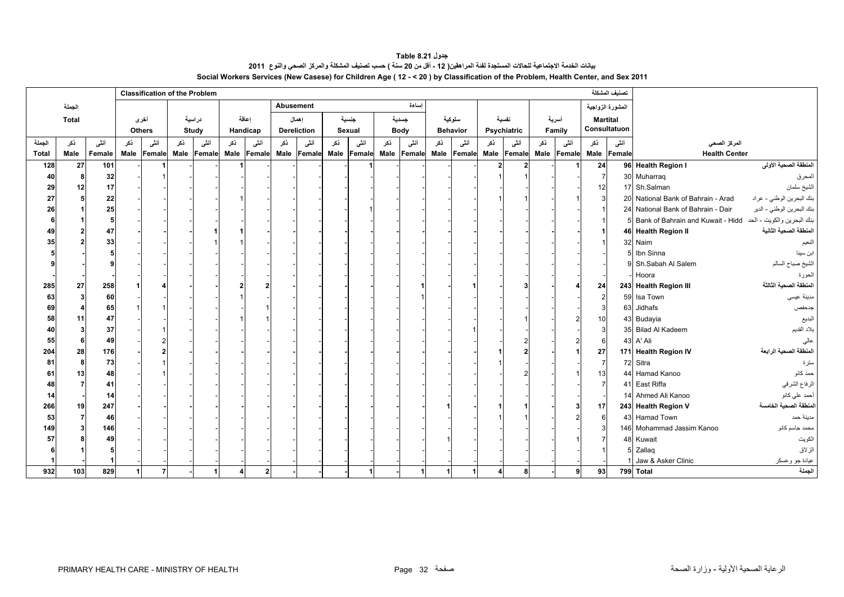**جدول 8.21 Table** .<br>بيانات الخدمة الاجتماعية للحالات المستجدة لفنة المراهقين( 12 - أقل من 20 سنة ) حسب تصنيف المشكلة والمركز الصحي والنوع 2011 **Social Workers Services (New Casese) for Children Age ( 12 - < 20 ) by Classification of the Problem, Health Center, and Sex 2011**

<span id="page-32-0"></span>

|              |              |        |     | <b>Classification of the Problem</b> |     |                  |     |          |      |                    |     |             |     |             |     |                 |     |             |     |                         |                | تصنيف المشكلة    |                                                              |                            |
|--------------|--------------|--------|-----|--------------------------------------|-----|------------------|-----|----------|------|--------------------|-----|-------------|-----|-------------|-----|-----------------|-----|-------------|-----|-------------------------|----------------|------------------|--------------------------------------------------------------|----------------------------|
|              | الجملة       |        |     |                                      |     |                  |     |          |      | <b>Abusement</b>   |     |             |     | إساءة       |     |                 |     |             |     |                         |                | المشورة الزواجية |                                                              |                            |
|              | <b>Total</b> |        |     | أخرى                                 |     | دراسية           |     | اعاقة    |      | إهمال              |     | جنسية       |     | جسدية       |     | سلوكية          |     | نفسية       |     | أسرية                   |                | <b>Martital</b>  |                                                              |                            |
|              |              |        |     | <b>Others</b>                        |     | Study            |     | Handicap |      | <b>Dereliction</b> |     | Sexual      |     | <b>Body</b> |     | <b>Behavior</b> |     | Psychiatric |     | Family                  |                | Consultatuon     |                                                              |                            |
| الجملة       | ذكر          | أنشى   | ذكر | أنشى                                 | ذكر | أنشى             | ذكر | أننثى    | ڏکر  | أنشى               | ذكر | أننسى       | ذكر | أنشى        | ذكر | أنشى            | ذكر | أنشى        | ذكر | أنشى                    | ذكر            | أنشى             | المركز الصحي                                                 |                            |
| <b>Total</b> | Male         | Female |     | Male Female                          |     | Male Female Male |     | Female   | Male | Female             |     | Male Female |     | Male Female |     | Male Female     |     |             |     | Male Female Male Female |                | Male Female      | <b>Health Center</b>                                         |                            |
| 128          | 27           | 101    |     |                                      |     |                  |     |          |      |                    |     |             |     |             |     |                 | 2   |             |     |                         | 24             |                  | 96 Health Region I                                           | المنطقة الصحية الأولى      |
| 40           |              | 32     |     |                                      |     |                  |     |          |      |                    |     |             |     |             |     |                 |     |             |     |                         | $\overline{7}$ |                  | 30 Muharrag                                                  | المحرق                     |
| 29           | 12           | 17     |     |                                      |     |                  |     |          |      |                    |     |             |     |             |     |                 |     |             |     |                         | 12             |                  | 17 Sh.Salman                                                 | الشيخ سلمان                |
| 27           |              | 22     |     |                                      |     |                  |     |          |      |                    |     |             |     |             |     |                 |     |             |     |                         | 3              |                  | 20 National Bank of Bahrain - Arad                           | بنك البحرين الوطني - عراد  |
| 26           |              | 25     |     |                                      |     |                  |     |          |      |                    |     |             |     |             |     |                 |     |             |     |                         |                |                  | 24 National Bank of Bahrain - Dair                           | بنك البحرين الوطني - الدير |
|              |              | 5      |     |                                      |     |                  |     |          |      |                    |     |             |     |             |     |                 |     |             |     |                         | $\overline{1}$ |                  | بنك البحرين والكويت - الحد Bank of Bahrain and Kuwait - Hidd |                            |
| 49           |              | 47     |     |                                      |     |                  |     |          |      |                    |     |             |     |             |     |                 |     |             |     |                         |                |                  | 46 Health Region II                                          | المنطقة الصحية الثانية     |
| 35           |              | 33     |     |                                      |     |                  |     |          |      |                    |     |             |     |             |     |                 |     |             |     |                         |                |                  | 32 Naim                                                      | النعيم                     |
|              |              |        |     |                                      |     |                  |     |          |      |                    |     |             |     |             |     |                 |     |             |     |                         |                |                  | 5 Ibn Sinna                                                  | ابن سينا                   |
|              |              |        |     |                                      |     |                  |     |          |      |                    |     |             |     |             |     |                 |     |             |     |                         |                |                  | 9 Sh.Sabah Al Salem                                          | الشيخ صباح السالم          |
|              |              |        |     |                                      |     |                  |     |          |      |                    |     |             |     |             |     |                 |     |             |     |                         |                |                  | Hoora                                                        | الحورة                     |
| 285          | 27           | 258    |     |                                      |     |                  |     |          |      |                    |     |             |     |             |     |                 |     |             |     |                         | 24             |                  | 243 Health Region III                                        | المنطقة الصحبة الثالثة     |
| 63           |              | 60     |     |                                      |     |                  |     |          |      |                    |     |             |     |             |     |                 |     |             |     |                         | $\overline{2}$ |                  | 59 Isa Town                                                  | مدينة عيسى                 |
| 69           |              | 65     |     |                                      |     |                  |     |          |      |                    |     |             |     |             |     |                 |     |             |     |                         | 3              |                  | 63 Jidhafs                                                   | جدحفص                      |
| 58           | 11           | 47     |     |                                      |     |                  |     |          |      |                    |     |             |     |             |     |                 |     |             |     |                         | 10             |                  | 43 Budayia                                                   | البديع                     |
| 40           |              | 37     |     |                                      |     |                  |     |          |      |                    |     |             |     |             |     |                 |     |             |     |                         | 3              |                  | 35 Bilad Al Kadeem                                           | بلاد القديم                |
| 55           |              | 49     |     |                                      |     |                  |     |          |      |                    |     |             |     |             |     |                 |     |             |     |                         | 6              |                  | 43 A' Ali                                                    | عالى                       |
| 204          | 28           | 176    |     |                                      |     |                  |     |          |      |                    |     |             |     |             |     |                 |     |             |     |                         | 27             |                  | 171 Health Region IV                                         | المنطقة الصحية الرابعة     |
| 81           | Я            | 73     |     |                                      |     |                  |     |          |      |                    |     |             |     |             |     |                 |     |             |     |                         | $\overline{7}$ |                  | 72 Sitra                                                     | سترة                       |
| 61           | 13           | 48     |     |                                      |     |                  |     |          |      |                    |     |             |     |             |     |                 |     |             |     |                         | 13             |                  | 44 Hamad Kanoo                                               | حمد كانو                   |
| 48           |              | 41     |     |                                      |     |                  |     |          |      |                    |     |             |     |             |     |                 |     |             |     |                         | $\overline{7}$ |                  | 41 East Riffa                                                | الرفاع الشرقي              |
| 14           |              | 14     |     |                                      |     |                  |     |          |      |                    |     |             |     |             |     |                 |     |             |     |                         |                |                  | 14 Ahmed Ali Kanoo                                           | أحمد علي كانو              |
| 266          | 19           | 247    |     |                                      |     |                  |     |          |      |                    |     |             |     |             |     |                 |     |             |     |                         | 17             |                  | 243 Health Region V                                          | المنطقة الصحية الخامسة     |
| 53           |              | 46     |     |                                      |     |                  |     |          |      |                    |     |             |     |             |     |                 |     |             |     |                         | 6              |                  | 43 Hamad Town                                                | منينة حمد                  |
| 149          |              | 146    |     |                                      |     |                  |     |          |      |                    |     |             |     |             |     |                 |     |             |     |                         | 3              |                  | 146 Mohammad Jassim Kanoo                                    | محمد جاسم كانو             |
| 57           |              | 49     |     |                                      |     |                  |     |          |      |                    |     |             |     |             |     |                 |     |             |     |                         |                |                  | 48 Kuwait                                                    | الكويت                     |
|              |              |        |     |                                      |     |                  |     |          |      |                    |     |             |     |             |     |                 |     |             |     |                         |                |                  | 5 Zallag                                                     | الزلاق                     |
|              |              |        |     |                                      |     |                  |     |          |      |                    |     |             |     |             |     |                 |     |             |     |                         |                |                  | Jaw & Asker Clinic                                           | عيادة جو وعسكر             |
| 932          | 103          | 829    | 1   | $\overline{7}$                       |     |                  |     |          |      |                    |     |             |     |             |     |                 |     | 8           |     | 9                       | 93             |                  |                                                              | الجملة                     |
|              |              |        |     |                                      |     |                  |     |          |      |                    |     |             |     |             |     |                 |     |             |     |                         |                |                  | 799 Total                                                    |                            |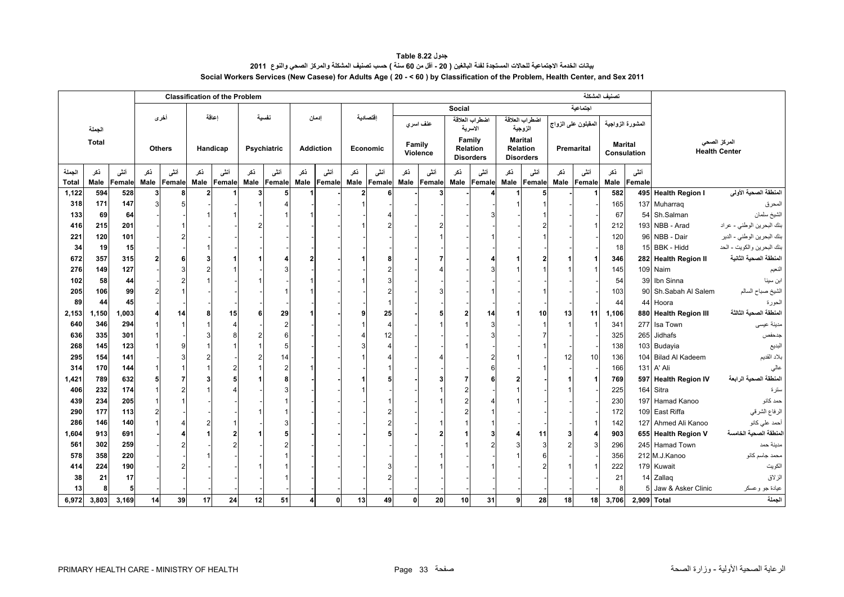**جدول 8.22 Table** بيانات الخدمة الاجتماعية للحالات المستجدة لفنة البالغين ( 20 - أقل من 60 سنة ) حسب تصنيف المشكلة والمركز الصحي والنوع 2011 **Social Workers Services (New Casese) for Adults Age ( 20 - < 60 ) by Classification of the Problem, Health Center, and Sex 2011**

<span id="page-33-0"></span>

|                |              |               |               |             |                        | <b>Classification of the Problem</b> |      |             |      |                  |                        |                       |        |          |               |                           |                |                           |                |                     | تصنيف المشكلة |                               |                       |                                      |
|----------------|--------------|---------------|---------------|-------------|------------------------|--------------------------------------|------|-------------|------|------------------|------------------------|-----------------------|--------|----------|---------------|---------------------------|----------------|---------------------------|----------------|---------------------|---------------|-------------------------------|-----------------------|--------------------------------------|
|                |              |               |               |             |                        |                                      |      |             |      |                  |                        |                       |        |          | <b>Social</b> |                           |                |                           |                | اجتماعية            |               |                               |                       |                                      |
|                | الجملة       |               | أخرى          |             |                        | اعاقة                                |      | نفسية       |      | إدمان            |                        | اقتصادية              |        | عنف اسري |               | اضطراب العلاقة<br>الاسرية |                | اضطراب العلاقة<br>الزوجية |                | المقبلون على الزواج |               | المشورة الزواجية              |                       |                                      |
|                | <b>Total</b> |               | <b>Others</b> |             |                        | Handicap                             |      | Psychiatric |      | <b>Addiction</b> |                        | Economic              | Family | Violence | Family        | Relation                  | <b>Marital</b> | Relation                  |                | Premarital          |               | <b>Marital</b><br>Consulation |                       | المركز الصحى<br><b>Health Center</b> |
|                |              |               |               |             |                        |                                      |      |             |      |                  |                        |                       |        |          |               | <b>Disorders</b>          |                | <b>Disorders</b>          |                |                     |               |                               |                       |                                      |
| الجملة         | ذكر          | أنشى          | ڏکر           | أنشى        | ڏکر                    | أنشى                                 | ذكر  | أنشى        | ڏکر  | أنشى             | ذكر                    | أنشى                  | ڏکر    | أنشى     | ذكر           | أنشى                      | ڏکر            | أننى                      | ڏکر            | أنشى                | ذكر           | أنشى                          |                       |                                      |
| Total<br>1,122 | Male<br>594  | Female<br>528 | Male<br>3     | Female<br>8 | Male<br>$\overline{2}$ | Female                               | Male | Female      | Male | Female           | Male<br>$\overline{2}$ | Female                | Male   | Female   | Male          | Female                    | Male           | Female                    | Male           | Female              | Male<br>582   | Female                        | 495 Health Region I   | المنطقة الصحية الأولى                |
| 318            | 171          | 147           | 3             | 5           |                        |                                      |      |             |      |                  |                        |                       |        |          |               |                           |                |                           |                |                     | 165           |                               | 137 Muharraq          | المحرق                               |
| 133            | 69           | 64            |               |             |                        |                                      |      |             |      |                  |                        |                       |        |          |               | 3                         |                |                           |                |                     | 67            |                               | 54 Sh.Salman          | الشيخ سلمان                          |
| 416            | 215          | 201           |               |             |                        |                                      |      |             |      |                  |                        |                       |        |          |               |                           |                |                           |                |                     | 212           |                               | 193 NBB - Arad        | بنك البحرين الوطني - عراد            |
| 221            | 120          | 101           |               |             |                        |                                      |      |             |      |                  |                        |                       |        |          |               |                           |                |                           |                |                     | 120           |                               | 96 NBB - Dair         | بنك البحرين الوطني - الدير           |
| 34             | 19           | 15            |               |             |                        |                                      |      |             |      |                  |                        |                       |        |          |               |                           |                |                           |                |                     | 18            |                               | 15 BBK - Hidd         | بنك البحرين والكويت - الحد           |
| 672            | 357          | 315           |               | 6           |                        |                                      |      |             |      |                  |                        |                       |        |          |               |                           |                |                           |                |                     | 346           |                               | 282 Health Region II  | المنطقة الصحية الثانية               |
| 276            | 149          | 127           |               |             |                        |                                      |      |             |      |                  |                        |                       |        |          |               |                           |                |                           |                |                     | 145           |                               | 109 Naim              | النعيم                               |
| 102            | 58           | 44            |               |             |                        |                                      |      |             |      |                  |                        |                       |        |          |               |                           |                |                           |                |                     | 54            |                               | 39 Ibn Sinna          | ابن سينا                             |
| 205            | 106          | 99            |               |             |                        |                                      |      |             |      |                  |                        |                       |        |          |               |                           |                |                           |                |                     | 103           |                               | 90 Sh.Sabah Al Salem  | الشيخ صباح السالم                    |
| 89             | 44           | 45            |               |             |                        |                                      |      |             |      |                  |                        |                       |        |          |               |                           |                |                           |                |                     | 44            |                               | 44 Hoora              | الحورة                               |
| 2,153          | 1,150        | 1,003         |               | 14          | 8                      | 15                                   | 6    | 29          |      |                  |                        | 25                    |        |          | 2             | 14                        |                | 10                        | 13             | 11                  | 1,106         |                               | 880 Health Region III | المنطقة الصحية الثالثة               |
| 640            | 346          | 294           |               |             |                        |                                      |      | 2           |      |                  |                        | $\boldsymbol{\Delta}$ |        |          |               | 3                         |                |                           | $\overline{1}$ |                     | 341           |                               | 277 Isa Town          | مدينة عيسى                           |
| 636            | 335          | 301           |               |             |                        |                                      |      |             |      |                  |                        | 12                    |        |          |               |                           |                |                           |                |                     | 325           |                               | 265 Jidhafs           | جدحفص                                |
| 268            | 145          | 123           |               |             |                        |                                      |      |             |      |                  |                        | Δ                     |        |          |               |                           |                |                           |                |                     | 138           |                               | 103 Budayia           | البديع                               |
| 295            | 154          | 141           |               |             |                        |                                      |      |             |      |                  |                        |                       |        |          |               | 2                         |                |                           | 12             | 10                  | 136           |                               | 104 Bilad Al Kadeem   | بلاد القديم                          |
| 314            | 170          | 144           |               |             |                        |                                      |      |             |      |                  |                        |                       |        |          |               |                           |                |                           |                |                     | 166           |                               | 131 A' Ali            | عالي                                 |
| 1,421          | 789          | 632           |               |             |                        |                                      |      |             |      |                  |                        |                       |        |          |               |                           |                |                           |                |                     | 769           |                               | 597 Health Region IV  | المنطقة الصحية الرابعة               |
| 406            | 232          | 174           |               |             |                        |                                      |      |             |      |                  |                        |                       |        |          |               |                           |                |                           |                |                     | 225           |                               | 164 Sitra             | سترة                                 |
| 439            | 234          | 205           |               |             |                        |                                      |      |             |      |                  |                        |                       |        |          |               |                           |                |                           |                |                     | 230           |                               | 197 Hamad Kanoo       | حمد كانو                             |
| 290            | 177          | 113           |               |             |                        |                                      |      |             |      |                  |                        |                       |        |          |               |                           |                |                           |                |                     | 172           |                               | 109 East Riffa        | الرفاع الشرقي                        |
| 286            | 146          | 140           |               |             |                        |                                      |      |             |      |                  |                        |                       |        |          |               |                           |                |                           |                |                     | 142           |                               | 127 Ahmed Ali Kanoo   | أحمد على كانو                        |
| 1,604          | 913          | 691           |               |             |                        |                                      |      |             |      |                  |                        |                       |        |          |               |                           |                | 11                        | 3              |                     | 903           |                               | 655 Health Region V   | لمنطقة الصحية الخامسة                |
| 561            | 302          | 259           |               |             |                        |                                      |      |             |      |                  |                        |                       |        |          |               |                           |                |                           |                |                     | 296           |                               | 245 Hamad Town        | مدينة حمد                            |
| 578            | 358          | 220           |               |             |                        |                                      |      |             |      |                  |                        |                       |        |          |               |                           |                | ĥ                         |                |                     | 356           |                               | 212 M.J.Kanoo         | محمد جاسم كانو                       |
| 414            | 224          | 190           |               |             |                        |                                      |      |             |      |                  |                        |                       |        |          |               |                           |                |                           |                |                     | 222           |                               | 179 Kuwait            | الكويت                               |
| 38             | 21           | 17            |               |             |                        |                                      |      |             |      |                  |                        |                       |        |          |               |                           |                |                           |                |                     | 21            |                               | 14 Zallag             | الزلاق                               |
| 13             | я            |               |               |             |                        |                                      |      |             |      |                  |                        |                       |        |          |               |                           |                |                           |                |                     |               | 5                             | Jaw & Asker Clinic    | عيادة جو وعسكر                       |
| 6,972          | 3,803        | 3,169         | 14            | 39          | 17                     | 24                                   | 12   | 51          | 4    | 0                | 13                     | 49                    | 0      | 20       | 10            | 31                        | 9              | 28                        | 18             | 18                  | 3,706         | 2,909 Total                   |                       | الجملة                               |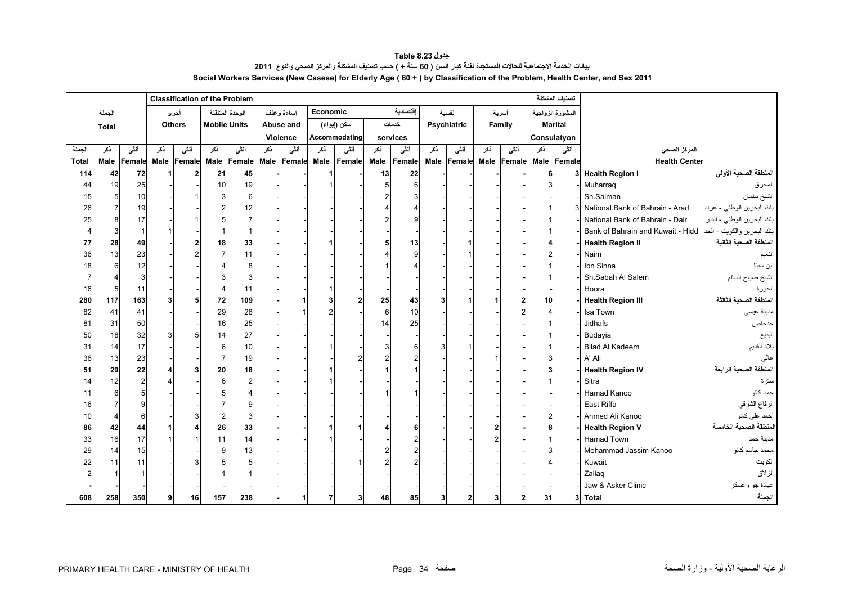**جدول 8.23 Table** بيانات الخدمة الاجتماعية للحالات المستجدة لفنة كبار السن ( 60 سنة + ) حسب تصنيف المشكلة والمركز الصحي والنوع 2011 **Social Workers Services (New Casese) for Elderly Age ( 60 + ) by Classification of the Problem, Health Center, and Sex 2011**

<span id="page-34-0"></span>

|                |                |                |     |               |                                        | <b>Classification of the Problem</b> |      |            |          |                |      |          |      |              |      |                |      | تصنيف المشكلة    |                                                              |                            |
|----------------|----------------|----------------|-----|---------------|----------------------------------------|--------------------------------------|------|------------|----------|----------------|------|----------|------|--------------|------|----------------|------|------------------|--------------------------------------------------------------|----------------------------|
|                | الجملة         |                |     | أخرى          |                                        | الوحدة المتنقلة                      |      | إساءة وعنف | Economic |                |      | اقتصادية |      | نفسية        |      | أسرية          |      | المشورة الزواجية |                                                              |                            |
|                | <b>Total</b>   |                |     | <b>Others</b> | <b>Mobile Units</b>                    |                                      |      | Abuse and  |          | سكن (إيواء)    |      | خدمات    |      | Psychiatric  |      | Family         |      | <b>Marital</b>   |                                                              |                            |
|                |                |                |     |               |                                        |                                      |      | Violence   |          | Accommodating  |      | services |      |              |      |                |      | Consulatyon      |                                                              |                            |
| الجملة         | نكر            | أنشى           | نكر | أنشى          | ذكر                                    | أنشى                                 | نكر  | أنشى       | نکر      | أنشى           | ڏکر  | أنشى     | ذكر  | أنشى         | ڏکر  | أنشى           | ذكر  | أنشى             | المركز الصحي                                                 |                            |
| Total          |                | Male Female    |     | Male Female   | <b>Male</b>                            | Female                               | Male | Female     | Male     | Female         | Male | Female   | Male | Female       | Male | Female         | Male | Female           | <b>Health Center</b>                                         |                            |
| 114            | 42             | 72             |     |               | 21                                     | 45                                   |      |            |          |                | 13   | 22       |      |              |      |                |      | 3 <sup>l</sup>   | <b>Health Region I</b>                                       | المنطقة الصحية الأولى      |
| 44             | 19             | 25             |     |               | 10                                     | 19                                   |      |            |          |                |      | 6        |      |              |      |                |      |                  | Muharraq                                                     | المحرق                     |
| 15             | 5 <sub>l</sub> | 10             |     |               | 3                                      |                                      |      |            |          |                |      |          |      |              |      |                |      |                  | Sh.Salman                                                    | الشيخ سلمان                |
| 26             |                | 19             |     |               | $\overline{2}$                         | 12                                   |      |            |          |                |      |          |      |              |      |                |      |                  | 3 National Bank of Bahrain - Arad                            | بنك البحرين الوطني - عراد  |
| 25             |                | 17             |     |               | 5                                      |                                      |      |            |          |                |      |          |      |              |      |                |      |                  | National Bank of Bahrain - Dair                              | بنك البحرين الوطني - الدير |
| $\overline{4}$ | 3              |                |     |               |                                        |                                      |      |            |          |                |      |          |      |              |      |                |      |                  | بنك البحرين والكويت - الحد Bank of Bahrain and Kuwait - Hidd |                            |
| 77             | 28             | 49             |     |               | 18                                     | 33                                   |      |            |          |                |      | 13       |      |              |      |                |      |                  | <b>Health Region II</b>                                      | المنطقة الصحية الثانية     |
| 36             | 13             | 23             |     |               | $\overline{7}$                         | 11                                   |      |            |          |                |      |          |      |              |      |                |      |                  | Naim                                                         | النعيم                     |
| 18             | 6              | 12             |     |               |                                        |                                      |      |            |          |                |      |          |      |              |      |                |      |                  | Ibn Sinna                                                    | ابن سينا                   |
| 7              |                | $\mathbf{3}$   |     |               | 3                                      |                                      |      |            |          |                |      |          |      |              |      |                |      |                  | Sh.Sabah Al Salem                                            | الشيخ صباح السالم          |
| 16             | 5              | 11             |     |               | $\overline{4}$                         | 11                                   |      |            |          |                |      |          |      |              |      |                |      |                  | Hoora                                                        | الحورة                     |
| 280            | 117            | 163            |     |               | 72                                     | 109                                  |      |            |          | $\overline{2}$ | 25   | 43       |      |              |      | $\overline{2}$ | 10   |                  | <b>Health Region III</b>                                     | المنطقة الصحية الثالثة     |
| 82             | 41             | 41             |     |               | 29                                     | 28                                   |      |            |          |                | 6    | 10       |      |              |      | $\overline{2}$ |      |                  | Isa Town                                                     | مدينة عيسى                 |
| 81             | 31             | 50             |     |               | 16                                     | 25                                   |      |            |          |                | 14   | 25       |      |              |      |                |      |                  | Jidhafs                                                      | جدحفص                      |
| 50             | 18             | 32             |     |               | 14                                     | 27                                   |      |            |          |                |      |          |      |              |      |                |      |                  | Budayia                                                      | البديع                     |
| 31             | 14             | 17             |     |               | $6\phantom{1}6$                        | 10                                   |      |            |          |                |      |          |      |              |      |                |      |                  | <b>Bilad Al Kadeem</b>                                       | بلاد القديم                |
| 36             | 13             | 23             |     |               | $\overline{7}$                         | 19                                   |      |            |          |                |      |          |      |              |      |                |      |                  | A' Ali                                                       | عالى                       |
| 51             | 29             | 22             |     |               | 20                                     | 18                                   |      |            |          |                |      |          |      |              |      |                |      |                  | <b>Health Region IV</b>                                      | المنطقة الصحية الرابعة     |
| 14             | 12             | $\overline{c}$ |     |               | 6                                      |                                      |      |            |          |                |      |          |      |              |      |                |      |                  | Sitra                                                        | سترة                       |
| 11             | 6              |                |     |               | 5                                      |                                      |      |            |          |                |      |          |      |              |      |                |      |                  | Hamad Kanoo                                                  | حمد كانو                   |
| 16             |                |                |     |               | 7                                      |                                      |      |            |          |                |      |          |      |              |      |                |      |                  | East Riffa                                                   | الرفاع الشرقي              |
| 10             |                | 6              |     |               | $\begin{array}{c} 2 \\ 26 \end{array}$ |                                      |      |            |          |                |      |          |      |              |      |                |      |                  | Ahmed Ali Kanoo                                              | أحمد على كانو              |
| 86             | 42             | 44             |     |               |                                        | 33                                   |      |            |          |                |      |          |      |              |      |                |      |                  | <b>Health Region V</b>                                       | لمنطقة الصحية الخامسة      |
| 33             | 16             | 17             |     |               | 11                                     | 14                                   |      |            |          |                |      |          |      |              |      |                |      |                  | <b>Hamad Town</b>                                            | مدينة حمد                  |
| 29             | 14             | 15             |     |               | 9                                      | 13                                   |      |            |          |                |      |          |      |              |      |                |      |                  | Mohammad Jassim Kanoo                                        | محمد جاسم كانو             |
| 22             | 11             | 11             |     |               | 5                                      |                                      |      |            |          |                |      |          |      |              |      |                |      |                  | Kuwait                                                       | الكويت                     |
| $\overline{2}$ |                |                |     |               |                                        |                                      |      |            |          |                |      |          |      |              |      |                |      |                  | Zallaq                                                       | الزلاق                     |
|                |                |                |     |               |                                        |                                      |      |            |          |                |      |          |      |              |      |                |      |                  | Jaw & Asker Clinic                                           | عيادة جو وعسكر             |
| 608            | 258            | 350            | 9   | 16            | 157                                    | 238                                  |      |            |          | 3 <sup>1</sup> | 48   | 85       | 3    | $\mathbf{2}$ | 3    | $\mathbf{2}$   | 31   |                  | 3 Total                                                      | الجملة                     |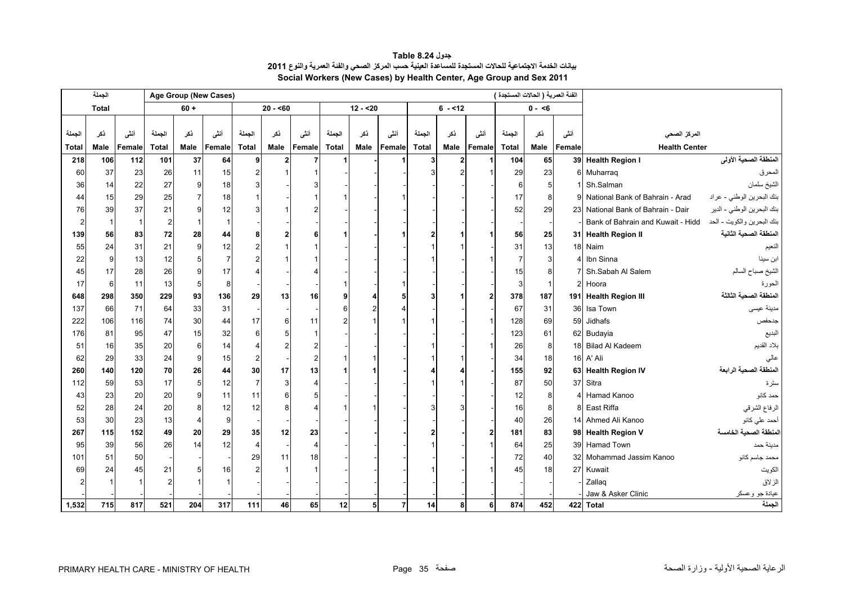<span id="page-35-0"></span>

|                | الجملة       |        |                |             | Age Group (New Cases) |                 |             |        |              |                |                |              |          |                | الفنة العمرية ( الحالات المستجدة ) |                |        |                                                              |                            |
|----------------|--------------|--------|----------------|-------------|-----------------------|-----------------|-------------|--------|--------------|----------------|----------------|--------------|----------|----------------|------------------------------------|----------------|--------|--------------------------------------------------------------|----------------------------|
|                | <b>Total</b> |        |                | $60 +$      |                       |                 | $20 - 60$   |        |              | $12 - 520$     |                |              | $6 - 12$ |                |                                    | $0 - 6$        |        |                                                              |                            |
|                |              |        |                |             |                       |                 |             |        |              |                |                |              |          |                |                                    |                |        |                                                              |                            |
| الجملة         | نكر          | أنشى   | الجملة         | نكر         | أنشى                  | الجملة          | نكر         | أنشى   | الجملة       | نكر            | أنشى           | الجملة       | ذكر      | أنشى           | الجملة                             | ذكر            | أنشى   | المركز الصحي                                                 |                            |
| <b>Total</b>   | Male         | Female | <b>Total</b>   | <b>Male</b> | Female                | <b>Total</b>    | <b>Male</b> | Female | <b>Total</b> | Male           | Female         | <b>Total</b> | Male     | Female         | <b>Total</b>                       | Male           | Female | <b>Health Center</b>                                         |                            |
| 218            | 106          | 112    | 101            | 37          | 64                    | $\mathbf{9}$    |             |        |              |                |                | 3            | 2        |                | 104                                | 65             |        | 39 Health Region I                                           | المنطقة الصحية الأولى      |
| 60             | 37           | 23     | 26             | 11          | 15                    |                 |             |        |              |                |                |              |          |                | 29                                 | 23             |        | 6 Muharraq                                                   | المحرق                     |
| 36             | 14           | 22     | 27             | g           | 18                    |                 |             |        |              |                |                |              |          |                | -6                                 | 5              |        | Sh.Salman                                                    | الشيخ سلمان                |
| 44             | 15           | 29     | 25             |             | 18                    |                 |             |        |              |                |                |              |          |                | 17                                 | 8              |        | 9 National Bank of Bahrain - Arad                            | بنك البحرين الوطني - عراد  |
| 76             | 39           | 37     | 21             |             | 12                    |                 |             |        |              |                |                |              |          |                | 52                                 | 29             |        | 23 National Bank of Bahrain - Dair                           | بنك البحرين الوطني - الدير |
| $\overline{2}$ | $\mathbf 1$  |        | $\overline{2}$ |             |                       |                 |             |        |              |                |                |              |          |                |                                    |                |        | بنك البحرين والكويت - الحد Bank of Bahrain and Kuwait - Hidd |                            |
| 139            | 56           | 83     | 72             | 28          | 44                    |                 |             |        |              |                |                |              |          |                | 56                                 | 25             |        | 31 Health Region II                                          | المنطقة الصحبة الثانية     |
| 55             | 24           | 31     | 21             | a           | 12                    |                 |             |        |              |                |                |              |          |                | 31                                 | 13             |        | 18 Naim                                                      | النعيم                     |
| 22             | $\mathbf{Q}$ | 13     | 12             |             |                       |                 |             |        |              |                |                |              |          |                |                                    | 3              |        | Ibn Sinna                                                    | ابن سينا                   |
| 45             | 17           | 28     | 26             |             | 17                    |                 |             |        |              |                |                |              |          |                | 15                                 | 8              |        | Sh.Sabah Al Salem                                            | الشيخ صباح السالم          |
| 17             | 6            | 11     | 13             | 5           | 8                     |                 |             |        |              |                |                |              |          |                | 3                                  | $\overline{1}$ |        | 2 Hoora                                                      | الحورة                     |
| 648            | 298          | 350    | 229            | 93          | 136                   | 29              | 13          | 16     |              |                |                | 3            |          | $\overline{2}$ | 378                                | 187            |        | 191 Health Region III                                        | المنطقة الصحية الثالثة     |
| 137            | 66           | 71     | 64             | 33          | 31                    |                 |             |        |              |                |                |              |          |                | 67                                 | 31             | 36     | Isa Town                                                     | مدينة عيسى                 |
| 222            | 106          | 116    | 74             | 30          | 44                    | 17              |             | 11     |              |                |                |              |          |                | 128                                | 69             | 59     | Jidhafs                                                      | جدحفص                      |
| 176            | 81           | 95     | 47             | 15          | 32                    |                 |             |        |              |                |                |              |          |                | 123                                | 61             |        | 62 Budayia                                                   | البديع                     |
| 51             | 16           | 35     | 20             | 6           | 14                    |                 |             |        |              |                |                |              |          |                | 26                                 | 8              |        | 18 Bilad Al Kadeem                                           | بلاد القديم                |
| 62             | 29           | 33     | 24             | 9           | 15                    | $\overline{2}$  |             |        |              |                |                |              |          |                | 34                                 | 18             |        | 16 A' Ali                                                    |                            |
| 260            | 140          | 120    | 70             | 26          | 44                    | 30 <sup>1</sup> | 17          | 13     |              |                |                |              |          |                | 155                                | 92             |        | 63 Health Region IV                                          | المنطقة الصحية الرابعة     |
| 112            | 59           | 53     | 17             | 5           | 12                    |                 |             |        |              |                |                |              |          |                | 87                                 | 50             | 37     | Sitra                                                        | سترة                       |
| 43             | 23           | 20     | 20             | a           | 11                    | 11              |             |        |              |                |                |              |          |                | 12                                 | 8              |        | 4 Hamad Kanoo                                                | حمد كانو                   |
| 52             | 28           | 24     | 20             |             | 12                    | 12              |             |        |              |                |                |              |          |                | 16                                 | 8              |        | 8 East Riffa                                                 | الرفاع الشرقي              |
| 53             | 30           | 23     | 13             | Δ           | 9                     |                 |             |        |              |                |                |              |          |                | 40                                 | 26             |        | 14 Ahmed Ali Kanoo                                           | أحمد على كانو              |
| 267            | 115          | 152    | 49             | 20          | 29                    | 35              | 12          | 23     |              |                |                |              |          | $\overline{2}$ | 181                                | 83             |        | 98 Health Region V                                           | المنطقة الصحية الخامسة     |
| 95             | 39           | 56     | 26             | 14          | 12                    | $\overline{4}$  |             | 4      |              |                |                |              |          |                | 64                                 | 25             |        | 39 Hamad Town                                                | مدينة حمد                  |
| 101            | 51           | 50     |                |             |                       | 29              | 11          | 18     |              |                |                |              |          |                | 72                                 | 40             |        | 32 Mohammad Jassim Kanoo                                     | محمد جاسم كانو             |
| 69             | 24           | 45     | 21             |             | <b>16</b>             |                 |             |        |              |                |                |              |          |                | 45                                 | 18             |        | 27 Kuwait                                                    | الكويت                     |
|                |              |        |                |             |                       |                 |             |        |              |                |                |              |          |                |                                    |                |        | Zallaq                                                       | الزلاق                     |
|                |              |        |                |             |                       |                 |             |        |              |                |                |              |          |                |                                    |                |        | Jaw & Asker Clinic                                           | عيادة جو وعسكر             |
| 1,532          | 715          | 817    | 521            | 204         | 317                   | $111$           | 46          | 65     | 12           | 5 <sub>l</sub> | $\overline{7}$ | 14           | 8        | 6              | 874                                | 452            |        | 422 Total                                                    | الحملة                     |

**جدول 8.24 Table بيانات الخدمة االجتماعية للحاالت المستجدة للمساعدة العينية حسب المركز الصحي والفئة العمرية والنوع<sup>2011</sup> Social Workers (New Cases) by Health Center, Age Group and Sex 2011**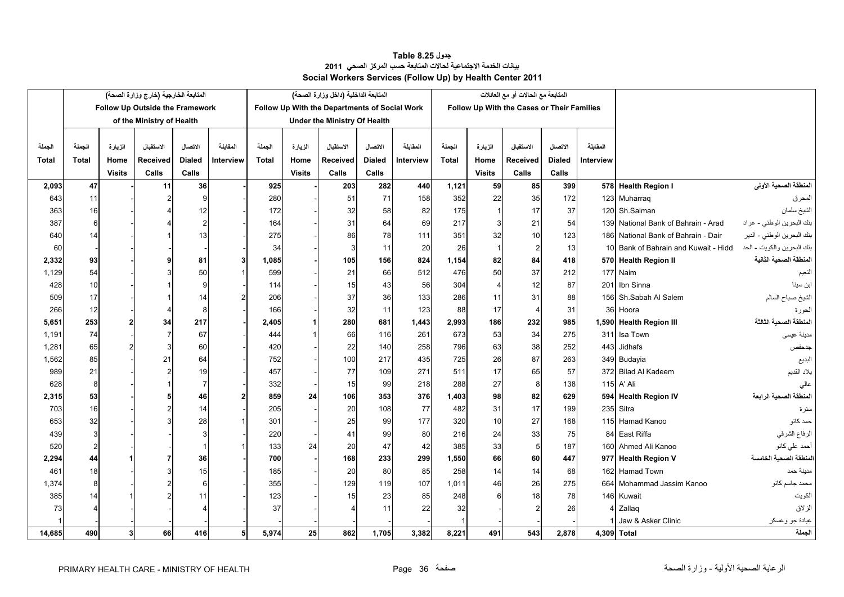### **جدول 8.25 Table بيانات الخدمة االجتماعية لحاالت المتابعة حسب المركز الصحي <sup>2011</sup> Social Workers Services (Follow Up) by Health Center 2011**

<span id="page-36-0"></span>

|              | المتابعة الخارجية (خارج وزارة الصحة) |                |                                 |                |                | المتابعة الداخلية (داخل وزارة الصحة) |               |                                               |               |           | المتابعة مع الحالات أو مع العائلات |                         |                                            |               |           |                                      |                                         |
|--------------|--------------------------------------|----------------|---------------------------------|----------------|----------------|--------------------------------------|---------------|-----------------------------------------------|---------------|-----------|------------------------------------|-------------------------|--------------------------------------------|---------------|-----------|--------------------------------------|-----------------------------------------|
|              |                                      |                | Follow Up Outside the Framework |                |                |                                      |               | Follow Up With the Departments of Social Work |               |           |                                    |                         | Follow Up With the Cases or Their Families |               |           |                                      |                                         |
|              | of the Ministry of Health            |                |                                 |                |                | <b>Under the Ministry Of Health</b>  |               |                                               |               |           |                                    |                         |                                            |               |           |                                      |                                         |
|              |                                      |                |                                 |                |                |                                      |               |                                               |               |           |                                    |                         |                                            |               |           |                                      |                                         |
| الجملة       | الجملة                               | الزيارة        | الاستقبال                       | الاتصال        | المقابلة       | الجملة                               | الزيارة       | الاستقبال                                     | الاتصال       | المقابلة  | الجملة                             | الزيارة                 | الاستقبال                                  | الاتصال       | المقابلة  |                                      |                                         |
| <b>Total</b> | <b>Total</b>                         | Home           | Received                        | <b>Dialed</b>  | Interview      | <b>Total</b>                         | Home          | Received                                      | <b>Dialed</b> | Interview | <b>Total</b>                       | Home                    | Received                                   | <b>Dialed</b> | Interview |                                      |                                         |
|              |                                      | <b>Visits</b>  | Calls                           | Calls          |                |                                      | <b>Visits</b> | Calls                                         | Calls         |           |                                    | <b>Visits</b>           | Calls                                      | Calls         |           |                                      |                                         |
| 2,093        | 47                                   |                | 11                              | 36             |                | 925                                  |               | 203                                           | 282           | 440       | 1,121                              | 59                      | 85                                         | 399           |           | 578 Health Region I                  | المنطقة الصحية الأولى                   |
| 643          | 11                                   |                |                                 | 9              |                | 280                                  |               | 51                                            | 71            | 158       | 352                                | 22                      | 35                                         | 172           |           | 123 Muharraq                         | المحرق                                  |
| 363          | 16                                   |                |                                 | 12             |                | 172                                  |               | 32                                            | 58            | 82        | 175                                |                         | 17                                         | 37            |           | 120 Sh.Salman                        | الشيخ سلمان                             |
| 387          | 6                                    |                |                                 | $\overline{2}$ |                | 164                                  |               | 31                                            | 64            | 69        | 217                                | 3                       | 21                                         | 54            |           | 139 National Bank of Bahrain - Arad  | بنك البحرين ا <mark>لوطني -</mark> عراد |
| 640          | 14                                   |                |                                 | 13             |                | 275                                  |               | 86                                            | 78            | 111       | 351                                | 32                      | 10                                         | 123           |           | 186 National Bank of Bahrain - Dair  | بنك البحرين الوطني - الدير              |
| 60           |                                      |                |                                 |                |                | 34                                   |               | 3                                             | 11            | 20        | 26                                 | -1                      | $\overline{2}$                             | 13            |           | 10 Bank of Bahrain and Kuwait - Hidd | بنك البحرين والكويت - الحد              |
| 2,332        | 93                                   |                | 9                               | 81             | 3              | 1,085                                |               | 105                                           | 156           | 824       | 1,154                              | 82                      | 84                                         | 418           |           | 570 Health Region II                 | المنطقة الصحية الثانية                  |
| 1,129        | 54                                   |                |                                 | 50             |                | 599                                  |               | 21                                            | 66            | 512       | 476                                | 50                      | 37                                         | 212           |           | 177 Naim                             |                                         |
| 428          | 10                                   |                |                                 | 9              |                | 114                                  |               | 15                                            | 43            | 56        | 304                                | $\overline{\mathbf{A}}$ | 12                                         | 87            |           | 201 Ibn Sinna                        | بن سينا                                 |
| 509          | 17                                   |                |                                 | 14             |                | 206                                  |               | 37                                            | 36            | 133       | 286                                | 11                      | 31                                         | 88            |           | 156 Sh.Sabah Al Salem                | الشيخ صباح السالم                       |
| 266          | 12                                   |                |                                 | 8              |                | 166                                  |               | 32                                            | 11            | 123       | 88                                 | 17                      | $\overline{4}$                             | 31            |           | 36 Hoora                             | الحورة                                  |
| 5,651        | 253                                  |                | 34                              | 217            |                | 2,405                                |               | 280                                           | 681           | 1,443     | 2,993                              | 186                     | 232                                        | 985           |           | 1,590 Health Region III              | لمنطقة الصحية الثالثة                   |
| 1,191        | 74                                   |                | 7                               | 67             |                | 444                                  |               | 66                                            | 116           | 261       | 673                                | 53                      | 34                                         | 275           |           | 311 Isa Town                         | مدينة عيسى                              |
| 1,281        | 65                                   |                | 3                               | 60             |                | 420                                  |               | 22                                            | 140           | 258       | 796                                | 63                      | 38                                         | 252           |           | 443 Jidhafs                          | جدحفص                                   |
| 1,562        | 85                                   |                | 21                              | 64             |                | 752                                  |               | 100                                           | 217           | 435       | 725                                | 26                      | 87                                         | 263           |           | 349 Budayia                          | البديع                                  |
| 989          | 21                                   |                | $\overline{2}$                  | 19             |                | 457                                  |               | 77                                            | 109           | 271       | 511                                | 17                      | 65                                         | 57            |           | 372 Bilad Al Kadeem                  | بلاد القديم                             |
| 628          | 8                                    |                |                                 | 7              |                | 332                                  |               | 15                                            | 99            | 218       | 288                                | 27                      | 8                                          | 138           |           | 115 A' Ali                           |                                         |
| 2,315        | 53                                   |                | 5                               | 46             | $\overline{2}$ | 859                                  | 24            | 106                                           | 353           | 376       | 1,403                              | 98                      | 82                                         | 629           |           | 594 Health Region IV                 | المنطقة الصحية الرابعة                  |
| 703          | 16                                   |                |                                 | 14             |                | 205                                  |               | 20                                            | 108           | 77        | 482                                | 31                      | 17                                         | 199           |           | 235 Sitra                            | ستر ۃ                                   |
| 653          | 32                                   |                |                                 | 28             |                | 301                                  |               | 25                                            | 99            | 177       | 320                                | 10                      | 27                                         | 168           |           | 115 Hamad Kanoo                      | حمد کانو                                |
| 439          | 3                                    |                |                                 |                |                | 220                                  |               | 41                                            | 99            | 80        | 216                                | 24                      | 33                                         | 75            |           | 84 East Riffa                        | الرفاع الشرقي                           |
| 520          | $\overline{2}$                       |                |                                 |                |                | 133                                  | 24            | 20                                            | 47            | 42        | 385                                | 33                      | $5\overline{)}$                            | 187           |           | 160 Ahmed Ali Kanoo                  | أحمد على كانو                           |
| 2,294        | 44                                   |                |                                 | 36             |                | 700                                  |               | 168                                           | 233           | 299       | 1,550                              | 66                      | 60                                         | 447           |           | 977 Health Region V                  | المنطقة الصحبة الخامسة                  |
| 461          | 18                                   |                | 3                               | 15             |                | 185                                  |               | 20                                            | 80            | 85        | 258                                | 14                      | 14                                         | 68            |           | 162 Hamad Town                       | مدينة حمد                               |
| 1,374        | 8                                    |                | 2                               | 6              |                | 355                                  |               | 129                                           | 119           | 107       | 1.011                              | 46                      | 26                                         | 275           |           | 664 Mohammad Jassim Kanoo            | محمد جاسم كانو                          |
| 385          | 14                                   |                |                                 | 11             |                | 123                                  |               | 15                                            | 23            | 85        | 248                                |                         | 18                                         | 78            |           | 146 Kuwait                           | الكويت                                  |
| 73           | 4                                    |                |                                 |                |                | 37                                   |               |                                               | 11            | 22        | 32                                 |                         |                                            | 26            |           | 4 Zallag                             | الزلاق                                  |
|              |                                      |                |                                 |                |                |                                      |               |                                               |               |           |                                    |                         |                                            |               |           | Jaw & Asker Clinic                   | عيادة جو وعسكر                          |
| 14,685       | 490                                  | 3 <sub>l</sub> | 66                              | 416            | 5              | 5,974                                | 25            | 862                                           | 1,705         | 3,382     | 8.221                              | 491                     | 543                                        | 2,878         |           | 4,309 Total                          | الجملة                                  |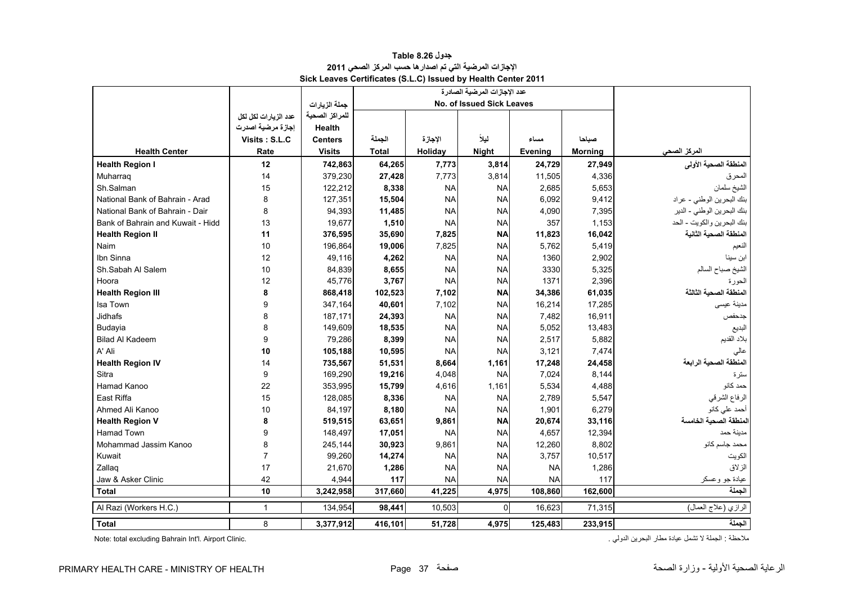<span id="page-37-0"></span>

|                                   |                      |                |              | عدد الإجازات المرضية الصادرة |              |           |                |                            |
|-----------------------------------|----------------------|----------------|--------------|------------------------------|--------------|-----------|----------------|----------------------------|
|                                   |                      | جملة الزيارات  |              | No. of Issued Sick Leaves    |              |           |                |                            |
|                                   | عدد الزيارات لكل لكل | للمراكز الصحية |              |                              |              |           |                |                            |
|                                   | إجازة مرضية اصدرت    | Health         |              |                              |              |           |                |                            |
|                                   | Visits: S.L.C        | <b>Centers</b> | الجملة       | الإجازة                      | ليلأ         | مساء      | صباحا          |                            |
| <b>Health Center</b>              | Rate                 | <b>Visits</b>  | <b>Total</b> | Holidav                      | <b>Night</b> | Evening   | <b>Morning</b> | المركز الصحى               |
| <b>Health Region I</b>            | 12                   | 742,863        | 64,265       | 7,773                        | 3,814        | 24,729    | 27,949         | المنطقة الصحية الأولى      |
| Muharrag                          | 14                   | 379,230        | 27,428       | 7,773                        | 3,814        | 11,505    | 4,336          | المحرق                     |
| Sh.Salman                         | 15                   | 122,212        | 8,338        | <b>NA</b>                    | <b>NA</b>    | 2,685     | 5,653          | الشيخ سلمان                |
| National Bank of Bahrain - Arad   | 8                    | 127,351        | 15,504       | <b>NA</b>                    | <b>NA</b>    | 6,092     | 9,412          | بنك البحرين الوطني - عراد  |
| National Bank of Bahrain - Dair   | 8                    | 94,393         | 11,485       | <b>NA</b>                    | <b>NA</b>    | 4,090     | 7,395          | بنك البحرين الوطني - الدير |
| Bank of Bahrain and Kuwait - Hidd | 13                   | 19,677         | 1,510        | <b>NA</b>                    | <b>NA</b>    | 357       | 1,153          | بنك البحرين والكويت - الحد |
| <b>Health Region II</b>           | 11                   | 376,595        | 35,690       | 7,825                        | <b>NA</b>    | 11,823    | 16,042         | المنطقة الصحية الثانية     |
| Naim                              | 10                   | 196,864        | 19,006       | 7,825                        | <b>NA</b>    | 5,762     | 5,419          | الفعيم                     |
| Ibn Sinna                         | 12                   | 49,116         | 4,262        | <b>NA</b>                    | NA           | 1360      | 2,902          | ابن سينا                   |
| Sh.Sabah Al Salem                 | 10                   | 84,839         | 8,655        | <b>NA</b>                    | <b>NA</b>    | 3330      | 5,325          | الشيخ صباح السالم          |
| Hoora                             | 12                   | 45,776         | 3,767        | <b>NA</b>                    | <b>NA</b>    | 1371      | 2,396          | الحورة                     |
| <b>Health Region III</b>          | 8                    | 868,418        | 102,523      | 7,102                        | <b>NA</b>    | 34,386    | 61,035         | المنطقة الصحية الثالثة     |
| Isa Town                          | 9                    | 347,164        | 40,601       | 7,102                        | <b>NA</b>    | 16,214    | 17,285         | مدينة عيسى                 |
| Jidhafs                           | 8                    | 187,171        | 24,393       | <b>NA</b>                    | <b>NA</b>    | 7,482     | 16,911         | جدحفص                      |
| Budayia                           | 8                    | 149,609        | 18,535       | <b>NA</b>                    | <b>NA</b>    | 5,052     | 13,483         | البديع                     |
| <b>Bilad Al Kadeem</b>            | 9                    | 79,286         | 8,399        | <b>NA</b>                    | <b>NA</b>    | 2,517     | 5,882          | بلاد القديم                |
| A' Ali                            | 10                   | 105,188        | 10,595       | <b>NA</b>                    | <b>NA</b>    | 3,121     | 7,474          | عالى                       |
| <b>Health Region IV</b>           | 14                   | 735,567        | 51,531       | 8,664                        | 1,161        | 17,248    | 24,458         | المنطقة الصحية الرابعة     |
| Sitra                             | 9                    | 169,290        | 19,216       | 4,048                        | <b>NA</b>    | 7,024     | 8,144          | سترة                       |
| Hamad Kanoo                       | 22                   | 353,995        | 15,799       | 4,616                        | 1,161        | 5,534     | 4,488          | حمد كانو                   |
| East Riffa                        | 15                   | 128,085        | 8,336        | <b>NA</b>                    | <b>NA</b>    | 2,789     | 5,547          | الرفاع الشرقي              |
| Ahmed Ali Kanoo                   | 10                   | 84,197         | 8,180        | <b>NA</b>                    | <b>NA</b>    | 1,901     | 6,279          | أحمد على كانو              |
| <b>Health Region V</b>            | 8                    | 519,515        | 63,651       | 9,861                        | <b>NA</b>    | 20,674    | 33,116         | المنطقة الصحية الخامسة     |
| <b>Hamad Town</b>                 | 9                    | 148,497        | 17,051       | <b>NA</b>                    | <b>NA</b>    | 4,657     | 12,394         | مدينة حمد                  |
| Mohammad Jassim Kanoo             | 8                    | 245,144        | 30,923       | 9,861                        | <b>NA</b>    | 12,260    | 8,802          | محمد جاسم كانو             |
| Kuwait                            | $\overline{7}$       | 99,260         | 14,274       | <b>NA</b>                    | <b>NA</b>    | 3,757     | 10,517         | الكويت                     |
| Zallag                            | 17                   | 21,670         | 1,286        | <b>NA</b>                    | <b>NA</b>    | <b>NA</b> | 1,286          | الزلاق                     |
| Jaw & Asker Clinic                | 42                   | 4,944          | 117          | <b>NA</b>                    | <b>NA</b>    | <b>NA</b> | 117            | عيادة جو وعسكر             |
| <b>Total</b>                      | 10                   | 3,242,958      | 317,660      | 41,225                       | 4,975        | 108,860   | 162,600        | الجملة                     |
| Al Razi (Workers H.C.)            | $\mathbf{1}$         | 134,954        | 98,441       | 10,503                       | $\Omega$     | 16,623    | 71,315         | الرازي (علاج العمال)       |
| <b>Total</b>                      | 8                    | 3,377,912      | 416,101      | 51,728                       | 4,975        | 125,483   | 233,915        | الجملة                     |

**جدول 8.26 Table اإلجازات المرضية التي تم اصدارھا حسب المركز الصحي <sup>2011</sup> Sick Leaves Certificates (S.L.C) Issued by Health Center 2011**

Note: total excluding Bahrain Int'l. Airport Clinic.

ملاحظة : الجملة لا تشمل عيادة مطار البحرين الدولمي .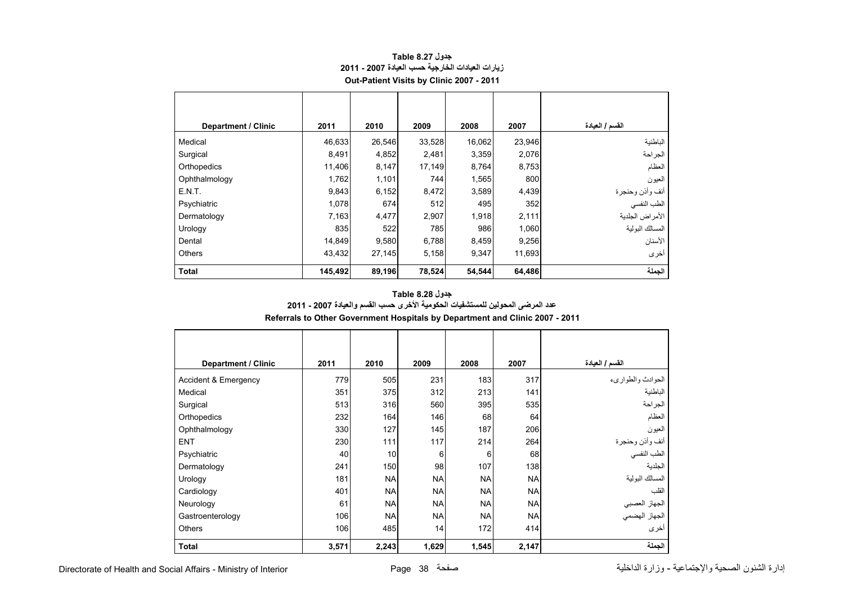<span id="page-38-0"></span>

| <b>Department / Clinic</b> | 2011    | 2010   | 2009   | 2008   | 2007   | القسم / العبادة |
|----------------------------|---------|--------|--------|--------|--------|-----------------|
| Medical                    | 46,633  | 26,546 | 33,528 | 16,062 | 23,946 | الباطنية        |
| Surgical                   | 8,491   | 4,852  | 2,481  | 3,359  | 2,076  | الجراحة         |
| Orthopedics                | 11,406  | 8,147  | 17,149 | 8,764  | 8,753  | العظام          |
| Ophthalmology              | 1,762   | 1,101  | 744    | 1,565  | 800    | العيون          |
| E.N.T.                     | 9,843   | 6,152  | 8,472  | 3,589  | 4,439  | أنف وأذن وحنجرة |
| Psychiatric                | 1,078   | 674    | 512    | 495    | 352    | الطب النفسي     |
| Dermatology                | 7,163   | 4,477  | 2,907  | 1,918  | 2,111  | الأمراض الجلدية |
| Urology                    | 835     | 522    | 785    | 986    | 1,060  | المسالك البولية |
| Dental                     | 14,849  | 9,580  | 6,788  | 8,459  | 9,256  | الأسنان         |
| <b>Others</b>              | 43,432  | 27,145 | 5,158  | 9,347  | 11,693 | أخرى            |
| <b>Total</b>               | 145,492 | 89,196 | 78,524 | 54,544 | 64,486 | الجملة          |

# **جدول 8.27 Table زيارات العيادات الخارجية حسب العيادة 2007 - 2011 Out-Patient Visits by Clinic 2007 - 2011**

# **Referrals to Other Government Hospitals by Department and Clinic 2007 - 2011 جدول 8.28 Table عدد المرضى المحولين للمستشفيات الحكومية األخرى حسب القسم والعيادة 2007 - 2011**

| <b>Department / Clinic</b> | 2011  | 2010      | 2009      | 2008      | 2007      | القسم / العيادة                |
|----------------------------|-------|-----------|-----------|-----------|-----------|--------------------------------|
| Accident & Emergency       | 779   | 505       | 231       | 183       | 317       | الحوادث والطوارىء              |
| Medical                    | 351   | 375       | 312       | 213       | 141       | الباطنية                       |
| Surgical                   | 513   | 316       | 560       | 395       | 535       | الجراحة                        |
| Orthopedics                | 232   | 164       | 146       | 68        | 64        | العظام                         |
| Ophthalmology              | 330   | 127       | 145       | 187       | 206       | العيون                         |
| <b>ENT</b>                 | 230   | 111       | 117       | 214       | 264       | أنف وأذن وحنجرة                |
| Psychiatric                | 40    | 10        | 6         | 6         | 68        | الطب النفسي                    |
| Dermatology                | 241   | 150       | 98        | 107       | 138       | الجلدية                        |
| Urology                    | 181   | <b>NA</b> | <b>NA</b> | <b>NA</b> | <b>NA</b> | المسالك البولية                |
| Cardiology                 | 401   | <b>NA</b> | <b>NA</b> | <b>NA</b> | <b>NA</b> | القلب                          |
| Neurology                  | 61    | <b>NA</b> | <b>NA</b> | <b>NA</b> | <b>NA</b> |                                |
| Gastroenterology           | 106   | <b>NA</b> | <b>NA</b> | <b>NA</b> | <b>NA</b> | الجهاز العصبي<br>الجهاز الهضمي |
| <b>Others</b>              | 106   | 485       | 14        | 172       | 414       | أخرى                           |
| <b>Total</b>               | 3,571 | 2,243     | 1,629     | 1,545     | 2,147     | الجملة                         |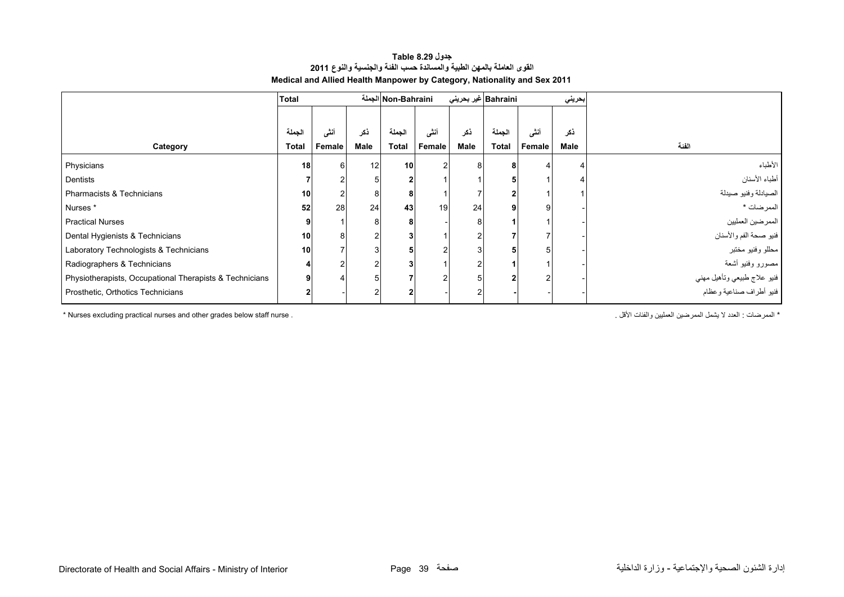## **جدول 8.29 Table القوى العاملة بالمھن الطبية والمساندة حسب الفئة والجنسية والنوع <sup>2011</sup> Medical and Allied Health Manpower by Category, Nationality and Sex 2011**

<span id="page-39-0"></span>

|                                                         | <b>Total</b> |        |                 | Non-Bahraini الجملة |        |                 | Bahraini غير بحرين <i>ي</i> |        | بحريني |                                                        |
|---------------------------------------------------------|--------------|--------|-----------------|---------------------|--------|-----------------|-----------------------------|--------|--------|--------------------------------------------------------|
|                                                         | الجملة       | أنشى   | ذكر             | الجملة              | أنشى   | ذكر             | الجملة                      | أنشر   | ذكر    |                                                        |
| Category                                                | <b>Total</b> | Female | Male            | <b>Total</b>        | Female | Male            | <b>Total</b>                | Female | Male   | الفئة                                                  |
| Physicians                                              | 18           |        | 12 <sup>1</sup> | 10 <sup>1</sup>     |        |                 | 8                           | 4      |        | الأطباء                                                |
| Dentists                                                |              |        |                 |                     |        |                 |                             |        |        | أطباء الأسنان                                          |
| Pharmacists & Technicians                               | 10           |        |                 |                     |        |                 |                             |        |        | الصيادلة وفنيو صيدلة                                   |
| Nurses*                                                 | 52           | 28     | 24              | 43                  | 19     | 24 <sub>1</sub> | q                           |        |        | الممرضات *                                             |
| <b>Practical Nurses</b>                                 | 9            |        |                 |                     |        |                 |                             |        |        | الممرضين العمليين                                      |
| Dental Hygienists & Technicians                         | 10           |        |                 |                     |        |                 |                             |        |        | فنيو صحة الفم والأسنان                                 |
| Laboratory Technologists & Technicians                  | 10           |        |                 |                     |        |                 |                             |        |        | محللو وفنيو مختبر                                      |
| Radiographers & Technicians                             |              |        |                 |                     |        |                 |                             |        |        | مصورو وفنيو أشعة                                       |
| Physiotherapists, Occupational Therapists & Technicians | 9            |        |                 |                     |        |                 |                             |        |        | فنيو علاج طبيعي وتأهيل مهني<br>فنيو أطراف صناعية وعظام |
| Prosthetic, Orthotics Technicians                       |              |        |                 |                     |        |                 |                             |        |        |                                                        |

\* Nurses excluding practical nurses and other grades below staff nurse . . األقل والفئات العمليين الممرضين يشمل ال العدد : الممرضات\*